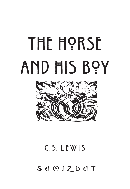# THE HORSE and his Boy



### $C. S. L E W I S$

Samizdat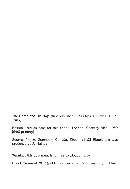**The Horse and His Boy**. (first published 1954) by C.S. Lewis (1895- 1963)

Edition used as base for this ebook: London: Geoffrey Bles, 1959 [third printing]

Source: [Project Gutenberg Canada](http://www.gutenberg.ca/), Ebook #1153 Ebook text was produced by Al Haines

**Warning** : this document is for free distribution only.

[Ebook Samizdat](http://www.samizdat.qc.ca/Ebooks/) 2017 (public domain under [Canadian copyright law\)](http://laws-lois.justice.gc.ca/eng/acts/C-42/page-3.html#h-6)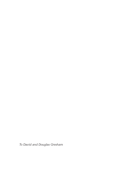*To David and Douglas Gresham*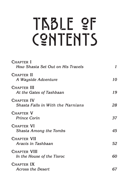## TABLE OF **CONTENTS**

| <b>CHAPTER I</b><br>How Shasta Set Out on His Travels         | $\mathbf{1}$ |
|---------------------------------------------------------------|--------------|
| <b>CHAPTER II</b><br>A Wayside Adventure                      | 10           |
| <b>CHAPTER III</b><br>At the Gates of Tashbaan                | 19           |
| <b>CHAPTER IV</b><br><b>Shasta Falls in With the Narnians</b> | 28           |
| <b>CHAPTER V</b><br><b>Prince Corin</b>                       | 37           |
| <b>CHAPTER VI</b><br><b>Shasta Among the Tombs</b>            | 45           |
| <b>CHAPTER VII</b><br>Aravis in Tashbaan                      | 52           |
| <b>CHAPTER VIII</b><br>In the House of the Tisroc             | 60           |
| <b>CHAPTER IX</b><br><b>Across the Desert</b>                 | 67           |
|                                                               |              |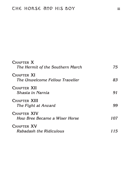| <b>CHAPTER X</b><br>The Hermit of the Southern March | 75  |
|------------------------------------------------------|-----|
| <b>CHAPTER XI</b><br>The Unwelcome Fellow Traveller  | 83  |
| <b>CHAPTER XII</b><br>Shasta in Narnia               | 91  |
| <b>CHAPTER XIII</b><br>The Fight at Anvard           | 99  |
| <b>CHAPTER XIV</b><br>How Bree Became a Wiser Horse  | 107 |
| <b>CHAPTER XV</b><br><b>Rabadash the Ridiculous</b>  | 15  |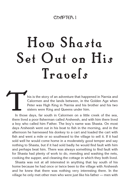#### Chapter I

### <span id="page-6-0"></span>How Shasta Set Out on His Travels

This is the story of an adventure that happened in Narnia and Calormen and the lands between, in the Golden Age when Peter was High King in Narnia and his brother and his two sisters were King and Queens under him.<br>In thos Calormen and the lands between, in the Golden Age when Peter was High King in Narnia and his brother and his two sisters were King and Queens under him.

there lived a poor fisherman called Arsheesh, and with him there lived a boy who called him Father. The boy's name was Shasta. On most days Arsheesh went out in his boat to fish in the morning, and in the afternoon he harnessed his donkey to a cart and loaded the cart with fish and went a mile or so southward to the village to sell it. If it had sold well he would come home in a moderately good temper and say nothing to Shasta, but if it had sold badly he would find fault with him and perhaps beat him. There was always something to find fault with for Shasta had plenty of work to do, mending and washing the nets, cooking the supper, and cleaning the cottage in which they both lived.

Shasta was not at all interested in anything that lay south of his home because he had once or twice been to the village with Arsheesh and he knew that there was nothing very interesting there. In the village he only met other men who were just like his father — men with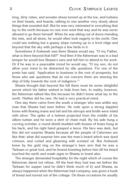long, dirty robes, and wooden shoes turned up at the toe, and turbans on their heads, and beards, talking to one another very slowly about things that sounded dull. But he was very interested in everything that lay to the north because no-one ever went that way and he was never allowed to go there himself. When he was sitting out of doors mending the nets, and all alone, he would often look eagerly to the north. One could see nothing but a grassy slope running up to a level ridge and beyond that the sky with perhaps a few birds in it.

Sometimes if Arsheesh was there Shasta would say, "O my Father, what is there beyond that hill?" And then if the fisherman was in a bad temper he would box Shasta's ears and tell him to attend to his work. Or if he was in a peaceable mood he would say, "O my son, do not allow your mind to be distracted by idle questions. For one of the poets has said, 'Application to business is the root of prosperity, but those who ask questions that do not concern them are steering the ship of folly towards the rock of indigence.'"

Shasta thought that beyond the hill there must be some delightful secret which his father wished to hide from him. In reality, however, the fisherman talked like this because he didn't know what lay to the north. Neither did he care. He had a very practical mind.

One day there came from the south a stranger who was unlike any man that Shasta had seen before. He rode upon a strong dappled horse with flowing mane and tail and his stirrups and bridle were inlaid with silver. The spike of a helmet projected from the middle of his silken turban and he wore a shirt of chain mail. By his side hung a curving scimitar, a round shield studded with bosses of brass hung at his back, and his right hand grasped a lance. His face was dark, but this did not surprise Shasta because all the people of Calormen are like that; what did surprise him was the man's beard which was dyed crimson, and curled and gleaming with scented oil. But Arsheesh knew by the gold ring on the stranger's bare arm that he was a Tarkaan or great lord, and he bowed kneeling before him till his beard touched the earth and made signs to Shasta to kneel also.

The stranger demanded hospitality for the night which of course the fisherman dared not refuse. All the best they had was set before the Tarkaan for supper (and he didn't think much of it) and Shasta, as always happened when the fisherman had company, was given a hunk of bread and turned out of the cottage. On these occasions he usually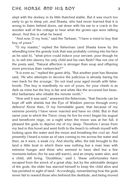slept with the donkey in its little thatched stable. But it was much too early to go to sleep yet, and Shasta, who had never learned that it is wrong to listen behind doors, sat down with his ear to a crack in the wooden wall of the cottage to hear what the grown-ups were talking about. And this is what he heard.

"And now, O my host," said the Tarkaan, "I have a mind to buy that boy of yours."

"O my master," replied the fisherman (and Shasta knew by the wheedling tone the greedy look that was probably coming into his face as he said it), "what price could induce your servant, poor though he is, to sell into slavery his only child and his own flesh? Has not one of the poets said, 'Natural affection is stronger than soup and offspring more precious than carbuncles?'"

"It is even so," replied the guest drily. "But another poet has likewise said, 'He who attempts to deceive the judicious is already baring his own back for the scourge.' Do not load your aged mouth with falsehoods. This boy is manifestly no son of yours, for your cheek is as dark as mine but the boy is fair and white like the accursed but beautiful barbarians who inhabit the remote north."

"How well it was said," answered the fisherman, "that Swords can be kept off with shields but the Eye of Wisdom pierces through every defence! Know then, O my formidable guest, that because of my extreme poverty I have never married and have no child. But in that same year in which the Tisroc (may he live for ever) began his august and beneficent reign, on a night when the moon was at her full, it pleased the gods to deprive me of my sleep. Therefore I arose from my bed in this hovel and went forth to the beach to refresh myself with looking upon the water and the moon and breathing the cool air. And presently I heard a noise as of oars coming to me across the water and then, as it were, a weak cry. And shortly after, the tide brought to the land a little boat in which there was nothing but a man lean with extreme hunger and thirst who seemed to have died but a few moments before (for he was still warm), and an empty water skin, and a child, still living. 'Doubtless,' said I, 'these unfortunates have escaped from the wreck of a great ship, but by the admirable designs of the gods, the elder has starved himself to keep the child alive and has perished in sight of land.' Accordingly, remembering how the gods never fail to reward those who befriend the destitute, and being moved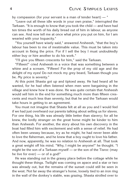by compassion (for your servant is a man of tender heart) — "

"Leave out all these idle words in your own praise," interrupted the Tarkaan. "It is enough to know that you took the child — and have had ten times the worth of his daily bread out of him in labour, as anyone can see. And now tell me at once what price you put on him, for I am wearied with your loquacity."

"You yourself have wisely said," answered Arsheesh, "that the boy's labour has been to me of inestimable value. This must be taken into account in fixing the price. For if I sell the boy I must undoubtedly either buy or hire another to do his work."

"I'll give you fifteen crescents for him," said the Tarkaan.

"Fifteen!" cried Arsheesh in a voice that was something between a whine and a scream. "Fifteen! For the prop of my old age and the delight of my eyes! Do not mock my grey beard, Tarkaan though you be. My price is seventy."

At this point Shasta got up and tiptoed away. He had heard all he wanted, for he had often listened when men were bargaining in the village and knew how it was done. He was quite certain that Arsheesh would sell him in the end for something much more than fifteen crescents and much less than seventy, but that he and the Tarkaan would take hours in getting to an agreement.

You must not imagine that Shasta felt at all as you and I would feel if we had just overheard our parents talking about selling us for slaves. For one thing, his life was already little better than slavery; for all he knew, the lordly stranger on the great horse might be kinder to him than Arsheesh. For another, the story about his own discovery in the boat had filled him with excitement and with a sense of relief. He had often been uneasy because, try as he might, he had never been able to love the fisherman, and he knew that a boy ought to love his father. And now, apparently, he was no relation to Arsheesh at all. That took a great weight off his mind. "Why, I might be anyone!" he thought. "I might be the son of a Tarkaan myself — or the son of the Tisroc (may he live for ever) — or of a god!"

He was standing out in the grassy place before the cottage while he thought these things. Twilight was coming on apace and a star or two was already out, but the remains of the sunset could still be seen in the west. Not far away the stranger's horse, loosely tied to an iron ring in the wall of the donkey's stable, was grazing. Shasta strolled over to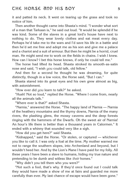it and patted its neck. It went on tearing up the grass and took no notice of him.

Then another thought came into Shasta's mind. "I wonder what sort of a man that Tarkaan is," he said out loud. "It would be splendid if he was kind. Some of the slaves in a great lord's house have next to nothing to do. They wear lovely clothes and eat meat every day. Perhaps he'd take me to the wars and I'd save his life in a battle and then he'd set me free and adopt me as his son and give me a palace and a chariot and a suit of armour. But then he might be a horrid, cruel man. He might send me to work on the fields in chains. I wish I knew. How can I know? I bet this horse knows, if only he could tell me."

The horse had lifted its head. Shasta stroked its smooth-as-satin nose and said, "I wish *you* could talk, old fellow."

And then for a second he thought he was dreaming, for quite distinctly, though in a low voice, the Horse said, "But I can."

Shasta stared into its great eyes and his own grew almost as big, with astonishment.

"How ever did *you* learn to talk?" he asked.

"Hush! Not so loud," replied the Horse. "Where I come from, nearly all the animals talk."

"Where ever is that?" asked Shasta.

"Narnia," answered the Horse. "The happy land of Narnia — Narnia of the heathery mountains and the thymy downs, Narnia of the many rivers, the plashing glens, the mossy caverns and the deep forests ringing with the hammers of the Dwarfs. Oh the sweet air of Narnia! An hour's life there is better than a thousand years in Calormen." It ended with a whinny that sounded very like a sigh.

"How did you get here?" said Shasta.

"Kidnapped," said the Horse. "Or stolen, or captured — whichever you like to call it. I was only a foal at the time. My mother warned me not to range the southern slopes, into Archenland and beyond, but I wouldn't heed her. And by the Lion's Mane I have paid for my folly. All these years I have been a slave to humans, hiding my true nature and pretending to be dumb and witless like *their* horses."

"Why didn't you tell them who you were?"

"Not such a fool, that's why. If they'd once found out I could talk they would have made a show of me at fairs and guarded me more carefully than ever. My last chance of escape would have been gone."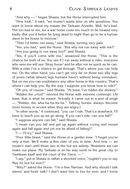"And why — " began Shasta, but the Horse interrupted him.

"Now look," it said, "we mustn't waste time on idle questions. You want to know about my master the Tarkaan Anradin. Well, he's bad. Not too bad to me, for a war horse costs too much to be treated very badly. But you'd better be lying dead to-night than go to be a human slave in his house to-morrow."

"Then I'd better run away," said Shasta, turning very pale.

"Yes, you had," said the Horse. "But why not run away with me?"

"Are you going to run away too?" said Shasta.

"Yes, if you'll come with me," answered the Horse. "This is the chance for both of us. You see if I run away without a rider, everyone who sees me will say 'Stray horse' and be after me as quick as he can. With a rider I've a chance to get through. That's where you can help me. On the other hand, you can't get very far on those two silly legs of yours (what absurd legs humans have!) without being overtaken. But on me you can outdistance any other horse in this country. That's where I can help you. By the way, I suppose you know how to ride?"

"Oh yes, of course," said Shasta. "At least, I've ridden the donkey."

"Ridden the *what*?" retorted the Horse with extreme contempt. (At least, that is what he meant. Actually it came out in a sort of neigh — "Ridden the wha-ha-ha-ha-ha." Talking horses always become more horsey in accent when they are angry.)

"In other words," it continued, "you *can't* ride. That's a drawback. I'll have to teach you as we go along. If you can't ride, can you fall?"

"I suppose anyone can fall," said Shasta.

"I mean can you fall and get up again without crying and mount again and fall again and yet not be afraid of falling?"

"I — I'll try," said Shasta.

"Poor little beast," said the Horse in a gentler tone. "I forget you're only a foal. We'll make a fine rider of you in time. And now — we mustn't start until those two in the hut are asleep. Meantime we can make our plans. My Tarkaan is on his way north to the great city, to Tashbaan itself and the court of the Tisroc — "

"I say," put in Shasta in rather a shocked voice, "oughtn't you to say May he live for ever?"

"Why?" asked the Horse. "I'm a free Narnian. And why should I talk slaves' and fools' talk? I don't want him to live for ever, and I know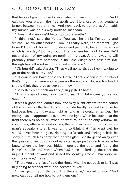that he's not going to live for ever whether I want him to or not. And I can see you're from the free north too. No more of this southern jargon between you and me! And now, back to our plans. As I said, my human was on his way north to Tashbaan."

"Does that mean we'd better go to the south?"

"I think not," said the Horse. "You see, he thinks I'm dumb and witless like his other horses. Now if I really were, the moment I got loose I'd go back home to my stable and paddock; back to his palace which is two days' journey south. That's where he'll look for me. He'd never dream of my going on north on my own. And anyway he will probably think that someone in the last village who saw him ride through has followed us to here and stolen me."

"Oh hurrah!" said Shasta. "Then we'll go north. I've been longing to go to the north all my life."

"Of course you have," said the Horse. "That's because of the blood that's in you. I'm sure you're true northern stock. But not too loud. I should think they'd be asleep soon now."

"I'd better creep back and see," suggested Shasta.

"That's a good idea," said the Horse. "But take care you're not caught."

It was a good deal darker now and very silent except for the sound of the waves on the beach, which Shasta hardly noticed because he had been hearing it day and night as long as he could remember. The cottage, as he approached it, showed no light. When he listened at the front there was no noise. When he went round to the only window, he could hear, after a second or two, the familiar noise of the old fisherman's squeaky snore. It was funny to think that if all went well he would never hear it again. Holding his breath and feeling a little bit sorry, but much less sorry than he was glad, Shasta glided away over the grass and went to the donkey's stable, groped along to a place he knew where the key was hidden, opened the door and found the Horse's saddle and bridle which had been locked up there for the night. He bent forward and kissed the donkey's nose. "I'm sorry we can't take you," he said.

"There you are at last," said the Horse when he got back to it. "I was beginning to wonder what had become of you."

"I was getting your things out of the stable," replied Shasta. "And now, can you tell me how to put them on?"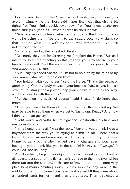#### **8** Clive Staples Lewis

For the next few minutes Shasta was at work, very cautiously to avoid jingling, while the Horse said things like, "Get that girth a bit tighter," or "You'll find a buckle lower down," or "You'll need to shorten those stirrups a good bit." When all was finished it said:

"Now; we've got to have reins for the look of the thing, but you won't be using them. Tie them to the saddle-bow: very slack so that I can do what I like with my head. And remember — you are not to touch them."

"What are they for, then?" asked Shasta.

"Ordinarily they are for directing me," replied the Horse. "But as I intend to do all the directing on this journey, you'll please keep your hands to yourself. And there's another thing. I'm not going to have you grabbing my mane."

"But, I say," pleaded Shasta. "If I'm not to hold on by the reins or by your mane, what *am* I to hold on by?"

"You hold on with your knees," said the Horse. "That's the secret of good riding. Grip my body between your knees as hard as you like; sit straight up, straight as a poker; keep your elbows in. And by the way, what did you do with the spurs?"

"Put them on my heels, of course," said Shasta. "I do know that much."

"Then you can take them off and put them in the saddle-bag. We may be able to sell them when we get to Tashbaan. Ready? And now I think you can get up."

"Ooh! You're a dreadful height," gasped Shasta after his first, and unsuccessful attempt.

"I'm a horse, that's all," was the reply. "Anyone would think I was a haystack from the way you're trying to climb up me! There, that's better. Now sit *up* and remember what I told you about your knees. Funny to think of me who has led cavalry charges and won races having a potato-sack like you in the saddle! However, off we go." It chuckled, not unkindly.

And it certainly began their night journey with great caution. First of all it went just south of the fisherman's cottage to the little river which there ran into the sea, and took care to leave in the mud some very plain hoof-marks pointing south. But as soon as they were in the middle of the ford it turned upstream and waded till they were about a hundred yards further inland than the cottage. Then it selected a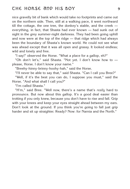nice gravelly bit of bank which would take no footprints and came out on the northern side. Then, still at a walking pace, it went northward till the cottage, the one tree, the donkey's stable, and the creek everything, in fact, that Shasta had ever known — had sunk out of sight in the grey summer-night darkness. They had been going uphill and now were at the top of the ridge — that ridge which had always been the boundary of Shasta's known world. He could not see what was ahead except that it was all open and grassy. It looked endless; wild and lonely and free.

"I say!" observed the Horse. "What a place for a gallop, eh?"

"Oh don't let's," said Shasta. "Not yet. I don't know how to please, Horse. I don't know your name."

"Breehy-hinny-brinny-hoohy-hah," said the Horse.

"I'll never be able to say that," said Shasta. "Can I call you Bree?"

"Well, if it's the best you can do, I suppose you must," said the Horse. "And what shall I call you?"

"I'm called Shasta."

"H'm," said Bree. "Well now, there's a name that's *really* hard to pronounce. But now about this gallop. It's a good deal easier than trotting if you only knew, because you don't have to rise and fall. Grip with your knees and keep your eyes straight ahead between my ears. Don't look at the ground. If you think you're going to fall just grip harder and sit up straighter. Ready? Now: for Narnia and the North."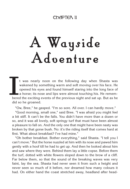#### Chapter II

### <span id="page-15-0"></span>A Wayside Adventure

I t was nearly noon on the following day when Shasta was wakened by something warm and soft moving over his face. He opened his eyes and found himself staring into the long face of a horse; its nose and lips were almost touching his. He remembered the exciting events of the previous night and sat up. But as he did so he groaned.

"Ow, Bree," he gasped. "I'm so sore. All over. I can hardly move."

"Good morning, small one," said Bree. "I was afraid you might feel a bit stiff. It can't be the falls. You didn't have more than a dozen or so, and it was all lovely, soft springy turf that must have been almost a pleasure to fall on. And the only one that might have been nasty was broken by that gorse bush. No: it's the riding itself that comes hard at first. What about breakfast? I've had mine."

"Oh bother breakfast. Bother everything," said Shasta. "I tell you I can't move." But the horse nuzzled at him with its nose and pawed him gently with a hoof till he had to get up. And then he looked about him and saw where they were. Behind them lay a little copse. Before them the turf, dotted with white flowers sloped down to the brow of a cliff. Far below them, so that the sound of the breaking waves was very faint, lay the sea. Shasta had never seen it from such a height and never seen so much of it before, nor dreamed how many colours it had. On either hand the coast stretched away, headland after head-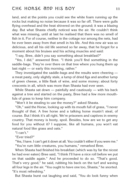land, and at the points you could see the white foam running up the rocks but making no noise because it was so far off. There were gulls flying overhead and the heat shivered on the ground; it was a blazing day. But what Shasta chiefly noticed was the air. He couldn't think what was missing, until at last he realised that there was no smell of fish in it. For of course, neither in the cottage nor among the nets, had he ever been away from that smell in his life. And this new air was so delicious, and all his old life seemed so far away, that he forgot for a moment about his bruises and his aching muscles and said:

"I say, Bree, didn't you say something about breakfast?"

"Yes, I did," answered Bree. "I think you'll find something in the saddle-bags. They're over there on that tree where you hung them up last night — or early this morning, rather."

They investigated the saddle-bags and the results were cheering a meat pasty, only slightly stale, a lump of dried figs and another lump of green cheese, a little flask of wine, and some money; about forty crescents in all, which was more than Shasta had ever seen.

While Shasta sat down — painfully and cautiously — with his back against a tree and started on the pasty, Bree had a few more mouthfuls of grass to keep him company.

"Won't it be stealing to use the money?" asked Shasta.

"Oh," said the Horse, looking up with its mouth full of grass, "I never thought of that. A free horse and a talking horse mustn't steal, of course. But I think it's all right. We're prisoners and captives in enemy country. That money is booty, spoil. Besides, how are we to get any food for you without it? I suppose, like all humans, you won't eat natural food like grass and oats."

"I can't."

"Ever tried?"

"Yes, I have. I can't get it down at all. You couldn't either if you were me." "You're rum little creatures, you humans," remarked Bree.

When Shasta had finished his breakfast (which was by far the nicest he had ever eaten) Bree said, "I think I'll have a nice roll before we put on that saddle again." And he proceeded to do so. "That's good. That's very good," he said, rubbing his back on the turf and waving all four legs in the air. "You ought to have one too, Shasta," he snorted. "It's most refreshing."

But Shasta burst out laughing and said, "You do look funny when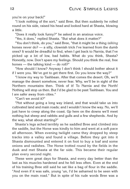you're on your back!"

"I look nothing of the sort," said Bree. But then suddenly he rolled round on his side, raised his head and looked hard at Shasta, blowing a little.

"Does it really look funny?" he asked in an anxious voice.

"Yes, it does," replied Shasta. "But what does it matter?"

"You don't think, do you," said Bree, "that it might be a thing *talking* horses never do? — a silly, clownish trick I've learned from the dumb ones? It would be dreadful to find, when I get back to Narnia, that I've picked up a lot of low, bad habits. What do you think, Shasta? Honestly, now. Don't spare my feelings. Should you think the real, free horses — the talking kind — do roll?"

"How should I know? Anyway I don't think I should bother about it if I were you. We've got to get there first. Do you know the way?"

"I know my way to Tashbaan. After that comes the desert. Oh, we'll manage the desert somehow, never fear. Why, we'll be in sight of the Northern mountains then. Think of it! To Narnia and the North! Nothing will stop us then. But I'd be glad to be past Tashbaan. You and I are safer away from cities."

"Can't we avoid it?"

"Not without going a long way inland, and that would take us into cultivated land and main roads; and I wouldn't know the way. No, we'll just have to creep along the coast. Up here on the downs we'll meet nothing but sheep and rabbits and gulls and a few shepherds. And by the way, what about starting?"

Shasta's legs ached terribly as he saddled Bree and climbed into the saddle, but the Horse was kindly to him and went at a soft pace all afternoon. When evening twilight came they dropped by steep tracks into a valley and found a village. Before they got into it Shasta dismounted and entered it on foot to buy a loaf and some onions and radishes. The Horse trotted round by the fields in the dusk and met Shasta at the far side. This became their regular plan every second night.

These were great days for Shasta, and every day better than the last as his muscles hardened and he fell less often. Even at the end of his training Bree still said he sat like a bag of flour in the saddle. "And even if it was safe, young 'un, I'd be ashamed to be seen with you on the main road." But in spite of his rude words Bree was a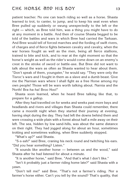patient teacher. No one can teach riding so well as a horse. Shasta learned to trot, to canter, to jump, and to keep his seat even when Bree pulled up suddenly or swung unexpectedly to the left or the right — which, as Bree told him, was a thing you might have to do at any moment in a battle. And then of course Shasta begged to be told of the battles and wars in which Bree had carried the Tarkaan. And Bree would tell of forced marches and the fording of swift rivers, of charges and of fierce fights between cavalry and cavalry, when the war horses fought as well as the men, being all fierce stallions, trained to bite and kick, and to rear at the right moment so that the horse's weight as well as the rider's would come down on an enemy's crest in the stroke of sword or battle-axe. But Bree did not want to talk about the wars as often as Shasta wanted to hear about them. "Don't speak of them, youngster," he would say. "They were only the Tisroc's wars and I fought in them as a slave and a dumb beast. Give me the Narnian wars where I shall fight as a free Horse among my own people! Those will be wars worth talking about. Narnia and the North! Bra-ha-ha! Broo Hoo!"

Shasta soon learned, when he heard Bree talking like that, to prepare for a gallop.

After they had travelled on for weeks and weeks past more bays and headlands and rivers and villages than Shasta could remember, there came a moonlit night when they started their journey at evening, having slept during the day. They had left the downs behind them and were crossing a wide plain with a forest about half a mile away on their left. The sea, hidden by low sand-hills, was about the same distance on their right. They had jogged along for about an hour, sometimes trotting and sometimes walking, when Bree suddenly stopped.

"What's up?" said Shasta.

"S-s-ssh!" said Bree, craning his neck round and twitching his ears. "Did you hear something? Listen."

"It sounds like another horse — between us and the wood," said Shasta after he had listened for about a minute.

"It is another horse," said Bree. "And that's what I don't like."

"Isn't it probably just a farmer riding home late?" said Shasta with a yawn.

"Don't tell me!" said Bree. "That's not a farmer's riding. Nor a farmer's horse either. Can't you tell by the sound? That's quality, that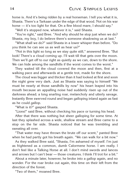#### **14** Clive Staples Lewis

horse is. And it's being ridden by a real horseman. I tell you what it is, Shasta. There's a Tarkaan under the edge of that wood. Not on his war horse — it's too light for that. On a fine blood mare, I should say."

"Well it's stopped now, whatever it is," said Shasta.

"You're right," said Bree. "And why should he stop just when we do? Shasta, my boy, I do believe there's someone shadowing us at last."

"What shall we do?" said Shasta in a lower whisper than before. "Do you think he can see us as well as hear us?"

"Not in this light so long as we stay quite still," answered Bree. "But look! There's a cloud coming up. I'll wait till that gets over the moon. Then we'll get off to our right as quietly as we can, down to the shore. We can hide among the sandhills if the worst comes to the worst."

They waited till the cloud covered the moon and then, first at a walking pace and afterwards at a gentle trot, made for the shore.

The cloud was bigger and thicker than it had looked at first and soon the night grew very dark. Just as Shasta was saying to himself "We must be nearly at those sandhills by now" his heart leaped into his mouth because an appalling noise had suddenly risen up out of the darkness ahead; a long snarling roar, melancholy and utterly savage. Instantly Bree swerved round and began galloping inland again as fast as he could gallop.

"What is it?" gasped Shasta.

"Lions!" said Bree, without checking his pace or turning his head.

After that there was nothing but sheer galloping for some time. At last they splashed across a wide, shallow stream and Bree came to a stop on the far side. Shasta noticed that he was trembling and sweating all over.

"That water may have thrown the brute off our scent," panted Bree when he had partly got his breath again. "We can walk for a bit now."

As they walked Bree said, "Shasta, I'm ashamed of myself. I'm just as frightened as a common, dumb Calormene horse. I am really. I don't feel like a Talking Horse at all. I don't mind swords and lances and arrows but I can't bear — those creatures. I think I'll trot for a bit."

About a minute later, however, he broke into a gallop again, and no wonder. For the roar broke out again, this time on their left from the direction of the forest.

"Two of them," moaned Bree.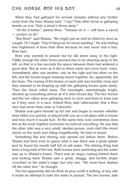When they had galloped for several minutes without any further noise from the lions Shasta said, "I say! That other horse is galloping beside us now. Only a stone's throw away."

"All the b-better," panted Bree. "Tarkaan on it — will have a sword — protect us all."

"But Bree!" said Shasta. "We might just as well be killed by lions as caught. Or I might. They'll hang me for horse-stealing." He was feeling less frightened of lions than Bree because he had never met a lion; Bree had.

Bree only snorted in answer but he did sheer away to his right. Oddly enough the other horse seemed also to be sheering away to the left, so that in a few seconds the space between them had widened a good deal. But as soon as it did so there came two more lions' roars, immediately after one another, one on the right and the other on the left, and the horses began drawing nearer together. So, apparently, did the lions. The roaring of the brutes on each side was horribly close and they seemed to be keeping up with the galloping horses quite easily. Then the cloud rolled away. The moonlight, astonishingly bright, showed up everything almost as if it were broad day. The two horses and the two riders were galloping neck to neck and knee to knee just as if they were in a race. Indeed Bree said (afterwards) that a finer race had never been seen in Calormen.

Shasta now gave himself up for lost and began to wonder whether lions killed you quickly or played with you as a cat plays with a mouse and how much it would hurt. At the same time (one sometimes does this at the most frightful moments) he noticed everything. He saw that the other rider was a very small, slender person, mail-clad (the moon shone on the mail) and riding magnificently. He had no beard.

Something flat and shining was spread out before them. Before Shasta had time even to guess what it was there was a great splash and he found his mouth half full of salt water. The shining thing had been a long inlet of the sea. Both horses were swimming and the water was up to Shasta's knees. There was an angry roaring behind them and looking back Shasta saw a great, shaggy, and terrible shape crouched on the water's edge; but only one. "We must have shaken off the other lion," he thought.

The lion apparently did not think its prey worth a wetting; at any rate it made no attempt to take the water in pursuit. The two horses, side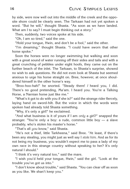by side, were now well out into the middle of the creek and the opposite shore could be clearly seen. The Tarkaan had not yet spoken a word. "But he will," thought Shasta. "As soon as we have landed. What am I to say? I must begin thinking out a story."

Then, suddenly, two voices spoke at his side.

"Oh, I am so tired," said the one.

"Hold your tongue, Hwin, and don't be a fool," said the other.

"I'm dreaming," thought Shasta. "I could have sworn that other horse spoke."

Soon the horses were no longer swimming but walking and soon with a great sound of water running off their sides and tails and with a great crunching of pebbles under eight hoofs, they came out on the further beach of the inlet. The Tarkaan, to Shasta's surprise, showed no wish to ask questions. He did not even look at Shasta but seemed anxious to urge his horse straight on. Bree, however, at once shouldered himself in the other horse's way.

"Broo-hoo-hah!" he snorted. "Steady there! *I* heard you, I did. There's no good pretending, Ma'am. I heard you. You're a Talking Horse, a Narnian horse just like me."

"What's it got to do with you if she is?" said the strange rider fiercely, laying hand on sword-hilt. But the voice in which the words were spoken had already told Shasta something.

"Why, it's only a girl!" he exclaimed.

"And what business is it of yours if I am *only* a girl?" snapped the stranger. "You're only a boy: a rude, common little boy — a slave probably, who's stolen his master's horse."

"That's all *you* know," said Shasta.

"He's not a thief, little Tarkheena," said Bree. "At least, if there's been any stealing, you might just as well say I *stole him*. And as for its not being my business, you wouldn't expect me to pass a lady of my own race in this strange country without speaking to her? It's only natural I should."

"I think it's very natural too," said the mare.

"I wish you'd held your tongue, Hwin," said the girl. "Look at the trouble you've got us into."

"I don't know about trouble," said Shasta. "You can clear off as soon as you like. We shan't keep you."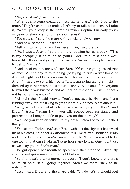"No, you shan't," said the girl.

"What quarrelsome creatures these humans are," said Bree to the mare. "They're as bad as mules. Let's try to talk a little sense. I take it, Ma'am, your story is the same as mine? Captured in early youth — years of slavery among the Calormenes?"

"Too true, sir," said the mare with a melancholy whinny.

"And now, perhaps - escape?"

"Tell him to mind his own business, Hwin," said the girl.

"No, I *won't*, Aravis," said the mare, putting her ears back. "This is my escape just as much as yours. And I'm sure a noble warhorse like this is not going to betray us. We are trying to escape, to get to Narnia."

"And so, of course, are we," said Bree. "Of course you guessed that at once. A little boy in rags riding (or trying to ride) a war horse at dead of night couldn't mean anything but an escape of some sort. And, if I may say so, a high-born Tarkheena riding alone at night dressed up in her brother's armour — and very anxious for everyone to mind their own business and ask her no questions — well, if that's not fishy, call me a cob!"

"All right then," said Aravis. "You've guessed it. Hwin and I are running away. We are trying to get to Narnia. And now, what about it?"

"Why, in that case, what is to prevent us all going together?" said Bree. "I trust, Madam Hwin, you will accept such assistance and protection as I may be able to give you on the journey?"

"Why do you keep on talking to my horse instead of to me?" asked the girl.

"Excuse me, Tarkheena," said Bree (with just the slightest backward tilt of his ears), "but that's Calormene talk. We're free Narnians, Hwin and I, and I suppose, if you're running away to Narnia, you want to be one too. In that case Hwin isn't *your* horse any longer. One might just as well say you're *her* human."

The girl opened her mouth to speak and then stopped. Obviously she had not quite seen it in that light before.

"Still," she said after a moment's pause, "I don't know that there's so much point in all going together. Aren't we more likely to be noticed?"

"Less," said Bree; and the mare said, "Oh do let's. I should feel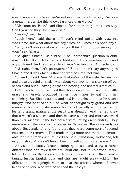much more comfortable. We're not even certain of the way. I'm sure a great charger like this knows far more than we do."

"Oh come on, Bree," said Shasta, "and let them go their own way. Can't you see they don't want us?"

"We do," said Hwin.

"Look here," said the girl. "I don't mind going with *you*, Mr. War-Horse, but what about this boy? How do I know he's not a spy?"

"Why don't you say at once that you think I'm not good enough for you?" said Shasta.

"Be quiet, Shasta," said Bree. "The Tarkheena's question is quite reasonable. I'll vouch for the boy, Tarkheena. He's been true to me and a good friend. And he's certainly either a Narnian or an Archenlander."

"All right, then. Let's go together." But she didn't say anything to Shasta and it was obvious that she wanted Bree, not him.

"Splendid!" said Bree. "And now that we've got the water between us and those dreadful animals, what about you two humans taking off our saddles and our all having a rest and hearing one another's stories."

Both the children unsaddled their horses and the horses had a little grass and Aravis produced rather nice things to eat from her saddlebag. But Shasta sulked and said No thanks, and that he wasn't hungry. And he tried to put on what he thought very grand and stiff manners, but as a fisherman's hut is not usually a good place for learning grand manners, the result was dreadful. And he half knew that it wasn't a success and then became sulkier and more awkward than ever. Meanwhile the two horses were getting on splendidly. They remembered the very same places in Narnia — "the grasslands up above Beaversdam" and found that they were some sort of second cousins once removed. This made things more and more uncomfortable for the humans until at last Bree said, "And now, Tarkheena, tell us your story. And don't hurry it — I'm feeling comfortable now."

Aravis immediately began, sitting quite still and using a rather different tone and style from her usual one. For in Calormen, storytelling (whether the stories are true or made up) is a thing you're taught, just as English boys and girls are taught essay-writing. The difference is that people want to hear the stories, whereas I never heard of anyone who wanted to read the essays.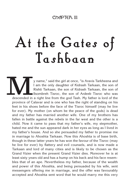#### Chapter III

### <span id="page-24-0"></span>At the Gates of Tashbaan

y name," said the girl at once, "is Aravis Tarkheena and<br>I am the only daughter of Kidrash Tarkaan, the son of<br>Rishti Tarkaan, the son of Kidrash Tarkaan, the son of<br>Ilsombreh Tisroc, the son of Ardeeb Tisroc who was<br>desce I am the only daughter of Kidrash Tarkaan, the son of Rishti Tarkaan, the son of Kidrash Tarkaan, the son of Ilsombreh Tisroc, the son of Ardeeb Tisroc who was descended in a right line from the god Tash. My father is lord of the province of Calavar and is one who has the right of standing on his feet in his shoes before the face of the Tisroc himself (may he live for ever). My mother (on whom be the peace of the gods) is dead and my father has married another wife. One of my brothers has fallen in battle against the rebels in the far west and the other is a child. Now it came to pass that my father's wife, my stepmother, hated me and the sun appeared dark in her eyes as long as I lived in my father's house. And so she persuaded my father to promise me in marriage to Ahoshta Tarkaan. Now this Ahoshta is of base birth, though in these latter years he has won the favour of the Tisroc (may he live for ever) by flattery and evil counsels, and is now made a Tarkaan and lord of many cities and is likely to be chosen as the Grand Vizier when the present Grand Vizier dies. Moreover he is at least sixty years old and has a hump on his back and his face resembles that of an ape. Nevertheless my father, because of the wealth and power of this Ahoshta, and being persuaded by his wife, sent messengers offering me in marriage, and the offer was favourably accepted and Ahoshta sent word that he would marry me this very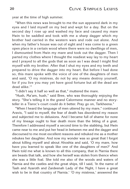year at the time of high summer.

"When this news was brought to me the sun appeared dark in my eyes and I laid myself on my bed and wept for a day. But on the second day I rose up and washed my face and caused my mare Hwin to be saddled and took with me a sharp dagger which my brother had carried in the western wars and rode out alone. And when my father's house was out of sight and I was come to a green open place in a certain wood where there were no dwellings of men, I dismounted from Hwin my mare and took out the dagger. Then I parted my clothes where I thought the readiest way lay to my heart and I prayed to all the gods that as soon as I was dead I might find myself with my brother. After that I shut my eyes and my teeth and prepared to drive the dagger into my heart. But before I had done so, this mare spoke with the voice of one of the daughters of men and said, 'O my mistress, do not by any means destroy yourself, for if you live you may yet have good fortune but all the dead are dead alike.'"

"I didn't say it half so well as that," muttered the mare.

"Hush, Ma'am, hush," said Bree, who was thoroughly enjoying the story. "She's telling it in the grand Calormene manner and no storyteller in a Tisroc's court could do it better. Pray go on, Tarkheena."

"When I heard the language of men uttered by my mare," continued Aravis, "I said to myself, the fear of death has disordered my reason and subjected me to delusions. And I became full of shame for none of my lineage ought to fear death more than the biting of a gnat. Therefore I addressed myself a second time to the stabbing, but Hwin came near to me and put her head in between me and the dagger and discoursed to me most excellent reasons and rebuked me as a mother rebukes her daughter. And now my wonder was so great that I forgot about killing myself and about Ahoshta and said, 'O my mare, how have you learned to speak like one of the daughters of men?' And Hwin told me what is known to all this company, that in Narnia there are beasts that talk, and how she herself was stolen from thence when she was a little foal. She told me also of the woods and waters of Narnia and the castles and the great ships, till I said, 'In the name of Tash and Azaroth and Zardeenah Lady of the Night, I have a great wish to be in that country of Narnia.' 'O my mistress,' answered the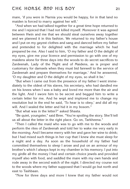mare, 'if you were in Narnia you would be happy, for in that land no maiden is forced to marry against her will.'

"And when we had talked together for a great time hope returned to me and I rejoiced that I had not killed myself. Moreover it was agreed between Hwin and me that we should steal ourselves away together and we planned it in this fashion. We returned to my father's house and I put on my gayest clothes and sang and danced before my father and pretended to for delighted with the marriage which he had prepared be me. Also I said to him, 'O my father and O the delight of my eyes, give me your licence and permission to go with one of my maidens alone for three days into the woods to do secret sacrifices to Zardeenah, Lady of the Night and of Maidens, as is proper and customary for damsels when they must bid farewell to the service of Zardeenah and prepare themselves for marriage.' And he answered, 'O my daughter and O the delight of my eyes, so shall it be.'

"But when I came out from the presence of my father I went immediately to the oldest of his slaves, his secretary, who had dandled me on his knees when I was a baby and loved me more than the air and the light. And I swore him to be secret and begged him to write a certain letter for me. And he wept and implored me to change my resolution but in the end he said, 'To hear is to obey,' and did all my will. And I sealed the letter and hid it in my bosom."

"But what was in the letter?" asked Shasta.

"Be quiet, youngster," said Bree. "You're spoiling the story. She'll tell us all about the letter in the right place. Go on, Tarkheena."

"Then I called the maid who was to go with me to the woods and perform the rites of Zardeenah and told her to wake me very early in the morning. And I became merry with her and gave her wine to drink; but I had mixed such things in her cup that I knew she must sleep for a night and a day. As soon as the household of my father had committed themselves to sleep I arose and put on an armour of my brother's which I always kept in my chamber in his memory. I put into my girdle all the money I had and certain choice jewels and provided myself also with food, and saddled the mare with my own hands and rode away in the second watch of the night. I directed my course not to the woods where my father supposed that I would go but north and east to Tashbaan.

"Now for three days and more I knew that my father would not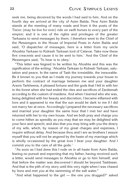seek me, being deceived by the words I had said to him. And on the fourth day we arrived at the city of Azim Balda. Now Azim Balda stands at the meeting of many roads and from it the posts of the Tisroc (may he live for ever) ride on swift horses to every part of the empire: and it is one of the rights and privileges of the greater Tarkaans to send messages by them. I therefore went to the Chief of the Messengers in the House of Imperial Posts in Azim Balda and said, 'O dispatcher of messages, here is a letter from my uncle Ahoshta Tarkaan to Kidrash Tarkaan lord of Calavar. Take now these five crescents and cause it to be sent to him.' And the Chief of the Messengers said, 'To hear is to obey.'

"This letter was feigned to be written by Ahoshta and this was the signification of the writing: 'Ahoshta Tarkaan to Kidrash Tarkaan, salutation and peace. In the name of Tash the irresistible, the inexorable. Be it known to you that as I made my journey towards your house to perform the contract of marriage between me and your daughter Aravis Tarkheena, it pleased fortune and the gods that I fell in with her in the forest when she had ended the rites and sacrifices of Zardeenah according to the custom of maidens. And when I learned who she was, being delighted with her beauty and discretion, I became inflamed with love and it appeared to me that the sun would be dark to me if I did not marry her at once. Accordingly I prepared the necessary sacrifices and married your daughter the same hour that I met her and have returned with her to my own house. And we both pray and charge you to come hither as speedily as you may that we may be delighted with your face and speech; and also that you may bring with you the dowry of my wife, which, by reason of my great charges and expenses, I require without delay. And because thou and I are as brothers I assure myself that you will not be angered by the haste of my marriage which is wholly occasioned by the great love I bear your daughter. And I commit you to the care of all the gods.'

"As soon as I had done this I rode on in all haste from Azim Balda, fearing no pursuit and expecting that my father, having received such a letter, would send messages to Ahoshta or go to him himself, and that before the matter was discovered I should be beyond Tashbaan. And that is the pith of my story until this very night when I was chased by lions and met you at the swimming of the salt water."

"And what happened to the girl — the one you drugged?" asked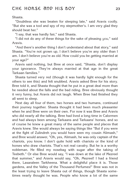#### Shasta.

"Doubtless she was beaten for sleeping late," said Aravis coolly. "But she was a tool and spy of my stepmother's. I am very glad they should beat her."

"I say, that was hardly fair," said Shasta.

"I did not do any of these things for the sake of pleasing *you*," said Aravis.

"And there's another thing I don't understand about that story," said Shasta. "You're not grown up, I don't believe you're any older than I am. I don't believe you're as old. How could you be getting married at your age?"

Aravis said nothing, but Bree at once said, "Shasta, don't display your ignorance. They're always married at that age in the great Tarkaan families."

Shasta turned very red (though it was hardly light enough for the others to see this) and felt snubbed. Aravis asked Bree for his story. Bree told it, and Shasta thought that he put in a great deal more than he needed about the falls and the bad riding. Bree obviously thought it very funny, but Aravis did not laugh. When Bree had finished they all went to sleep.

Next day all four of them, two horses and two humans, continued their journey together. Shasta thought it had been much pleasanter when he and Bree were on their own. For now it was Bree and Aravis who did nearly all the talking. Bree had lived a long time in Calormen and had always been among Tarkaans and Tarkaans' horses, and so of course he knew a great many of the same people and places that Aravis knew. She would always be saying things like "But if you were at the fight of Zulindreh you would have seen my cousin Alimash," and Bree would answer, "Oh, yes, Alimash, he was only captain of the chariots, you know. I don't quite hold with chariots or the kind of horses who draw chariots. That's not real cavalry. But he is a worthy nobleman. He filled my nosebag with sugar after the taking of Teebeth." Or else Bree would say, "I was down at the lake of Mezreel that summer," and Aravis would say, "Oh, Mezreel! I had a friend there, Lasaraleen Tarkheena. What a delightful place it is. Those gardens, and the Valley of the Thousand Perfumes!" Bree was not in the least trying to leave Shasta out of things, though Shasta sometimes nearly thought he was. People who know a lot of the same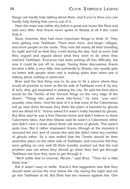things can hardly help talking about them, and if you're there you can hardly help feeling that you're out of it.

Hwin the mare was rather shy before a great war-horse like Bree and said very little. And Aravis never spoke to Shasta at all if she could help it.

Soon, however, they had more important things to think of. They were getting near Tashbaan. There were more, and larger, villages, and more people on the roads. They now did nearly all their travelling by night and hid as best they could during the day. And at every halt they argued and argued about what they were to do when they reached Tashbaan. Everyone had been putting off this difficulty, but now it could be put off no longer. During these discussions Aravis became a little, a very little, less unfriendly to Shasta; one usually gets on better with people when one is making plans than when one is talking about nothing in particular.

Bree said the first thing now to do was to fix a place where they would all promise to meet on the far side of Tashbaan even if, by any ill luck, they got separated in passing the city. He said the best place would be the Tombs of the Ancient Kings on the very edge of the desert. "Things like great stone bee-hives," he said, "you can't possibly miss them. And the best of it is that none of the Calormenes will go near them because they think the place is haunted by ghouls and are afraid of it." Aravis asked if it wasn't really haunted by ghouls. But Bree said he was a free Narnian horse and didn't believe in these Calormene tales. And then Shasta said he wasn't a Calormene either and didn't care a straw about these old stories of ghouls. This wasn't quite true. But it rather impressed Aravis (though at the moment it annoyed her too) and of course she said she didn't mind any number of ghouls either. So it was settled that the Tombs should be their assembly place on the other side of Tashbaan, and everyone felt they were getting on very well till Hwin humbly pointed out that the real problem was not where they should go when they had got through Tashbaan but how they were to get through it.

"We'll settle that to-morrow, Ma'am," said Bree. "Time for a little sleep now."

But it wasn't easy to settle. Aravis's first suggestion was that they should swim across the river below the city during the night and not go into Tashbaan at all. But Bree had two reasons against this. One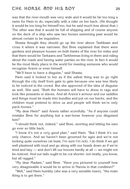was that the river-mouth was very wide and it would be far too long a swim for Hwin to do, especially with a rider on her back. (He thought it would be too long for himself too, but he said much less about that.) The other was that it would be full of shipping and of course anyone on the deck of a ship who saw two horses swimming past would be almost certain to be inquisitive.

Shasta thought they should go up the river above Tashbaan and cross it where it was narrower. But Bree explained that there were gardens and pleasure houses on both banks of the river for miles and that there would be Tarkaans and Tarkheenas living in them and riding about the roads and having water parties on the river. In fact it would be the most likely place in the world for meeting someone who would recognise Aravis or even himself.

"We'll have to have a disguise," said Shasta.

Hwin said it looked to her as if the safest thing was to go right through the city itself from gate to gate because one was less likely to be noticed in the crowd. But she approved of the idea of disguise as well. She said, "Both the humans will have to dress in rags and look like peasants or slaves. And all Aravis's armour and our saddles and things must be made into bundles and put on our backs, and the children must pretend to drive us and people will think we're only pack-horses."

"My dear Hwin!" said Aravis rather scornfully. "As if anyone could mistake Bree for anything but a war-horse however you disguised him!"

"I should think not, indeed," said Bree, snorting and letting his ears go ever so little back.

"I know it's not a *very* good plan," said Hwin. "But I think it's our only chance. And we haven't been groomed for ages and we're not looking quite ourselves (at least, I'm sure I'm not). I do think if we get well plastered with mud and go along with our heads down as if we're tired and lazy — and don't lift our hooves hardly at all — we might not be noticed. And our tails ought to be cut shorter: not neatly, you know, but all ragged."

"My dear Madam," said Bree. "Have you pictured to yourself how very disagreeable it would be to arrive in Narnia in that condition?"

"Well," said Hwin humbly (she was a very sensible mare), "the main thing is to get there."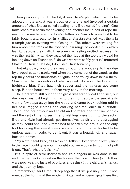Though nobody much liked it, it was Hwin's plan which had to be adopted in the end. It was a troublesome one and involved a certain amount of what Shasta called stealing, and Bree called "raiding". One farm lost a few sacks that evening and another lost a coil of rope the next: but some tattered old boy's clothes for Aravis to wear had to be fairly bought and paid for in a village. Shasta returned with them in triumph just as evening was closing in. The others were waiting for him among the trees at the foot of a low range of wooded hills which lay right across their path. Everyone was feeling excited because this was the last hill; when they reached the ridge at the top they would be looking down on Tashbaan. "I do wish we were safely past it," muttered Shasta to Hwin. "Oh I do, I do," said Hwin fervently.

That night they wound their way through the woods up to the ridge by a wood-cutter's track. And when they came out of the woods at the top they could see thousands of lights in the valley down below them. Shasta had had no notion of what a great city would be like and it frightened him. They had their supper and the children got some sleep. But the horses woke them very early in the morning.

The stars were still out and the grass was terribly cold and wet, but daybreak was just beginning, far to their right across the sea. Aravis went a few steps away into the wood and came back looking odd in her new, ragged clothes and carrying her real ones in a bundle. These, and her armour and shield and scimitar and the two saddles and the rest of the horses' fine furnishings were put into the sacks. Bree and Hwin had already got themselves as dirty and bedraggled as they could and it only remained to shorten their tails. As the only tool for doing this was Aravis's scimitar, one of the packs had to be undone again in order to get it out. It was a longish job and rather hurt the horses.

"My word!" said Bree, "if I wasn't a Talking Horse what a lovely kick in the face I could give you! I thought you were going to cut it, not pull it out. That's what it feels like."

But in spite of semi-darkness and cold fingers all was done in the end, the big packs bound on the horses, the rope halters (which they were now wearing instead of bridles and reins) in the children's hands, and the journey began.

"Remember," said Bree. "Keep together if we possibly can. If not, meet at the Tombs of the Ancient Kings, and whoever gets there first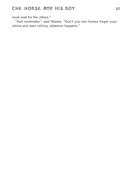#### must wait for the others."

"And remember," said Shasta. "Don't you two horses forget yourselves and start *talking*, whatever happens."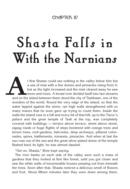#### Chapter II)

### <span id="page-33-0"></span>S hasta Falls in With the Narnians

t first Shasta could see nothing in the valley below him but<br>a sea of mist with a few domes and pinnacles rising from it;<br>but as the light increased and the mist cleared away he saw<br>more and more. A broad river divided its a sea of mist with a few domes and pinnacles rising from it; but as the light increased and the mist cleared away he saw more and more. A broad river divided itself into two streams and on the island between them stood the city of Tashbaan, one of the wonders of the world. Round the very edge of the island, so that the water lapped against the stone, ran high walls strengthened with so many towers that he soon gave up trying to count them. Inside the walls the island rose in a hill and every bit of that hill, up to the Tisroc's palace and the great temple of Tash at the top, was completely covered with buildings — terrace above terrace, street above street, zigzag roads or huge flights of steps bordered with orange trees and lemon trees, roof-gardens, balconies, deep archways, pillared colonnades, spires, battlements, minarets, pinnacles. And when at last the sun rose out of the sea and the great silver-plated dome of the temple flashed back its light, he was almost dazzled.

"Get on, Shasta," Bree kept saying.

The river banks on each side of the valley were such a mass of gardens that they looked at first like forest, until you got closer and saw the white walls of innumerable houses peeping out from beneath the trees. Soon after that, Shasta noticed a delicious smell of flowers and fruit. About fifteen minutes later they were down among them,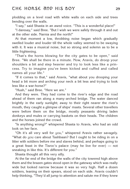plodding on a level road with white walls on each side and trees bending over the walls.

"I say," said Shasta in an awed voice. "This is a wonderful place!"

"I daresay," said Bree. "But I wish we were safely through it and out at the other side. Narnia and the north!"

At that moment a low, throbbing noise began which gradually swelled louder and louder till the whole valley seemed to be swaying with it. It was a musical noise, but so strong and solemn as to be a little frightening.

"That's the horns blowing for the city gates to be open," said Bree. "We shall be there in a minute. Now, Aravis, do droop your shoulders a bit and step heavier and try to look less like a princess. Try to imagine you've been kicked and cuffed and called names all your life."

"If it comes to that," said Aravis, "what about you drooping your head a bit more and arching your neck a bit less and trying to look less like a war-horse?"

"Hush," said Bree. "Here we are."

And they were. They had come to the river's edge and the road ahead of them ran along a many-arched bridge. The water danced brightly in the early sunlight; away to their right nearer the river's mouth, they caught a glimpse of ships' masts. Several other travellers were before them on the bridge, mostly peasants driving laden donkeys and mules or carrying baskets on their heads. The children and the horses joined the crowd.

"Is anything wrong?" whispered Shasta to Aravis, who had an odd look on her face.

"Oh it's all very well for *you*," whispered Aravis rather savagely. "What do *you* care about Tashbaan? But I ought to be riding in on a litter with soldiers before me and slaves behind, and perhaps going to a great feast in the Tisroc's palace (may he live for ever) — not sneaking in like this. It's different for you."

Shasta thought all this very silly.

At the far end of the bridge the walls of the city towered high above them and the brazen gates stood open in the gateway which was really wide but looked narrow because it was so very high. Half a dozen soldiers, leaning on their spears, stood on each side. Aravis couldn't help thinking, "They'd all jump to attention and salute me if they knew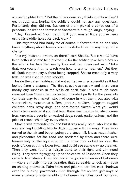whose daughter I am." But the others were only thinking of how they'd get through and hoping the soldiers would not ask any questions. Fortunately they did not. But one of them picked a carrot out of a peasants' basket and threw it at Shasta with a rough laugh, saying:

"Hey! Horse-boy! You'll catch it if your master finds you've been using his saddle-horse for pack work."

This frightened him badly for of course it showed that no one who knew anything about horses would mistake Bree for anything but a charger.

"It's my master's orders, so there!" said Shasta. But it would have been better if he had held his tongue for the soldier gave him a box on the side of his face that nearly knocked him down and said, "Take that, you young filth, to teach you how to talk to freemen." But they all slunk into the city without being stopped. Shasta cried only a very little; he was used to hard knocks.

Inside the gates Tashbaan did not at first seem so splendid as it had looked from a distance. The first street was narrow and there were hardly any windows in the walls on each side. It was much more crowded than Shasta had expected: crowded partly by the peasants (on their way to market) who had come in with them, but also with water-sellers, sweetmeat sellers, porters, soldiers, beggars, ragged children, hens, stray dogs, and bare-footed slaves. What you would chiefly have noticed if you had been there was the smells, which came from unwashed people, unwashed dogs, scent, garlic, onions, and the piles of refuse which lay everywhere.

Shasta was pretending to lead but it was really Bree, who knew the way and kept guiding him by little nudges with his nose. They soon turned to the left and began going up a steep hill. It was much fresher and pleasanter, for the road was bordered by trees and there were houses only on the right side; on the other they looked out over the roofs of houses in the lower town and could see some way up the river. Then they went round a hairpin bend to their right and continued rising. They were zigzagging up to the centre of Tashbaan. Soon they came to finer streets. Great statues of the gods and heroes of Calormen — who are mostly impressive rather than agreeable to look at — rose on shining pedestals. Palm trees and pillared arcades cast shadows over the burning pavements. And through the arched gateways of many a palace Shasta caught sight of green branches, cool fountains,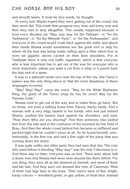and smooth lawns. It must be nice inside, he thought.

At every turn Shasta hoped they were getting out of the crowd, but they never did. This made their progress very slow, and every now and then they had to stop altogether. This usually happened because a loud voice shouted out "Way, way way, for the Tarkaan", or "for the Tarkheena", or "for the fifteenth Vizier", or "for the Ambassador", and everyone in the crowd would crush back against the walls; and above their heads Shasta would sometimes see the great lord or lady for whom all the fuss was being made, lolling upon a litter which four or even six gigantic slaves carried on their bare shoulders. For in Tashbaan there is only one traffic regulation, which is that everyone who is less important has to get out of the way for everyone who is more important; unless you want a cut from a whip or a punch from the butt end of a spear.

It was in a splendid street very near the top of the city (the Tisroc's palace was the only thing above it) that the most disastrous of these stoppages occurred.

"Way! Way! Way!" came the voice. "Way for the White Barbarian King, the guest of the Tisroc (may he live for ever)! Way for the Narnian lords."

Shasta tried to get out of the way and to make Bree go back. But no horse, not even a talking horse from Narnia, backs easily. And a woman with a very edgy basket in her hands, who was just behind Shasta, pushed the basket hard against his shoulders, and said, "Now then! Who are you shoving!" And then someone else jostled him from the side and in the confusion of the moment he lost hold of Bree. And then the whole crowd behind him became so stiffened and packed tight that he couldn't move at all. So he found himself, unintentionally, in the first row and had a fine sight of the party that was coming down the street.

It was quite unlike any other party they had seen that day. The crier who went before it shouting "Way, way!" was the only Calormene in it. And there was no litter; everyone was on foot. There were about half a dozen men and Shasta had never seen anyone like them before. For one thing, they were all as fair-skinned as himself, and most of them had fair hair. And they were not dressed like men of Calormen. Most of them had legs bare to the knee. Their tunics were of fine, bright, hardy colours — woodland green, or gay yellow, or fresh blue. Instead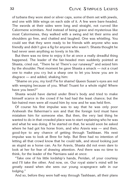of turbans they wore steel or silver caps, some of them set with jewels, and one with little wings on each side of it. A few were bare-headed. The swords at their sides were long and straight, not curved like Calormene scimitars. And instead of being grave and mysterious like most Calormenes, they walked with a swing and let their arms and shoulders go free, and chatted and laughed. One was whistling. You could see that they were ready to be friends with anyone who was friendly and didn't give a fig for anyone who wasn't. Shasta thought he had never seen anything so lovely in his life.

But there was no time to enjoy it for at once a really dreadful thing happened. The leader of the fair-headed men suddenly pointed at Shasta, cried out, "There he is! There's our runaway!" and seized him by the shoulder. Next moment he gave Shasta a smack — not a cruel one to make you cry but a sharp one to let you know you are in disgrace — and added, shaking him:

"Shame on you, my lord! Fie for shame! Queen Susan's eyes are red with weeping because of you. What! Truant for a whole night! Where have you been?"

Shasta would have darted under Bree's body and tried to make himself scarce in the crowd if he had had the least chance; but the fair-haired men were all round him by now and he was held firm.

Of course his first impulse was to say that he was only poor Arsheesh the fisherman's son and that the foreign lord must have mistaken him for someone else. But then, the very last thing he wanted to do in that crowded place was to start explaining who he was and what he was doing. If he started on that, he would soon be asked where he had got his horse from, and who Aravis was — and then, good-bye to any chance of getting through Tashbaan. His next impulse was to look at Bree for help. But Bree had no intention of letting all that crowd know that he could talk, and stood looking just as stupid as a horse can. As for Aravis, Shasta did not even dare to look at her for fear of drawing attention. And there was no time to think, for the leader of the Narnians said at once:

"Take one of his little lordship's hands, Peridan, of your courtesy and I'll take the other. And now, on. Our royal sister's mind will be greatly eased when she sees our young scapegrace safe in our lodging."

And so, before they were half-way through Tashbaan, all their plans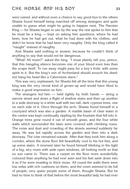were ruined, and without even a chance to say good-bye to the others Shasta found himself being marched off among strangers and quite unable to guess what might be going to happen next. The Narnian King — for Shasta began to see by the way the rest spoke to him that he must be a king — kept on asking him questions; where he had been, how he had got out, what he had done with his clothes, and didn't he know that he had been very naughty. Only the king called it "naught" instead of naughty.

And Shasta said nothing in answer, because he couldn't think of anything to say that would not be dangerous.

"What! All mum?" asked the king. "I must plainly tell you, prince, that this hangdog silence becomes one of your blood even less than the scape itself. To run away might pass for a boy's frolic with some spirit in it. But the king's son of Archenland should avouch his deed: not hang his head like a Calormene slave."

This was very unpleasant, for Shasta felt all the time that this young king was the very nicest kind of grown-up and would have liked to make a good impression on him.

The strangers led him  $-$  held tightly by both hands  $-$  along a narrow street and down a flight of shallow stairs and then up another to a wide doorway in a white wall with two tall, dark cypress trees, one on each side of it. Once through the arch, Shasta found himself in a courtyard which was also a garden. A marble basin of clear water in the centre was kept continually rippling by the fountain that fell into it. Orange trees grew round it out of smooth grass, and the four white walls which surrounded the lawn were covered with climbing roses. The noise and dust and crowding of the streets seemed suddenly far away. He was led rapidly across the garden and then into a dark doorway. The crier remained outside. After that they took him along a corridor, where the stone floor felt beautifully cool to his hot feet, and up some stairs. A moment later he found himself blinking in the light of a big, airy room with wide open windows, all looking north so that no sun came in. There was a carpet on the floor more wonderfully coloured than anything he had ever seen and his feet sank down into it as if he were treading in thick moss. All round the walls there were low sofas with rich cushions on them, and the room seemed to be full of people; very queer people some of them, thought Shasta. But he had no time to think of that before the most beautiful lady he had ever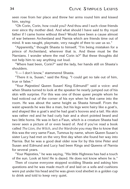seen rose from her place and threw her arms round him and kissed him, saying:

"Oh Corin, Corin, how could you? And thou and I such close friends ever since thy mother died. And what should I have said to thy royal father if I came home without thee? Would have been a cause almost of war between Archenland and Narnia which are friends time out of mind. It was naught, playmate, very naught of thee to use us so."

"Apparently," thought Shasta to himself, "I'm being mistaken for a prince of Archenland, wherever that is. And these must be the Narnians. I wonder where the real Corin is?" But these thoughts did not help him to say anything out loud.

"Where hast been, Corin?" said the lady, her hands still on Shasta's shoulders.

"I — I don't know," stammered Shasta.

"There it is, Susan," said the King. "I could get no tale out of him, true or false."

"Your Majesties! Queen Susan! King Edmund!" said a voice: and when Shasta turned to look at the speaker he nearly jumped out of his skin with surprise. For this was one of those queer people whom he had noticed out of the corner of his eye when he first came into the room. He was about the same height as Shasta himself. From the waist upwards he was like a man, but his legs were hairy like a goat's, and shaped like a goat's and he had goat's hooves and a tail. His skin was rather red and he had curly hair and a short pointed beard and two little horns. He was in fact a Faun, which is a creature Shasta had never seen a picture of or even heard of. And if you've read a book called *The Lion, the Witch, and the Wardrobe* you may like to know that this was the very same Faun, Tumnus by name, whom Queen Susan's sister Lucy had met on the very first day when she found her way into Narnia. But he was a good deal older now for by this time Peter and Susan and Edmund and Lucy had been Kings and Queens of Narnia for several years.

"Your Majesties," he was saying, "His little Highness has had a touch of the sun. Look at him! He is dazed. He does not know where he is."

Then of course everyone stopped scolding Shasta and asking him questions and he was made much of and laid on a sofa and cushions were put under his head and he was given iced sherbet in a golden cup to drink and told to keep very quiet.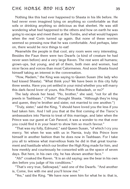Nothing like this had ever happened to Shasta in his life before. He had never even imagined lying on anything so comfortable as that sofa or drinking anything so delicious as that sherbet. He was still wondering what had happened to the others and how on earth he was going to escape and meet them at the Tombs, and what would happen when the real Corin turned up again. But none of these worries seemed so pressing now that he was comfortable. And perhaps, later on, there would be nice things to eat!

Meanwhile the people in that cool, airy room were very interesting. Besides the Faun there were two Dwarfs (a kind of creature he had never seen before) and a very large Raven. The rest were all humans; grown-ups, but young, and all of them, both men and women, had nicer faces and voices than most Calormenes. And soon Shasta found himself taking an interest in the conversation.

"Now, Madam," the King was saying to Queen Susan (the lady who had kissed Shasta). "What think you? We have been in this city fully three weeks. Have you yet settled in your mind whether you will marry this dark-faced lover of yours, this Prince Rabadash, or no?"

The lady shook her head. "No, brother," she said, "not for all the jewels in Tashbaan." ("Hullo!" thought Shasta. "Although they're king and queen, they're brother and sister, not married to one another.")

"Truly, sister," said the King, "I should have loved you the less if you had taken him. And I tell you that at the first coming of the Tisroc's ambassadors into Narnia to treat of this marriage, and later when the Prince was our guest at Cair Paravel, it was a wonder to me that ever you could find it in your heart to show him so much favour."

"That was my folly, Edmund," said Queen Susan, "of which I cry you mercy. Yet when he was with us in Narnia, truly this Prince bore himself in another fashion than he does now in Tashbaan. For I take you all to witness what marvellous feats he did in that great tournament and hastilude which our brother the High King made for him, and how meekly and courteously he consorted with us the space of seven days. But here, in his own city, he has shown another face."

"Ah!" croaked the Raven. "It is an old saying: see the bear in his own den before you judge of his conditions."

"That's very true, Sallowpad," said one of the Dwarfs. "And another is, Come, live with me and you'll know me."

"Yes," said the King. "We have now seen him for what he is: that is,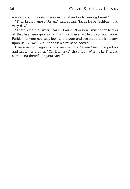a most proud, bloody, luxurious, cruel and self-pleasing tyrant."

"Then in the name of Aslan," said Susan, "let us leave Tashbaan this very day."

"There's the rub, sister," said Edmund. "For now I must open to you all that has been growing in my mind these last two days and more. Peridan, of your courtesy look to the door and see that there is no spy upon us. All well? So. For now we must be secret."

Everyone had begun to look very serious. Queen Susan jumped up and ran to her brother. "Oh, Edmund," she cried. "What is it? There is something dreadful in your face."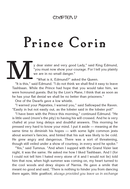#### Chapter V

### Prince Corin

We are sister and very good Lady," said King Edmund,<br>"you must now show your courage. For I tell you plainly<br>we are in no small danger."<br>"What is it, Edmund?" asked the Queen.<br>"It is this," said Edmund. "I do not think we "you must now show your courage. For I tell you plainly we are in no small danger."

"What is it, Edmund?" asked the Queen.

"It is this," said Edmund. "I do not think we shall find it easy to leave Tashbaan. While the Prince had hope that you would take him, we were honoured guests. But by the Lion's Mane, I think that as soon as he has your flat denial we shall be no better than prisoners."

One of the Dwarfs gave a low whistle.

"I warned your Majesties, I warned you," said Sallowpad the Raven. "Easily in but not easily out, as the lobster said in the lobster pot!"

"I have been with the Prince this morning," continued Edmund. "He is little used (more's the pity) to having his will crossed. And he is very chafed at your long delays and doubtful answers. This morning he pressed very hard to know your mind. I put it aside — meaning at the same time to diminish his hopes — with some light common jests about women's fancies, and hinted that his suit was likely to be cold. He grew angry and dangerous. There was a sort of threatening, though still veiled under a show of courtesy, in every word he spoke."

"Yes," said Tumnus. "And when I supped with the Grand Vizier last night, it was the same. He asked me how I liked Tashbaan. And I (for I could not tell him I hated every stone of it and I would not lie) told him that now, when high summer was coming on, my heart turned to the cool woods and dewy slopes of Narnia. He gave a smile that meant no good and said, 'There is nothing to hinder you from dancing there again, little goatfoot; *always provided you leave us in exchange*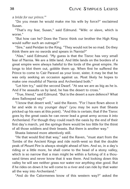*a bride for our prince*.'"

"Do you mean he would make me his wife by force?" exclaimed Susan.

"That's my fear, Susan," said Edmund. "Wife: or slave, which is worse."

"But how can he? Does the Tisroc think our brother the High King would suffer such an outrage?"

"Sire," said Peridan to the King. "They would not be so mad. Do they think there are no swords and spears in Narnia?"

"Alas," said Edmund. "My guess is that the Tisroc has very small fear of Narnia. We are a little land. And little lands on the borders of a great empire were always hateful to the lords of the great empire. He longs to blot them out, gobble them up. When first he suffered the Prince to come to Cair Paravel as your lover, sister, it may be that he was only seeking an occasion against us. Most likely he hopes to make one mouthful of Narnia and Archenland both."

"Let him try," said the second Dwarf. "At sea we are as big as he is. And if he assaults us by land, he has the desert to cross."

"True, friend," said Edmund. "But is the desert a sure defence? What does Sallowpad say?"

"I know that desert well," said the Raven. "For I have flown above it far and wide in my younger days" (you may be sure that Shasta pricked up his ears at this point). "And this is certain; that if the Tisroc goes by the great oasis he can never lead a great army across it into Archenland. For though they could reach the oasis by the end of their first day's march, yet the springs there would be too little for the thirst of all those soldiers and their beasts. But there is another way."

Shasta listened more attentively still.

"He that would find that way," said the Raven, "must start from the Tombs of the Ancient Kings and ride north-west so that the double peak of Mount Pire is always straight ahead of him. And so, in a day's riding or a little more, he shall come to the head of a stony valley, which is so narrow that a man might be within a furlong of it a thousand times and never know that it was there. And looking down this valley he will see neither grass nor water nor anything else good. But if he rides on down it he will come to a river and can ride by that water all the way into Archenland."

"And do the Calormenes know of this western way?" asked the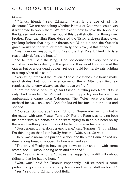Queen.

"Friends, friends," said Edmund, "what is the use of all this discourse? We are not asking whether Narnia or Calormen would win if war arose between them. We are asking how to save the honour of the Queen and our own lives out of this devilish city. For though my brother, Peter the High King, defeated the Tisroc a dozen times over, yet long before that day our throats would be cut and the Queen's grace would be the wife, or more likely, the slave, of this prince."

"We have our weapons, King," said the first Dwarf. "And this is a reasonably defensible house."

"As to that," said the King, "I do not doubt that every one of us would sell our lives dearly in the gate and they would not come at the Queen but over our dead bodies. Yet we should be merely rats fighting in a trap when all's said."

"Very true," croaked the Raven. "These last stands in a house make good stories, but nothing ever came of them. After their first few repulses the enemy always set the house on fire."

"I am the cause of all this," said Susan, bursting into tears. "Oh, if only I had never left Cair Paravel. Our last happy day was before those ambassadors came from Calormen. The Moles were planting an orchard for us... oh... oh." And she buried her face in her hands and sobbed.

"Courage, Su, courage," said Edmund. "Remember — but what is the matter with *you*, Master Tumnus?" For the Faun was holding both his horns with his hands as if he were trying to keep his head on by them and writhing to and fro as if he had a pain in his inside.

"Don't speak to me, don't speak to me," said Tumnus. "I'm thinking. I'm thinking so that I can hardly breathe. Wait, wait, do wait."

There was a moment's puzzled silence and then the Faun looked up, drew a long breath, mopped its forehead and said:

"The only difficulty is how to get down to our ship — with some stores, too — without being seen and stopped."

"Yes," said a Dwarf drily. "Just as the beggar's only difficulty about riding is that he has no horse."

"Wait, wait," said Mr. Tumnus impatiently. "All we need is some pretext for going down to our ship to-day and taking stuff on board."

"Yes," said King Edmund doubtfully.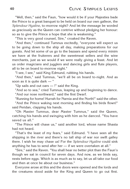"Well, then," said the Faun, "how would it be if your Majesties bade the Prince to a great banquet to be held on board our own galleon, the *Splendour Hyaline*, to-morrow night? And let the message be worded as graciously as the Queen can contrive without pledging her honour: so as to give the Prince a hope that she is weakening."

"This is very good counsel, Sire," croaked the Raven.

"And then," continued Tumnus excitedly, "everyone will expect us to be going down to the ship all day, making preparations for our guests. And let some of us go to the bazaars and spend every minim we have at the fruiterers and the sweetmeat sellers and the wine merchants, just as we would if we were really giving a feast. And let us order magicians and jugglers and dancing girls and flute players, all to be on board to-morrow night."

"I see, I see," said King Edmund, rubbing his hands.

"And then," said Tumnus, "we'll all be on board to-night. And as soon as it is quite dark — "

"Up sails and out oars  $-$ !" said the King.

"And so to sea," cried Tumnus, leaping up and beginning to dance. "And our nose northward," said the first Dwarf.

"Running for home! Hurrah for Narnia and the North!" said the other.

"And the Prince waking next morning and finding his birds flown!" said Peridan, clapping his hands.

"Oh Master Tumnus, dear Master Tumnus," said the Queen, catching his hands and swinging with him as he danced. "You have saved us all."

"The Prince will chase us," said another lord, whose name Shasta had not heard.

"That's the least of my fears," said Edmund. "I have seen all the shipping in the river and there's no tall ship of war nor swift galley there. I wish he may chase us! For the *Splendour Hyaline* could sink anything he has to send after her — if we were overtaken at all."

"Sire," said the Raven. "You shall hear no better plot than the Faun's though we sat in council for seven days. And now, as we birds say, nests before eggs. Which is as much as to say, let us all take our food and then at once be about our business."

Everyone arose at this and the doors were opened and the lords and the creatures stood aside for the King and Queen to go out first.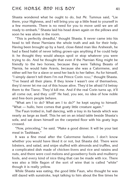Shasta wondered what he ought to do, but Mr. Tumnus said, "Lie there, your Highness, and I will bring you up a little feast to yourself in a few moments. There is no need for you to move until we are all ready to embark." Shasta laid his head down again on the pillows and soon he was alone in the room.

"This is perfectly dreadful," thought Shasta. It never came into his head to tell these Narnians the whole truth and ask for their help. Having been brought up by a hard, close-fisted man like Arsheesh, he had a fixed habit of never telling grown-ups anything if he could help it: he thought they would always spoil or stop whatever you were trying to do. And he thought that even if the Narnian King might be friendly to the two horses, because they were Talking Beasts of Narnia, he would hate Aravis, because she was a Calormene, and either sell her for a slave or send her back to her father. As for himself, "I simply daren't tell them I'm not Prince Corin *now*," thought Shasta. "I've heard all their plans. If they knew I wasn't one of themselves, they'd never let me out of this house alive. They'd be afraid I'd betray them to the Tisroc. They'd kill me. And if the real Corin turns up, it'll all come out, and they *will*!" He had, you see, no idea of how noble and free-born people behave.

"What am I to do? What am I to do?" he kept saying to himself. "What — hullo, here comes that goaty little creature again."

The Faun trotted in, half dancing, with a tray in its hands which was nearly as large as itself. This he set on an inlaid table beside Shasta's sofa, and sat down himself on the carpeted floor with his goaty legs crossed.

"Now, princeling," he said. "Make a good dinner. It will be your last meal in Tashbaan."

It was a fine meal after the Calormene fashion. I don't know whether you would have liked it or not, but Shasta did. There were lobsters, and salad, and snipe stuffed with almonds and truffles, and a complicated dish made of chicken-livers and rice and raisins and nuts, and there were cool melons and gooseberry fools and mulberry fools, and every kind of nice thing that can be made with ice. There was also a little flagon of the sort of wine that is called "white" though it is really yellow.

While Shasta was eating, the good little Faun, who thought he was still dazed with sunstroke, kept talking to him about the fine times he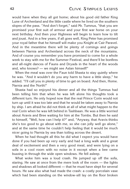would have when they all got home; about his good old father King Lune of Archenland and the little castle where he lived on the southern slopes of the pass. "And don't forget," said Mr. Tumnus, "that you are promised your first suit of armour and your first war horse on your next birthday. And then your Highness will begin to learn how to tilt and joust. And in a few years, if all goes well, King Peter has promised your royal father that he himself will make you Knight at Cair Paravel. And in the meantime there will be plenty of comings and goings between Narnia and Archenland across the neck of the mountains. And of course you remember you have promised to come for a whole week to stay with me for the Summer Festival, and there'll be bonfires and all-night dances of Fauns and Dryads in the heart of the woods and, who knows? — we might see Aslan himself!"

When the meal was over the Faun told Shasta to stay quietly where he was. "And it wouldn't do you any harm to have a little sleep," he added. "I'll call you in plenty of time to get on board. And then, Home. Narnia and the North!"

Shasta had so enjoyed his dinner and all the things Tumnus had been telling him that when he was left alone his thoughts took a different turn. He only hoped now that the real Prince Corin would not turn up until it was too late and that he would be taken away to Narnia by ship. I am afraid he did not think at all of what might happen to the real Corin when he was left behind in Tashbaan. He was a little worried about Aravis and Bree waiting for him at the Tombs. But then he said to himself, "Well, how can I help it?" and, "Anyway, that Aravis thinks she's too good to go about with me, so she can jolly well go alone," and at the same time he couldn't help feeling that it would be much nicer going to Narnia by sea than toiling across the desert.

When he had thought all this he did what I expect you would have done if you had been up very early and had a long walk and a great deal of excitement and then a very good meal, and were lying on a sofa in a cool room with no noise in it except when a bee came buzzing in through the wide open windows. He fell asleep.

What woke him was a loud crash. He jumped up off the sofa, staring. He saw at once from the mere look of the room — the lights and shadows all looked different — that he must have slept for several hours. He saw also what had made the crash: a costly porcelain vase which had been standing on the window-sill lay on the floor broken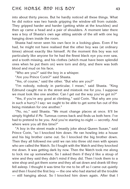into about thirty pieces. But he hardly noticed all these things. What he did notice was two hands gripping the window-sill from outside. They gripped harder and harder (getting white at the knuckles) and then up came a head and a pair of shoulders. A moment later there was a boy of Shasta's own age sitting astride of the sill with one leg hanging down inside the room.

Shasta had never seen his own face in a looking-glass. Even if he had, he might not have realised that the other boy was (at ordinary times) almost exactly like himself. At the moment this boy was not particularly like anyone for he had the finest black eye you ever saw, and a tooth missing, and his clothes (which must have been splendid ones when he put them on) were torn and dirty, and there was both blood and mud on his face.

"Who are you?" said the boy in a whisper.

"Are you Prince Corin?" said Shasta.

"Yes, of course," said the other. "But who are you?"

"I'm nobody, nobody in particular, I mean," said Shasta. "King Edmund caught me in the street and mistook me for you. I suppose we must look like one another. Can I get out the way you've got in?"

"Yes, if you're any good at climbing," said Corin. "But why are you in such a hurry? I say: we ought to be able to get some fun out of this being mistaken for one another."

"No, no," said Shasta. "We must change places at once. It'll be simply frightful if Mr. Tumnus comes back and finds us both here. I've had to pretend to be you. And you're starting to-night — secretly. And where were you all this time?"

"A boy in the street made a beastly joke about Queen Susan," said Prince Corin, "so I knocked him down. He ran howling into a house and his big brother came out. So I knocked the big brother down. Then they all followed me until we ran into three old men with spears who are called the Watch. So I fought with the Watch and they knocked me down. It was getting dark by now. Then the Watch took me along to lock me up somewhere. So I asked them if they'd like a stoup of wine and they said they didn't mind if they did. Then I took them to a wine shop and got them some and they all sat down and drank till they fell asleep. I thought it was time for me to be off so I came out quietly and then I found the first boy — the one who had started all the trouble — still hanging about. So I knocked him down again. After that I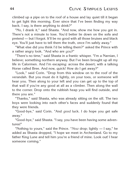climbed up a pipe on to the roof of a house and lay quiet till it began to get light this morning. Ever since that I've been finding my way back. I say, is there anything to drink?"

"No, I drank it," said Shasta. "And now, show me how you got in. There's not a minute to lose. You'd better lie down on the sofa and pretend — but I forgot. It'll be no good with all those bruises and black eye. You'll just have to tell them the truth, once I'm safely away."

"What else did you think I'd be telling them?" asked the Prince with a rather angry look. "And who are *you*?"

"There's no time," said Shasta in a frantic whisper. "I'm a Narnian, I believe; something northern anyway. But I've been brought up all my life in Calormen. And I'm escaping: across the desert; with a talking Horse called Bree. And now, quick! How do I get away?"

"Look," said Corin. "Drop from this window on to the roof of the verandah. But you must do it lightly, on your toes, or someone will hear you. Then along to your left and you can get up to the top of that wall if you're any good at all as a climber. Then along the wall to the corner. Drop onto the rubbish heap you will find outside, and there you are."

"Thanks," said Shasta, who was already sitting on the sill. The two boys were looking into each other's faces and suddenly found that they were friends.

"Good-bye," said Corin. "And *good* luck. I do hope you get safe away."

"Good-bye," said Shasta. "I say, you have been having some adventures!"

"Nothing to yours," said the Prince. "*Now* drop; lightly — I say," he added as Shasta dropped, "I hope we meet in Archenland. Go to my father King Lune and tell him you're a friend of mine. Look out! I hear someone coming."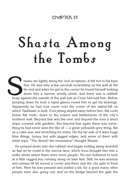#### Chapter VI

# S hasta Among the Tombs

hasta ran lightly along the roof on tiptoes. It felt hot to his bare feet. He was only a few seconds scrambling up the wall at the far end and when he got to the corner he found himself looking down into a narrow, smelly s feet. He was only a few seconds scrambling up the wall at the far end and when he got to the corner he found himself looking down into a narrow, smelly street, and there was a rubbish heap against the outside of the wall just as Corin had told him. Before jumping down he took a rapid glance round him to get his bearings. Apparently he had now come over the crown of the island-hill on which Tashbaan is built. Everything sloped away before him, flat roofs below flat roofs, down to the towers and battlements of the city's northern wall. Beyond that was the river and beyond the river a short slope covered with gardens. But beyond that again there was something he had never seen the like of — a great yellowish-grey thing, flat as a calm sea, and stretching for miles. On the far side of it were huge blue things, lumpy but with jagged edges, and some of them with white tops. "The desert! the mountains!" thought Shasta.

He jumped down onto the rubbish and began trotting along downhill as fast as he could in the narrow lane, which soon brought him into a wider street where there were more people. No-one bothered to look at a little ragged boy running along on bare feet. Still, he was anxious and uneasy till he turned a corner and there saw the city gate in front of him. Here he was pressed and jostled a bit, for a good many other people were also going out; and on the bridge beyond the gate the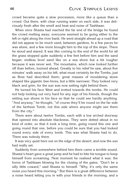crowd became quite a slow procession, more like a queue than a crowd. Out there, with clear running water on each side, it was deliciously fresh after the smell and heat and noise of Tashbaan.

When once Shasta had reached the far end of the bridge he found the crowd melting away; everyone seemed to be going either to the left or right along the river bank. He went straight ahead up a road that did not appear to be much used, between gardens. In a few paces he was alone, and a few more brought him to the top of the slope. There he stood and stared. It was like coming to the end of the world for all the grass stopped quite suddenly a few feet before him and the sand began: endless level sand like on a sea shore but a bit rougher because it was never wet. The mountains, which now looked further off than before, loomed ahead. Greatly to his relief he saw, about five minutes' walk away on his left, what must certainly be the Tombs, just as Bree had described them; great masses of mouldering stone shaped like gigantic bee-hives, but a little narrower. They looked very black and grim, for the sun was now setting right behind them.

He turned his face West and trotted towards the tombs. He could not help looking out very hard for any sign of his friends, though the setting sun shone in his face so that he could see hardly anything. "And anyway," he thought, "of course they'll be round on the far side of the farthest Tomb, not this side where anyone might see them from the city."

There were about twelve Tombs, each with a low arched doorway that opened into absolute blackness. They were dotted about in no kind of order, so that it took a long time, going round this one and going round that one, before you could be sure that you had looked round every side of every tomb. This was what Shasta had to do. There was nobody there.

It was very quiet here out on the edge of the desert; and now the sun had really set.

Suddenly from somewhere behind him there came a terrible sound. Shasta's heart gave a great jump and he had to bite his tongue to keep himself from screaming. Next moment he realised what it was: the horns of Tashbaan blowing for the closing of the gates. "Don't be a silly little coward," said Shasta to himself. "Why, it's only the same noise you heard this morning." But there is a great difference between a noise heard letting you in with your friends in the morning, and a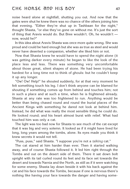noise heard alone at nightfall, shutting you out. And now that the gates were shut he knew there was no chance of the others joining him that evening. "Either they're shut up in Tashbaan for the night," thought Shasta, "or else they've gone on without me. It's just the sort of thing that Aravis would do. But Bree wouldn't. Oh, he wouldn't now, would he?"

In this idea about Aravis Shasta was once more quite wrong. She was proud and could be hard enough but she was as true as steel and would never have deserted a companion, whether she liked him or not.

Now that Shasta knew he would have to spend the night alone (it was getting darker every minute) he began to like the look of the place less and less. There was something very uncomfortable about those great, silent shapes of stone. He had been trying his hardest for a long time not to think of ghouls: but he couldn't keep it up any longer.

"Ow! Ow! Help!" he shouted suddenly, for at that very moment he felt something touch his leg. I don't think anyone can be blamed for shouting if something comes up from behind and touches him; not in such a place and at such a time, when he is frightened already. Shasta at any rate was too frightened to run. Anything would be better than being chased round and round the burial places of the Ancient Kings with something he dared not look at behind him. Instead, he did what was really the most sensible thing he could do. He looked round; and his heart almost burst with relief. What had touched him was only a cat.

The light was too bad now for Shasta to see much of the cat except that it was big and very solemn. It looked as if it might have lived for long, long years among the tombs, alone. Its eyes made you think it knew secrets it would not tell.

"Puss, puss," said Shasta. "I suppose you're not a *talking* cat."

The cat stared at him harder than ever. Then it started walking away, and of course Shasta followed it. It led him right through the Tombs and out on the desert side of them. There it sat down bolt upright with its tail curled round its feet and its face set towards the desert and towards Narnia and the North, as still as if it were watching for some enemy. Shasta lay down beside it with his back against the cat and his face towards the Tombs, because if one is nervous there's nothing like having your face towards the danger and having some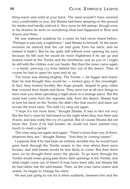thing warm and solid at your back. The sand wouldn't have seemed very comfortable to you, but Shasta had been sleeping on the ground for weeks and hardly noticed it. Very soon he fell asleep, though even in his dreams he went on wondering what had happened to Bree and Aravis and Hwin.

He was wakened suddenly by a noise he had never heard before. "Perhaps it was only a nightmare," said Shasta to himself. At the same moment he noticed that the cat had gone from his back, and he wished it hadn't. But he lay quite still without even opening his eyes because he felt sure he would be more frightened if he sat up and looked round at the Tombs and the loneliness: just as you or I might lie still with the clothes over our heads. But then the noise came again — a harsh, piercing cry from behind him out of the desert. Then of course he had to open his eyes and sit up.

The moon was shining brightly. The Tombs — far bigger and nearer than he had thought they would be — looked grey in the moonlight. In fact, they looked horribly like huge people, draped in grey robes that covered their heads and faces. They were not at all nice things to have near you when spending a night alone in a strange place. But the noise had come from the opposite side, from the desert. Shasta had to turn his back on the Tombs (he didn't like that much) and stare out across the level sand. The wild cry rang out again.

"I hope it's not more lions," thought Shasta. It was in fact not very like the lion's roars he had heard on the night when they met Hwin and Aravis, and was really the cry of a jackal. But of course Shasta did not know this. Even if he had known, he would not have wanted very much to meet a jackal.

The cries rang out again and again. "There's more than one of them, whatever they are," thought Shasta. "And they're coming nearer."

I suppose that if he had been an entirely sensible boy he would have gone back through the Tombs nearer to the river where there were houses, and wild beasts would be less likely to come. But then there were (or he thought there were) the ghouls. To go back through the Tombs would mean going past those dark openings in the Tombs; and what might come out of them? It may have been silly, but Shasta felt he had rather risk the wild beasts. Then, as the cries came nearer and nearer, he began to change his mind.

He was just going to run for it when suddenly, between him and the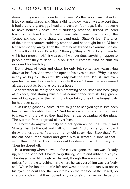desert, a huge animal bounded into view. As the moon was behind it, it looked quite black, and Shasta did not know what it was, except that it had a very big, shaggy head and went on four legs. It did not seem to have noticed Shasta, for it suddenly stopped, turned its head towards the desert and let out a roar which re-echoed through the Tombs and seemed to shake the sand under Shasta's feet. The cries of the other creatures suddenly stopped and he thought he could hear feet scampering away. Then the great beast turned to examine Shasta.

"It's a lion, I know it's a lion," thought Shasta. "I'm done. I wonder will it hurt much. I wish it was over. I wonder does anything happen to people after they're dead. O-o-oh! Here it comes!" And he shut his eyes and his teeth tight.

But instead of teeth and claws he only felt something warm lying down at his feet. And when he opened his eyes he said, "Why, it's not nearly as big as I thought! It's only half the size. No, it isn't even quarter the size. I do declare it's only the cat!! I must have dreamed all that about its being as big as a horse."

And whether he really had been dreaming or no, what was now lying at his feet, and staring him out of countenance with its big, green, unwinking eyes, was the cat; though certainly one of the largest cats he had ever seen.

"Oh Puss," gasped Shasta. "I *am* so glad to see you again. I've been having such horrible dreams." And he at once lay down again, back to back with the cat as they had been at the beginning of the night. The warmth from it spread all over him.

"I'll never do anything nasty to a cat again as long as I live," said Shasta, half to the cat and half to himself. "I did once, you know. I threw stones at a half-starved mangy old stray. Hey! Stop that." For the cat had turned round and given him a scratch. "None of that," said Shasta. "It isn't as if you could understand what I'm saying." Then he dozed off.

Next morning when he woke, the cat was gone, the sun was already up, and the sand hot. Shasta, very thirsty, sat up and rubbed his eyes. The desert was blindingly white and, though there was a murmur of noises from the city behind him, where he sat everything was perfectly still. When he looked a little left and west, so that the sun was not in his eyes, he could see the mountains on the far side of the desert, so sharp and clear that they looked only a stone's throw away. He partic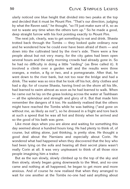ularly noticed one blue height that divided into two peaks at the top and decided that it must be Mount Pire. "That's our direction, judging by what the Raven said," he thought, "so I'll just make sure of it, so as not to waste any time when the others turn up." So he made a good, deep straight furrow with his foot pointing exactly to Mount Pire.

The next job, clearly, was to get something to eat and drink. Shasta trotted back through the Tombs — they looked quite ordinary now and he wondered how he could ever have been afraid of them — and down into the cultivated land by the river's side. There were a few people about but not very many, for the city gates had been open several hours and the early morning crowds had already gone in. So he had no difficulty in doing a little "raiding" (as Bree called it). It involved a climb over a garden wall and the results were three oranges, a melon, a fig or two, and a pomegranate. After that, he went down to the river bank, but not too near the bridge and had a drink. The water was so nice that he took off his hot, dirty clothes and had a dip; for of course Shasta, having lived on the shore all his life, had learned to swim almost as soon as he had learned to walk. When he came out he lay on the grass looking across the water at Tashbaan — all the splendour and strength and glory of it. But that made him remember the dangers of it too. He suddenly realised that the others might have reached the Tombs while he was bathing ("and gone on without me, as likely as not"), so he dressed in a fright and tore back at such a speed that he was all hot and thirsty when he arrived and so the good of his bath was gone.

Like most days when you are alone and waiting for something this day seemed about a hundred hours long. He had plenty to think of, of course, but sitting alone, just thinking, is pretty slow. He thought a good deal about the Narnians and especially about Corin. He wondered what had happened when they discovered that the boy who had been lying on the sofa and hearing all their secret plans wasn't really Corin at all. It was very unpleasant to think of all those nice people imagining him a traitor.

But as the sun slowly, slowly climbed up to the top of the sky and then slowly, slowly began going downwards to the West, and no-one came and nothing at all happened, he began to get more and more anxious. And of course he now realised that when they arranged to wait for one another at the Tombs no-one had said anything about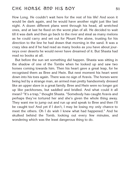How Long. He couldn't wait here for the rest of his life! And soon it would be dark again, and he would have another night just like last night. A dozen different plans went through his head, all wretched ones, and at last he fixed on the worst plan of all. He decided to wait till it was dark and then go back to the river and steal as many melons as he could carry and set out for Mount Pire alone, trusting for his direction to the line he had drawn that morning in the sand. It was a crazy idea and if he had read as many books as you have about journeys over deserts he would never have dreamed of it. But Shasta had read no books at all.

But before the sun set something did happen. Shasta was sitting in the shadow of one of the Tombs when he looked up and saw two horses coming towards him. Then his heart gave a great leap, for he recognised them as Bree and Hwin. But next moment his heart went down into his toes again. There was no sign of Aravis. The horses were being led by a strange man, an armed man pretty handsomely dressed like an upper slave in a great family. Bree and Hwin were no longer got up like packhorses, but saddled and bridled. And what could it all mean? "It's a trap," thought Shasta. "Somebody has caught Aravis and perhaps they've tortured her and she's given the whole thing away. They want me to jump out and run up and speak to Bree and then I'll be caught too! And yet if I don't, I may be losing my only chance to meet the others. Oh I do wish I knew what had happened." And he skulked behind the Tomb, looking out every few minutes, and wondering which was the least dangerous thing to do.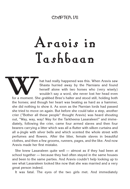#### Chapter VII

## Aravis in Tashbaan



the horses; and though her heart was beating as hard as a hammer, she did nothing to show it. As soon as the Narnian lords had passed she tried to move on again. But before she could take a step, another crier ("Bother all these people" thought Aravis) was heard shouting out, "Way, way, way! Way for the Tarkheena Lasaraleen!" and immediately, following the crier, came four armed slaves and then four bearers carrying a litter which was all a-flutter with silken curtains and all a-jingle with silver bells and which scented the whole street with perfumes and flowers. After the litter, female slaves in beautiful clothes, and then a few grooms, runners, pages, and the like. And now Aravis made her first mistake.

She knew Lasaraleen quite well — almost as if they had been at school together — because they had often stayed in the same houses and been to the same parties. And Aravis couldn't help looking up to see what Lasaraleen looked like now that she was married and a very great person indeed.

It was fatal. The eyes of the two girls met. And immediately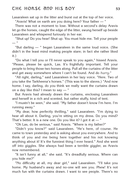Lasaraleen sat up in the litter and burst out at the top of her voice.

"Aravis! What on earth are you doing here? Your father — "

There was not a moment to lose. Without a second's delay Aravis let go the horses, caught the edge of the litter, swung herself up beside Lasaraleen and whispered furiously in her ear.

"Shut up! Do you hear! Shut up. You must hide me. Tell your people — "

"But darling — " began Lasaraleen in the same loud voice. (She didn't in the least mind making people stare; in fact she rather liked it.)

"Do what I tell you or I'll never speak to you again," hissed Aravis. "Please, please be quick, Las. It's frightfully important. Tell your people to bring those two horses along. Pull all the curtains of the litter and get away somewhere where I can't be found. And do *hurry*."

"All right, darling," said Lasaraleen in her lazy voice. "Here. Two of you take the Tarkheena's horses." (This was to the slaves.) "And now home. I say, darling, do you think we really want the curtains drawn on a day like this? I mean to say — "

But Aravis had already drawn the curtains, enclosing Lasaraleen and herself in a rich and scented, but rather stuffy, kind of tent.

"I mustn't be seen," she said. "My father doesn't know I'm here. I'm running away."

"My dear, how perfectly thrilling," said Lasaraleen. "I'm dying to hear all about it. Darling, you're sitting on my dress. Do you mind? That's better. It is a new one. Do you like it? I got it at  $-$  "

"Oh Las, do be serious," said Aravis. "Where is my father?"

"Didn't you know?" said Lasaraleen. "He's here, of course. He came to town yesterday and is asking about you everywhere. And to think of you and me being here together and his not knowing anything about it! It's the funniest thing I ever heard." And she went off into giggles. She always had been a terrible giggler, as Aravis now remembered.

"It isn't funny at all," she said. "It's dreadfully serious. Where can you hide me?"

"No difficulty at all, my dear girl," said Lasaraleen. "I'll take you home. My husband's away and no-one will see you. Phew! It's not much fun with the curtains drawn. I want to see people. There's no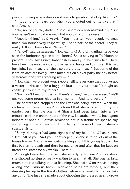point in having a new dress on if one's to go about shut up like this."

"I hope no-one heard you when you shouted out to me like that," said Aravis.

"No, no, of course, darling," said Lasaraleen absent-mindedly. "But you haven't even told me yet what you think of the dress."

"Another thing," said Aravis. "You must tell your people to treat those two horses very respectfully. That's part of the secret. They're really Talking Horses from Narnia."

"Fancy!" said Lasaraleen. "How exciting! And oh, darling, have you seen the barbarian queen from Narnia? She's staying in Tashbaan at present. They say Prince Rabadash is madly in love with her. There have been the most wonderful parties and hunts and things all this last fortnight. I can't see that she's so very pretty myself. But some of the Narnian *men* are lovely. I was taken out on a river party the day before yesterday, and I was wearing my — "

"How shall we prevent your people telling everyone that you've got a visitor — dressed like a beggar's brat — in your house? It might so easily get round to my father."

"Now don't keep on fussing, there's a dear," said Lasaraleen. "We'll get you some proper clothes in a moment. And here we are!"

The bearers had stopped and the litter was being lowered. When the curtains had been drawn Aravis found that she was in a courtyardgarden very like the one that Shasta had been taken into a few minutes earlier in another part of the city. Lasaraleen would have gone indoors at once but Aravis reminded her in a frantic whisper to say something to the slaves about not telling anyone of their mistress's strange visitor.

"Sorry, darling, it had gone right out of my head," said Lasaraleen. "Here. All of you. And you, doorkeeper. No-one is to be let out of the house to-day. And anyone I catch talking about this young lady will be first beaten to death and then burned alive and after that be kept on bread and water for six weeks. There."

Although Lasaraleen had said she was dying to hear Aravis's story, she showed no sign of really wanting to hear it at all. She was, in fact, much better at talking than at listening. She insisted on Aravis having a long and luxurious bath (Calormene baths are famous) and then dressing her up in the finest clothes before she would let her explain anything. The fuss she made about choosing the dresses nearly drove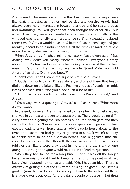Aravis mad. She remembered now that Lasaraleen had always been like that, interested in clothes and parties and gossip. Aravis had always been more interested in bows and arrows and horses and dogs and swimming. You will guess that each thought the other silly. But when at last they were both seated after a meal (it was chiefly of the whipped cream and jelly and fruit and ice sort) in a beautiful pillared room (which Aravis would have liked better if Lasaraleen's spoiled pet monkey hadn't been climbing about it all the time) Lasaraleen at last asked her why she was running away from home.

When Aravis had finished telling her story, Lasaraleen said, "But darling, why *don't* you marry Ahoshta Tarkaan? Everyone's crazy about him. My husband says he is beginning to be one of the greatest men in Calormen. He has just been made Grand Vizier now old Axartha has died. Didn't you know?"

"I don't care. I can't stand the sight of him," said Aravis.

"But darling, only think! Three palaces, and one of them that beautiful one down on the lake at Ilkeen. Positively ropes of pearls, I'm told. Baths of asses' milk. And you'd see such a lot of *me*."

"He can keep his pearls and palaces as far as I'm concerned," said Aravis.

"You always were a queer girl, Aravis," said Lasaraleen. "What more do you want?"

In the end, however, Aravis managed to make her friend believe that she was in earnest and even to discuss plans. There would be no difficulty now about getting the two horses out of the North gate and then on to the Tombs. No-one would stop or question a groom in fine clothes leading a war horse and a lady's saddle horse down to the river, and Lasaraleen had plenty of grooms to send. It wasn't so easy to decide what to do about Aravis herself. She suggested that she could be carried out in the litter with the curtains drawn. But Lasaraleen told her that litters were only used in the city and the sight of one going out through the gate would be certain to lead to questions.

When they had talked for a long time — and it was all the longer because Aravis found it hard to keep her friend to the point — at last Lasaraleen clapped her hands and said, "Oh, I have an idea. There is *one* way of getting out of the city without using the gates. The Tisroc's garden (may he live for ever!) runs right down to the water and there is a little water-door. Only for the palace people of course — but then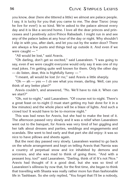you know, dear (here she tittered a little) we almost are palace people. I say, it is lucky for you that you came to me. The dear Tisroc (may he live for ever!) is so kind. We're asked to the palace almost every day and it is like a second home. I love all the dear princes and princesses and I positively *adore* Prince Rabadash. I might run in and see any of the palace ladies at any hour of the day or night. Why shouldn't I slip in with you, after dark, and let you out by the water-door? There are always a few punts and things tied up outside it. And even if we were caught — "

"All would be lost," said Aravis.

"Oh darling, don't get so excited," said Lasaraleen. "I was going to say, even if we were caught everyone would only say it was one of my mad jokes. I'm getting quite well known for them. Only the other day — do listen, dear, this is frightfully funny — "

"I meant, all would be lost *for me*," said Aravis a little sharply.

"Oh — ah — yes — I *do* see what you mean, darling. Well, can you think of any better plan?"

Aravis couldn't, and answered, "No. We'll have to risk it. When can we start?"

"Oh, not to-night," said Lasaraleen. "Of course not to-night. There's a great feast on to-night (I must start getting my hair done for it in a few minutes) and the whole place will be a blaze of lights. And such a crowd too! It would have to be to-morrow night."

This was bad news for Aravis, but she had to make the best of it. The afternoon passed very slowly and it was a relief when Lasaraleen went out to the banquet, for Aravis was very tired of her giggling and her talk about dresses and parties, weddings and engagements and scandals. She went to bed early and that part she did enjoy: it was so nice to have pillows and sheets again.

But the next day passed very slowly. Lasaraleen wanted to go back on the whole arrangement and kept on telling Aravis that Narnia was a country of perpetual snow and ice inhabited by demons and sorcerers, and she was mad to think of going there. "And with a peasant boy, too!" said Lasaraleen. "Darling, think of it! It's not Nice." Aravis had thought of it a good deal, but she was so tired of Lasaraleen's silliness by now that, for the first time, she began to think that travelling with Shasta was really rather more fun than fashionable life in Tashbaan. So she only replied, "You forget that I'll be a nobody,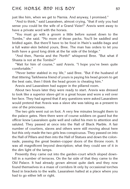just like him, when we get to Narnia. And anyway, I promised."

"And to think," said Lasaraleen, almost crying, "that if only you had sense you could be the wife of a Grand Vizier!" Aravis went away to have a private word with the horses.

"You must go with a groom a little before sunset down to the Tombs," she said. "No more of those packs. You'll be saddled and bridled again. But there'll have to be food in Hwin's saddle-bags and a full water-skin behind yours, Bree. The man has orders to let you both have a good long drink at the far side of the bridge."

"And then, Narnia and the North!" whispered Bree. "But what if Shasta is not at the Tombs?"

"Wait for him of course," said Aravis. "I hope you've been quite comfortable."

"Never better stabled in my life," said Bree. "But if the husband of that tittering Tarkheena friend of yours is paying his head groom to get the best oats, then I think the head groom is cheating him."

Aravis and Lasaraleen had supper in the pillared room.

About two hours later they were ready to start. Aravis was dressed to look like a superior slave-girl in a great house and wore a veil over her face. They had agreed that if any questions were asked Lasaraleen would pretend that Aravis was a slave she was taking as a present to one of the princesses.

The two girls went out on foot. A very few minutes brought them to the palace gates. Here there were of course soldiers on guard but the officer knew Lasaraleen quite well and called his men to attention and saluted. They passed at once into the Hall of Black Marble. A fair number of courtiers, slaves and others were still moving about here but this only made the two girls less conspicuous. They passed on into the Hall of Pillars and then into the Hall of Statues and down the colonnade, passing the great beaten-copper doors of the throne room. It was all magnificent beyond description; what they could see of it in the dim light of the lamps.

Presently they came out into the garden-court which sloped downhill in a number of terraces. On the far side of that they came to the Old Palace. It had already grown almost quite dark and they now found themselves in a maze of corridors lit only by occasional torches fixed in brackets to the walls. Lasaraleen halted at a place where you had to go either left or right.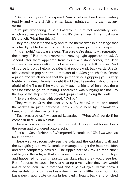"Go on, do go on," whispered Aravis, whose heart was beating terribly and who still felt that her father might run into them at any corner.

"I'm just wondering..." said Lasaraleen. "I'm not absolutely sure which way we go from here. I *think* it's the left. Yes, I'm almost sure it's the left. What fun this is!"

They took the left hand way and found themselves in a passage that was hardly lighted at all and which soon began going down steps.

"It's all right," said Lasaraleen. "I'm sure we're right now. I remember these steps." But at that moment a moving light appeared ahead. A second later there appeared from round a distant corner, the dark shapes of two men walking backwards and carrying tall candles. And of course it is only before royalties that people walk backwards. Aravis felt Lasaraleen grip her arm — that sort of sudden grip which is almost a pinch and which means that the person who is gripping you is very frightened indeed. Aravis thought it odd that Lasaraleen should be so afraid of the Tisroc if he were really such a friend of hers, but there was no time to go on thinking. Lasaraleen was hurrying her back to the top of the steps, on tiptoe, and groping wildly along the wall.

"Here's a door," she whispered. "Quick."

They went in, drew the door very softly behind them, and found themselves in pitch darkness. Aravis could hear by Lasaraleen's breathing that she was terrified.

"Tash preserve us!" whispered Lasaraleen. "What *shall* we do if he comes in here. Can we hide?"

There was a soft carpet under their feet. They groped forward into the room and blundered onto a sofa.

"Let's lie down behind it," whimpered Lasaraleen. "Oh, I *do* wish we hadn't come."

There was just room between the sofa and the curtained wall and the two girls got down. Lasaraleen managed to get the better position and was completely covered. The upper part of Aravis's face stuck out beyond the sofa, so that if anyone came into that room with a light and happened to look in exactly the right place they would see her. But of course, because she was wearing a veil, what they saw would not at once look like a forehead and a pair of eyes. Aravis shoved desperately to try to make Lasaraleen give her a little more room. But Lasaraleen, now quite selfish in her panic, fought back and pinched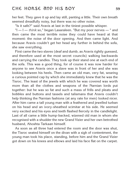her feet. They gave it up and lay still, panting a little. Their own breath seemed dreadfully noisy, but there was no other noise.

"Is it safe?" said Aravis at last in the tiniest possible whisper.

"I — I — *think* so," began Lasaraleen. "But my poor nerves — " and then came the most terrible noise they could have heard at that moment: the noise of the door opening. And then came light. And because Aravis couldn't get her head any further in behind the sofa, she saw everything.

First came the two slaves (deaf and dumb, as Aravis rightly guessed, and therefore used at the most secret councils) walking backwards and carrying the candles. They took up their stand one at each end of the sofa. This was a good thing, for of course it was now harder for anyone to see Aravis once a slave was in front of her and she was looking between his heels. Then came an old man, very fat, wearing a curious pointed cap by which she immediately knew that he was the Tisroc. The least of the jewels with which he was covered was worth more than all the clothes and weapons of the Narnian lords put together: but he was so fat and such a mass of frills and pleats and bobbles and buttons and tassels and talismans that Aravis couldn't help thinking the Narnian fashions (at any rate for men) looked nicer. After him came a tall young man with a feathered and jewelled turban on his head and an ivory-sheathed scimitar at his side. He seemed very excited and his eyes and teeth flashed fiercely in the candlelight. Last of all came a little hump-backed, wizened old man in whom she recognised with a shudder the new Grand Vizier and her own betrothed husband, Ahoshta Tarkaan himself.

As soon as all three had entered the room and the door was shut, the Tisroc seated himself on the divan with a sigh of contentment, the young man took his place, standing, before him and the Grand Vizier got down on his knees and elbows and laid his face flat on the carpet.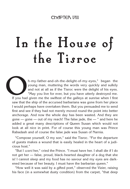#### Chapter VIII

# In the House of the Tisroc

A-my-father-and-oh-the-delight-of-my-eyes," began the young man, muttering the words very quickly and sulkily and not at all as if the Tisroc were the delight of his eyes. "May you live for ever, but you have utterly destr young man, muttering the words very quickly and sulkily and not at all as if the Tisroc were the delight of his eyes. "May you live for ever, but you have utterly destroyed me.

saw that the ship of the accursed barbarians was gone from her place I would perhaps have overtaken them. But you persuaded me to send first and see if they had not merely moved round the point into better anchorage. And now the whole day has been wasted. And they are gone — gone — out of my reach! The false jade, the — " and here he added a great many descriptions of Queen Susan which would not look at all nice in print. For of course this young man was Prince Rabadash and of course the false jade was Susan of Narnia.

"Compose yourself, O my son," said the Tisroc. "For the departure of guests makes a wound that is easily healed in the heart of a judicious host."

"But I *want* her," cried the Prince. "I must have her. I shall die if I do not get her — false, proud, black-hearted daughter of a dog that she is! I cannot sleep and my food has no savour and my eyes are darkened because of her beauty. I must have the barbarian queen."

"How well it was said by a gifted poet," observed the Vizier, raising his face (in a somewhat dusty condition) from the carpet, "that deep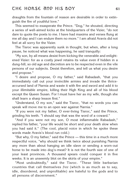draughts from the fountain of reason are desirable in order to extinguish the fire of youthful love."

This seemed to exasperate the Prince. "Dog," he shouted, directing a series of well-aimed kicks at the hindquarters of the Vizier, "do not dare to quote the poets to me. I have had maxims and verses flung at me all day and I can endure them no more." I am afraid Aravis did not feel at all sorry for the Vizier.

The Tisroc was apparently sunk in thought, but when, after a long pause, he noticed what was happening, he said tranquilly:

"My son, by all means desist from kicking the venerable and enlightened Vizier: for as a costly jewel retains its value even if hidden in a dung-hill, so old age and discretion are to be respected even in the vile persons of our subjects. Desist therefore, and tell us what you desire and propose."

"I desire and propose, O my father," said Rabadash, "that you immediately call out your invincible armies and invade the thriceaccursed land of Narnia and waste it with fire and sword and add it to your illimitable empire, killing their High King and all of his blood except the Queen Susan. For I must have her as my wife, though she shall learn a sharp lesson first."

"Understand, O my son," said the Tisroc, "that no words you can speak will move me to an open war against Narnia."

"If you were not my father, O ever-living Tisroc," said the Prince, grinding his teeth. "I should say that was the word of a coward."

"And if you were not my son, O most inflammable Rabadash," replied his father, "your life would be short and your death slow when you had said it." (The cool, placid voice in which he spoke these words made Aravis's blood run cold.)

"But why, O my father," said the Prince — this time in a much more respectful voice, "why should we think twice about punishing Narnia any more than about hanging an idle slave or sending a worn-out horse to be made into dog's-meat? It is not the fourth size of one of your least provinces. A thousand spears could conquer it in five weeks. It is an unseemly blot on the skirts of your empire."

"Most undoubtedly," said the Tisroc. "These little barbarian countries that call themselves *free* (which is as much as to say, idle, disordered, and unprofitable) are hateful to the gods and to all persons of discernment."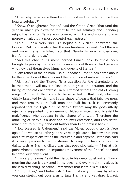"Then why have we suffered such a land as Narnia to remain thus long unsubdued?"

"Know, O enlightened Prince," said the Grand Vizier, "that until the year in which your exalted father began his salutary and unending reign, the land of Narnia was covered with ice and snow and was moreover ruled by a most powerful enchantress."

"This I know very well, O loquacious Vizier," answered the Prince. "But I know also that the enchantress is dead. And the ice and snow have vanished, so that Narnia is now wholesome, fruitful, and delicious."

"And this change, O most learned Prince, has doubtless been brought to pass by the powerful incantations of those wicked persons who now call themselves kings and queens of Narnia."

"I am rather of the opinion," said Rabadash, "that it has come about by the alteration of the stars and the operation of natural causes."

"All this," said the Tisroc, "is a question for the disputations of learned men. I will never believe that so great an alteration, and the killing of the old enchantress, were effected without the aid of strong magic. And such things are to be expected in that land, which is chiefly inhabited by demons in the shape of beasts that talk like men, and monsters that are half man and half beast. It is commonly reported that the High King of Narnia (whom may the gods utterly reject) is supported by a demon of hideous aspect and irresistible maleficence who appears in the shape of a Lion. Therefore the attacking of Narnia is a dark and doubtful enterprise, and I am determined not to put my hand out farther than I can draw it back."

"How blessed is Calormen," said the Vizier, popping up his face again, "on whose ruler the gods have been pleased to bestow prudence and circumspection! Yet as the irrefutable and sapient Tisroc has said it is very grievous to be constrained to keep our hands off such a dainty dish as Narnia. Gifted was that poet who said — " but at this point Ahoshta noticed an impatient movement of the Prince's toe and became suddenly silent.

"It is very grievous," said the Tisroc in his deep, quiet voice. "Every morning the sun is darkened in my eyes, and every night my sleep is the less refreshing, because I remember that Narnia is still free."

"O my father," said Rabadash. "How if I show you a way by which you can stretch out your arm to take Narnia and yet draw it back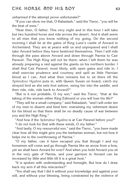unharmed if the attempt prove unfortunate?"

"If you can show me that, O Rabadash," said the Tisroc, "you will be the best of sons."

"Hear then, O father. This very night and in this hour I will take but two hundred horse and ride across the desert. And it shall seem to all men that you know nothing of my going. On the second morning I shall be at the gates of King Lune's castle of Anvard in Archenland. They are at peace with us and unprepared and I shall take Anvard before they have bestirred themselves. Then I will ride through the pass above Anvard and down through Narnia to Cair Paravel. The High King will not be there; when I left them he was already preparing a raid against the giants on his northern border. I shall find Cair Paravel, most likely, with open gates and ride in. I shall exercise prudence and courtesy and spill as little Narnian blood as I can. And what then remains but to sit there till the *Splendour Hyaline* puts in, with Queen Susan on board, catch my strayed bird as she sets foot ashore, swing her into the saddle, and then ride, ride, ride back to Anvard?"

"But is it not probable, O my son," said the Tisroc, "that at the taking of the woman either King Edmund or you will lose his life?"

"They will be a small company," said Rabadash, "and I will order ten of my men to disarm and bind him: restraining my vehement desire for his blood so that there shall be no deadly cause of war between you and the High King."

"And how if the *Splendour Hyaline* is at Cair Paravel before you?"

"I do not look for that with these winds, O my father."

"And lastly, O my resourceful son," said the Tisroc, "you have made clear how all this might give you the barbarian woman, but not how it helps me to the overthrowing of Narnia."

"O my father, can it have escaped you that though I and my horsemen will come and go through Narnia like an arrow from a bow, yet we shall have Anvard for ever? And when you hold Anvard you sit in the very gate of Narnia, and your garrison in Anvard can be increased by little and little till it is a great host."

"It is spoken with understanding and foresight. But how do I draw back my arm if all this miscarries?"

"You shall say that I did it without your knowledge and against your will, and without your blessing, being constrained by the violence of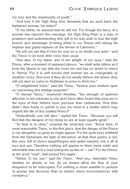my love and the impetuosity of youth."

"And how if the High King then demands that we send back the barbarian woman, his sister?"

"O my father, be assured that he will not. For though the fancy of a woman has rejected this marriage, the High King Peter is a man of prudence and understanding who will in no way wish to lose the high honour and advantage of being allied to our House and seeing his nephew and grand nephew on the throne of Calormen."

"He will not see that if I live for ever as is no doubt your wish," said the Tisroc in an even drier voice than usual.

"And also, O my father and O the delight of my eyes," said the Prince, after a moment of awkward silence, "we shall write letters as if from the Queen to say that she loves me and has no desire to return to Narnia. For it is well known that women are as changeable as weather-cocks. And even if they do not wholly believe the letters, they will not dare to come to Tashbaan in arms to fetch her."

"O enlightened Vizier," said the Tisroc, "bestow your wisdom upon us concerning this strange proposal."

"O eternal Tisroc," answered Ahoshta, "the strength of paternal affection is not unknown to me and I have often heard that sons are in the eyes of their fathers more precious than carbuncles. How then shall I dare freely to unfold to you my mind in a matter which may imperil the life of this exalted Prince?"

"Undoubtedly you will dare," replied the Tisroc. "Because you will find that the dangers of not doing so are at least equally great."

"To hear is to obey," moaned the wretched man. "Know then, O most reasonable Tisroc, in the first place, that the danger of the Prince is not altogether so great as might appear. For the gods have withheld from the barbarians the light of discretion, as that their poetry is not, like ours, full of choice apophthegms and useful maxims, but is all of love and war. Therefore nothing will appear to them more noble and admirable than such a mad enterprise as this of — ow!" For the Prince, at the word "mad", had kicked him again.

"Desist, O my son," said the Tisroc. "And you, estimable Vizier, whether he desists or not, by no means allow the flow of your eloquence to be interrupted. For nothing is more suitable to persons of gravity and decorum than to endure minor inconveniences with constancy."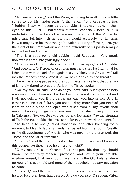"To hear is to obey," said the Vizier, wriggling himself round a little so as to get his hinder parts further away from Rabadash's toe. "Nothing, I say, will seem as pardonable, if not estimable, in their eyes as this  $-$  er  $-$  hazardous attempt, especially because it is undertaken for the love of a woman. Therefore, if the Prince by misfortune fell into their hands, they would assuredly not kill him. Nay, it may even be, that though he failed to carry off the queen, yet the sight of his great valour and of the extremity of his passion might incline her heart to him."

"That is a good point, old babbler," said Rabadash. "Very good, however it came into your ugly head."

"The praise of my masters is the light of my eyes," said Ahoshta. "And secondly, O Tisroc, whose reign must and shall be interminable, I think that with the aid of the gods it is very likely that Anvard will fall into the Prince's hands. And if so, we have Narnia by the throat."

There was a long pause and the room became so silent that the two girls hardly dared to breathe. At last the Tisroc spoke.

"Go, my son," he said. "And do as you have said. But expect no help nor countenance from me. I will not avenge you if you are killed and I will not deliver you if the barbarians cast you into prison. And if, either in success or failure, you shed a drop more than you need of Narnian noble blood and open war arises from it, my favour shall never fall upon you again and your next brother shall have your place in Calormen. Now go. Be swift, secret, and fortunate. May the strength of Tash the inexorable, the irresistible be in your sword and lance."

"To hear is to obey," cried Rabadash, and after kneeling for a moment to kiss his father's hands he rushed from the room. Greatly to the disappointment of Aravis, who was now horribly cramped, the Tisroc and the Vizier remained.

"O Vizier," said the Tisroc, "is it certain that no living soul knows of this council we three have held here to-night?"

"O my master," said Ahoshta, "it is not possible that any should know. For that very reason I proposed, and you in your infallible wisdom agreed, that we should meet here in the Old Palace where no council is ever held and none of the household has any occasion to come."

"It is well," said the Tisroc. "If any man knew, I would see to it that he died before an hour had passed. And do you also, O prudent Vizier,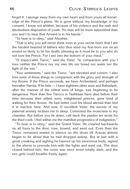forget it. I sponge away from my own heart and from yours all knowledge of the Prince's plans. He is gone without my knowledge or my consent, I know not whither, because of his violence and the rash and disobedient disposition of youth. No man will be more astonished than you and I to hear that Anvard is in his hands."

"To hear is to obey," said Ahoshta.

"That is why you will never think even in your secret heart that I am the hardest hearted of fathers who thus send my first-born son on an errand so likely to be his death; pleasing as it must be to you who do not love the Prince. For I see into the bottom of your mind."

"O impeccable Tisroc," said the Vizier. "In comparison with you I love neither the Prince nor my own life nor bread nor water nor the light of the sun."

"Your sentiments," said the Tisroc, "are elevated and correct. I also love none of these things in comparison with the glory and strength of my throne. If the Prince succeeds, we have Archenland, and perhaps hereafter Narnia. If he fails — I have eighteen other sons and Rabadash, after the manner of the eldest sons of kings, was beginning to be dangerous. More than five Tisrocs in Tashbaan have died before their time because their eldest sons, enlightened princes, grew tired of waiting for their throne. He had better cool his blood abroad than boil it in inaction here. And now, O excellent Vizier, the excess of my paternal anxiety inclines me to sleep. Command the musicians to my chamber. But before you lie down, call back the pardon we wrote for the third cook. I feel within me the manifest prognostics of indigestion."

"To hear is to obey," said the Grand Vizier. He crawled backwards on all fours to the door, rose, bowed, and went out. Even then the Tisroc remained seated in silence on the divan till Aravas almost began to be afraid that he had dropped asleep. But at last with a great creaking and sighing he heaved up his enormous body, signed to the slaves to precede him with the lights and went out. The door closed behind him, the room was once more totally dark, and the two girls could breathe freely again.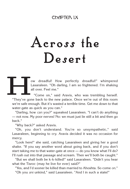#### Chapter IX

## Across the Desert

Now dreadful! How perfectly dreadful!" whimpered<br>Lasaraleen. "Oh darling, I am so frightened. I'm shaking<br>all over. Feel me."<br>"Come on," said Aravis, who was trembling herself.<br>"They've gone back to the new palace. Once we Lasaraleen. "Oh darling, I am so frightened. I'm shaking all over. Feel me."

"Come on," said Aravis, who was trembling herself. "They've gone back to the new palace. Once we're out of this room we're safe enough. But it's wasted a terrible time. Get me down to that water-gate as quick as you can."

"Darling, how *can* you?" squeaked Lasaraleen. "I can't do anything — not now. My poor nerves! No: we must just lie still a bit and then go back."

"Why back?" asked Aravis.

"Oh, you don't understand. You're so unsympathetic," said Lasaraleen, beginning to cry. Aravis decided it was no occasion for mercy.

"Look here!" she said, catching Lasaraleen and giving her a good shake. "If you say another word about going back, and if you don't start taking me to that water-gate at once — do you know what I'll do? I'll rush out into that passage and scream. Then we'll both be caught."

"But we shall both be k-k-killed!" said Lasaraleen. "Didn't you hear what the Tisroc (may he live for ever) said?"

"Yes, and I'd sooner be killed than married to Ahoshta. So come *on*." "Oh you *are* unkind," said Lasaraleen. "And I in such a state!"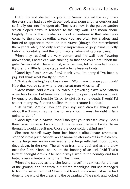But in the end she had to give in to Aravis. She led the way down the steps they had already descended, and along another corridor and so finally out into the open air. They were now in the palace garden which sloped down in terraces to the city wall. The moon shone brightly. One of the drawbacks about adventures is that when you come to the most beautiful places you are often too anxious and hurried to appreciate them; so that Aravis (though she remembered them years later) had only a vague impression of grey lawns, quietly bubbling fountains, and the long black shadows of cypress trees.

When they reached the very bottom and the wall rose frowning above them, Lasaraleen was shaking so that she could not unbolt the gate. Aravis did it. There, at last, was the river, full of reflected moonlight, and a little landing stage and a few pleasure boats.

"Good-bye," said Aravis, "and thank you. I'm sorry if I've been a pig. But think what I'm flying from!"

"Oh Aravis darling," said Lasaraleen. "Won't you change your mind? Now that you've seen what a very great man Ahoshta is!"

"Great man!" said Aravis. "A hideous grovelling slave who flatters when he's kicked but treasures it all up and hopes to get his own back by egging on that horrible Tisroc to plot his son's death. Faugh! I'd sooner marry my father's scullion than a creature like that."

"Oh Aravis, Aravis! How can you say such dreadful things; and about the Tisroc (may he live for ever) too. It must be right if *he's* going to do it!"

"Good-bye," said Aravis, "and I thought your dresses lovely. And I think your house is lovely too. I'm sure you'll have a lovely life though it wouldn't suit me. Close the door softly behind me."

She tore herself away from her friend's affectionate embraces, stepped into a punt, cast off, and a moment later was out in midstream, with a huge real moon overhead and a huge reflected moon down, deep down, in the river. The air was fresh and cool and as she drew near the further bank she heard the hooting of an owl. "Ah! That's better!" thought Aravis. She had always lived in the country and had hated every minute of her time in Tashbaan.

When she stepped ashore she found herself in darkness for the rise of the ground, and the trees, cut off the moonlight. But she managed to find the same road that Shasta had found, and came just as he had done to the end of the grass and the beginning of the sand, and looked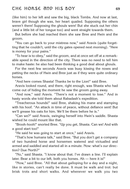(like him) to her left and saw the big, black Tombs. And now at last, brave girl though she was, her heart quailed. Supposing the others weren't there! Supposing the ghouls were! But she stuck out her chin (and a little bit of her tongue too) and went straight towards them.

But before she had reached them she saw Bree and Hwin and the groom.

"You can go back to your mistress now," said Aravis (quite forgetting that he couldn't, until the city gates opened next morning). "Here is money for your pains."

"To hear is to obey," said the groom, and at once set off at a remarkable speed in the direction of the city. There was no need to tell him to make haste: he also had been thinking a good deal about ghouls.

For the next few seconds Aravis was busy kissing the noses and patting the necks of Hwin and Bree just as if they were quite ordinary horses.

"And here comes Shasta! Thanks be to the Lion!" said Bree.

Aravis looked round, and there, right enough, was Shasta who had come out of hiding the moment he saw the groom going away.

"And now," said Aravis. "There's not a moment to lose." And in hasty words she told them about Rabadash's expedition.

"Treacherous hounds!" said Bree, shaking his mane and stamping with his hoof. "An attack in time of peace, without defiance sent! But we'll grease his oats for him. We'll be there before he is."

"Can we?" said Aravis, swinging herself into Hwin's saddle. Shasta wished he could mount like that.

"Brooh-hooh!" snorted Bree. "Up you get, Shasta. Can we! And with a good start too!"

"He said he was going to start at once," said Aravis.

"That's how humans talk," said Bree. "But you don't get a company of two hundred horse and horsemen watered and victualled and armed and saddled and started all in a minute. Now: what's our direction? Due North?"

"No," said Shasta. "I know about that. I've drawn a line. I'll explain later. Bear a bit to our left, both you horses. Ah — here it is!"

"Now," said Bree. "All that about galloping for a day and a night, like in stories, can't really be done. It must be walk and trot: but brisk trots and short walks. And whenever we walk you two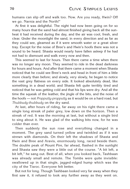humans can slip off and walk too. Now. Are you ready, Hwin? Off we go. Narnia and the North!"

At first it was delightful. The night had now been going on for so many hours that the sand had almost finished giving back all the sunheat it had received during the day, and the air was cool, fresh, and clear. Under the moonlight the sand, in every direction and as far as they could see, gleamed as if it were smooth water or a great silver tray. Except for the noise of Bree's and Hwin's hoofs there was not a sound to be heard. Shasta would nearly have fallen asleep if he had not had to dismount and walk every now and then.

This seemed to last for hours. Then there came a time when there was no longer any moon. They seemed to ride in the dead darkness for hours and hours. And after that there came a moment when Shasta noticed that he could see Bree's neck and head in front of him a little more clearly than before; and slowly, very slowly, he began to notice the vast grey flatness on every side. It looked absolutely dead, like something in a dead world; and Shasta felt quite terribly tired and noticed that he was getting cold and that his lips were dry. And all the time the squeak of the leather, the jingle of the bits, and the noise of the hoofs — not *Propputty-propputty* as it would be on a hard road, but *Thubbudy-thubbudy* on the dry sand.

At last, after hours of riding, far away on his right there came a single long streak of paler grey, low down on the horizon. Then a streak of red. It was the morning at last, but without a single bird to sing about it. He was glad of the walking bits now, for he was colder than ever.

Then suddenly the sun rose and everything changed in a moment. The grey sand turned yellow and twinkled as if it was strewn with diamonds. On their left the shadows of Shasta and Hwin and Bree and Aravis, enormously long, raced beside them. The double peak of Mount Pire, far ahead, flashed in the sunlight and Shasta saw they were a little out of the course. "A bit left, a bit left," he sang out. Best of all, when you looked back, Tashbaan was already small and remote. The Tombs were quite invisible: swallowed up in that single, jagged-edged hump which was the city of the Tisroc. Everyone felt better.

But not for long. Though Tashbaan looked very far away when they first saw it, it refused to look any further away as they went on.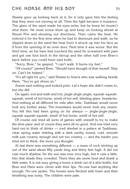Shasta gave up looking back at it, for it only gave him the feeling that they were not moving at all. Then the light became a nuisance. The glare of the sand made his eyes ache: but he knew he mustn't shut them. He must screw them up and keep on looking ahead at Mount Pire and shouting out directions. Then came the heat. He noticed it for the first time when he had to dismount and walk: as he slipped down to the sand the heat from it struck up into his face as if from the opening of an oven door. Next time it was worse. But the third time, as his bare feet touched the sand he screamed with pain and got one foot back in the stirrup and the other half over Bree's back before you could have said knife.

"Sorry, Bree," he gasped. "I can't walk. It burns my feet."

"Of course!" panted Bree. "Should have thought of that myself. Stay on. Can't be helped."

"It's all right for *you*," said Shasta to Aravis who was walking beside Hwin. "You've got shoes on."

Aravis said nothing and looked prim. Let's hope she didn't mean to, but she did.

On again, trot and walk and trot, jingle-jingle-jingle, squeak-squeaksqueak, smell of hot horse, smell of hot self, blinding glare, headache. And nothing at all different for mile after mile. Tashbaan would never look any further away. The mountains would never look any nearer. You felt this had been going on for always — jingle-jingle-jingle, squeak-squeak-squeak, smell of hot horse, smell of hot self.

Of course one tried all sorts of games with oneself to try to make the time pass: and of course they were all no good. And one tried very hard not to think of drinks — iced sherbet in a palace at Tashbaan, clear spring water tinkling with a dark earthy sound, cold, smooth milk just creamy enough and not too creamy — and the harder you tried not to think, the more you thought.

At last there was something different — a mass of rock sticking up out of the sand about fifty yards long and thirty feet high. It did not cast much shadow, for the sun was now very high, but it cast a little. Into that shade they crowded. There they ate some food and drank a little water. It is not easy giving a horse a drink out of a skin bottle, but Bree and Hwin were clever with their lips. No-one had anything like enough. No-one spoke. The horses were flecked with foam and their breathing was noisy. The children were pale.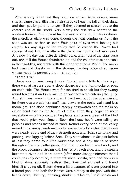After a very short rest they went on again. Same noises, same smells, same glare, till at last their shadows began to fall on their right, and then got longer and longer till they seemed to stretch out to the eastern end of the world. Very slowly the sun drew nearer to the western horizon. And now at last he was down and, thank goodness, the merciless glare was gone, though the heat coming up from the sand was still as bad as ever. Four pairs of eyes were looking out eagerly for any sign of the valley that Sallowpad the Raven had spoken about. But, mile after mile, there was nothing but level sand. And now the day was quite definitely done, and most of the stars were out, and still the Horses thundered on and the children rose and sank in their saddles, miserable with thirst and weariness. Not till the moon had risen did Shasta — in the strange, barking voice of someone whose mouth is perfectly dry — shout out:

"There it is!"

There was no mistaking it now. Ahead, and a little to their right, there was at last a slope: a slope downward and hummocks of rock on each side. The Horses were far too tired to speak but they swung round towards it and in a minute or two they were entering the gully. At first it was worse in there than it had been out in the open desert, for there was a breathless stuffiness between the rocky walls and less moonlight. The slope continued steeply downwards and the rocks on either hand rose to the height of cliffs. Then they began to meet vegetation — prickly cactus-like plants and coarse grass of the kind that would prick your fingers. Soon the horse-hoofs were falling on pebbles and stones instead of sand. Round every bend of the valley — and it had many bends — they looked eagerly for water. The Horses were nearly at the end of their strength now, and Hwin, stumbling and panting, was lagging behind Bree. They were almost in despair before at last they came to a little muddiness and a tiny trickle of water through softer and better grass. And the trickle became a brook, and the brook became a stream with bushes on each side, and the stream became a river, and there came (after more disappointments than I could possibly describe) a moment when Shasta, who had been in a kind of doze, suddenly realised that Bree had stopped and found himself slipping off. Before them a little cataract of water poured into a broad pool: and both the Horses were already in the pool with their heads down, drinking, drinking, drinking. "O-o-oh," said Shasta and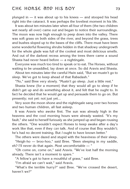plunged in  $-$  it was about up to his knees  $-$  and stooped his head right into the cataract. It was perhaps the loveliest moment in his life.

It was about ten minutes later when all four of them (the two children wet nearly all over) came out and began to notice their surroundings. The moon was now high enough to peep down into the valley. There was soft grass on both sides of the river, and beyond the grass, trees and bushes sloped up to the bases of the cliffs. There must have been some wonderful flowering shrubs hidden in that shadowy undergrowth for the whole glade was full of the coolest and most delicious smells. And out of the darkest recess among the trees there came a sound Shasta had never heard before — a nightingale.

Everyone was much too tired to speak or to eat. The Horses, without waiting to be unsaddled, lay down at once. So did Aravis and Shasta.

About ten minutes later the careful Hwin said, "But we mustn't go to sleep. We've got to keep ahead of that Rabadash."

"No," said Bree very slowly. "Mustn't go sleep. Just a little rest."

Shasta knew (for a moment) that they would all go to sleep if he didn't get up and do something about it, and felt that he ought to. In fact he decided that he would get up and persuade them to go on. But presently; not yet: not just yet...

Very soon the moon shone and the nightingale sang over two horses and two human children, all fast asleep.

It was Aravis who awoke first. The sun was already high in the heavens and the cool morning hours were already wasted. "It's my fault," she said to herself furiously as she jumped up and began rousing the others. "One wouldn't expect Horses to keep awake after a day's work like that, even if they *can* talk. And of course that Boy wouldn't; he's had no decent training. But *I* ought to have known better."

The others were dazed and stupid with the heaviness of their sleep.

"Heigh-ho — broo-hoo," said Bree. "Been sleeping in my saddle, eh? I'll never do that again. Most uncomfortable — "

"Oh come on, come on," said Aravis. "We've lost half the morning already. There isn't a moment to spare."

"A fellow's got to have a mouthful of grass," said Bree.

"I'm afraid we can't wait," said Aravis.

"What's the terrible hurry?" said Bree. "We've crossed the desert, haven't we?"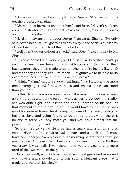"But we're not in Archenland yet," said Aravis. "And we've got to get there before Rabadash."

"Oh, we must be miles ahead of him," said Bree. "Haven't we been coming a shorter way? Didn't that Raven friend of yours say this was a short cut, Shasta?"

"He didn't say anything about *shorter*," answered Shasta. "He only said *better*, because you got to a river this way. If the oasis is due North of Tashbaan, then I'm afraid this may be longer."

"Well I can't go on without a snack," said Bree. "Take my bridle off, Shasta."

"P-please," said Hwin, very shyly, "I feel just like Bree that I can't go on. But when Horses have humans (with spurs and things) on their backs, aren't they often made to go on when they're feeling like this? and then they find they can. I m-mean — oughtn't we to be able to do even more, now that we're free. It's all for Narnia."

"I think, Ma'am," said Bree very crushingly, "that I know a little more about campaigns and forced marches and what a horse can stand than you do."

To this Hwin made no answer, being, like most highly bred mares, a very nervous and gentle person who was easily put down. In reality she was quite right, and if Bree had had a Tarkaan on his back at that moment to make him go on, he would have found that he was good for several hours' hard going. But one of the worst results of being a slave and being forced to do things is that when there is no-one to force you any more you find you have almost lost the power of forcing yourself.

So they had to wait while Bree had a snack and a drink, and of course Hwin and the children had a snack and a drink too. It must have been nearly eleven o'clock in the morning before they finally got going again. And even then Bree took things much more gently than yesterday. It was really Hwin, though she was the weaker and more tired of the two, who set the pace.

The valley itself, with its brown, cool river, and grass and moss and wild flowers and rhododendrons, was such a pleasant place that it made you want to ride slowly.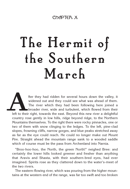#### Chapter X

## The Hermit of the S outhern March

fter they had ridden for several hours down the valley, it widened out and they could see what was ahead of them. The river which they had been following here joined a broader river, wide and turbulent, which flowed from t widened out and they could see what was ahead of them. The river which they had been following here joined a broader river, wide and turbulent, which flowed from their left to their right, towards the east. Beyond this new river a delightful country rose gently in low hills, ridge beyond ridge, to the Northern Mountains themselves. To the right there were rocky pinnacles, one or two of them with snow clinging to the ledges. To the left, pine-clad slopes, frowning cliffs, narrow gorges, and blue peaks stretched away as far as the eye could reach. He could no longer make out Mount Pire. Straight ahead the mountain range sank to a wooded saddle which of course must be the pass from Archenland into Narnia.

"Broo-hoo-hoo, the North, the green North!" neighed Bree: and certainly the lower hills looked greener and fresher than anything that Aravis and Shasta, with their southern-bred eyes, had ever imagined. Spirits rose as they clattered down to the water's-meet of the two rivers.

The eastern-flowing river, which was pouring from the higher mountains at the western end of the range, was far too swift and too broken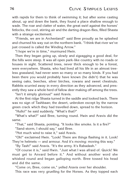with rapids for them to think of swimming it; but after some casting about, up and down the bank, they found a place shallow enough to wade. The roar and clatter of water, the great swirl against the horses' fetlocks, the cool, stirring air and the darting dragon-flies, filled Shasta with a strange excitement.

"Friends, we are in Archenland!" said Bree proudly as he splashed and churned his way out on the northern bank. "I think that river we've just crossed is called the Winding Arrow."

"I hope we're in time," murmured Hwin.

Then they began going up, slowly and zigzagging a good deal, for the hills were steep. It was all open park-like country with no roads or houses in sight. Scattered trees, never thick enough to be a forest, were everywhere. Shasta, who had lived all his life in an almost treeless grassland, had never seen so many or so many kinds. If you had been there you would probably have known (he didn't) that he was seeing oaks, beeches, silver birches, rowans and sweet chestnuts. Rabbits scurried away in every direction as they advanced, and presently they saw a whole herd of fallow deer making off among the trees.

"Isn't it simply glorious!" said Aravis.

At the first ridge Shasta turned in the saddle and looked back. There was no sign of Tashbaan; the desert, unbroken except by the narrow green crack which they had travelled down, spread to the horizon.

"Hullo!" he said suddenly. "What's that?"

"What's what?" said Bree, turning round. Hwin and Aravis did the same.

"That," said Shasta, pointing. "It looks like smoke. Is it a fire?"

"Sand-storm, I should say," said Bree.

"Not much wind to raise it," said Aravis.

"Oh!" exclaimed Hwin. "Look! There are things flashing in it. Look! They're helmets — and armour. And it's moving: moving this way."

"By Tash!" said Aravis. "It's the army. It's Rabadash."

"Of course it is," said Hwin. "Just what I was afraid of. Quick! We must get to Anvard before it." And without another word she whisked round and began galloping north. Bree tossed his head and did the same.

"Come *on*, Bree, come on," yelled Aravis over her shoulder.

This race was very gruelling for the Horses. As they topped each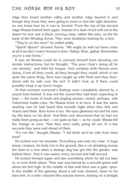ridge they found another valley and another ridge beyond it; and though they knew they were going in more or less the right direction, no one knew how far it was to Anvard. From the top of the second ridge Shasta looked back again. Instead of a dust-cloud well out in the desert he now saw a black, moving mass, rather like ants, on the far bank of the Winding Arrow. They were doubtless looking for a ford.

"They're on the river!" he yelled wildly.

"Quick! Quick!" shouted Aravis. "We might as well not have come at all if we don't reach Anvard in time. Gallop, Bree, gallop. Remember you're a war-horse."

It was all Shasta could do to prevent himself from shouting out similar instructions; but he thought, "The poor chap's doing all he can already," and held his tongue. And certainly both Horses were doing, if not all they could, all they thought they could; which is not quite the same thing. Bree had caught up with Hwin and they thundered side by side over the turf. It didn't look as if Hwin could possibly keep it up much longer.

At that moment everyone's feelings were completely altered by a sound from behind. It was not the sound they had been expecting to hear — the noise of hoofs and jingling armour, mixed, perhaps, with Calormene battle-cries. Yet Shasta knew it at once. It was the same snarling roar he had heard that moonlit night when they first met Aravis and Hwin. Bree knew it too. His eyes gleamed red and his ears lay flat back on his skull. And Bree now discovered that he had not really been going as fast — not quite as fast — as he could. Shasta felt the change at once. Now they were really going all out. In a few seconds they were well ahead of Hwin.

"It's not fair," thought Shasta. "I *did* think we'd be safe from lions here!"

He looked over his shoulder. Everything was only too clear. A huge tawny creature, its body low to the ground, like a cat streaking across the lawn to a tree when a strange dog has got into the garden, was behind them. And it was nearer every second and half second.

He looked forward again and saw something which he did not take in, or even think about. Their way was barred by a smooth green wall about ten feet high. In the middle of that wall there was a gate, open. In the middle of the gateway stood a tall man dressed, down to his bare feet, in a robe coloured like autumn leaves, leaning on a straight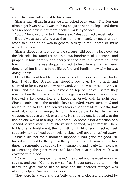staff. His beard fell almost to his knees.

Shasta saw all this in a glance and looked back again. The lion *had* almost got Hwin now. It was making snaps at her hind legs, and there was no hope now in her foam-flecked, wide-eyed face.

"Stop," bellowed Shasta in Bree's ear. "Must go back. Must help!"

Bree always said afterwards that he never heard, or never understood this; and as he was in general a very truthful horse we must accept his word.

Shasta slipped his feet out of the stirrups, slid both his legs over on the left side, hesitated for one hideous hundredth of a second, and jumped. It hurt horribly and nearly winded him; but before he knew how it hurt him he was staggering back to help Aravis. He had never done anything like this in his life before and hardly knew why he was doing it now.

One of the most terrible noises in the world, a horse's scream, broke from Hwin's lips. Aravis was stooping low over Hwin's neck and seemed to be trying to draw her sword. And now all three — Aravis, Hwin, and the lion — were almost on top of Shasta. Before they reached him the lion rose on its hind legs, larger than you would have believed a lion could be, and jabbed at Aravis with its right paw. Shasta could see all the terrible claws extended. Aravis screamed and reeled in the saddle. The lion was tearing her shoulders. Shasta, half mad with horror, managed to lurch towards the brute. He had no weapon, not even a stick or a stone. He shouted out, idiotically, at the lion as one would at a dog. "Go home! Go home!" For a fraction of a second he was staring right into its wide-opened, raging mouth. Then, to his utter astonishment, the lion, still on its hind legs, checked itself suddenly, turned head over heels, picked itself up, and rushed away.

Shasta did not for a moment suppose it had gone for good. He turned and raced for the gate in the green wall which, now for the first time, he remembered seeing. Hwin, stumbling and nearly fainting, was just entering the gate: Aravis still kept her seat but her back was covered with blood.

"Come in, my daughter, come in," the robed and bearded man was saying, and then "Come in, my son" as Shasta panted up to him. He heard the gate closed behind him; and the bearded stranger was already helping Aravis off her horse.

They were in a wide and perfectly circular enclosure, protected by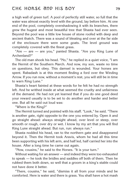a high wall of green turf. A pool of perfectly still water, so full that the water was almost exactly level with the ground, lay before him. At one end of the pool, completely overshadowing it with its branches, there grew the hugest and most beautiful tree that Shasta had ever seen. Beyond the pool was a little low house of stone roofed with deep and ancient thatch. There was a sound of bleating and over at the far side of the enclosure there were some goats. The level ground was completely covered with the finest grass.

"Are — are — are you," panted Shasta. "Are you King Lune of Archenland?"

The old man shook his head. "No," he replied in a quiet voice, "I am the Hermit of the Southern March. And now, my son, waste no time on questions, but obey. This damsel is wounded. Your horses are spent. Rabadash is at this moment finding a ford over the Winding Arrow. If you run now, without a moment's rest, you will still be in time to warn King Lune."

Shasta's heart fainted at these words for he felt he had no strength left. And he writhed inside at what seemed the cruelty and unfairness of the demand. He had not yet learned that if you do one good deed your reward usually is to be set to do another and harder and better one. But all he said out loud was:

"Where is the King?"

The Hermit turned and pointed with his staff. "Look," he said. "There is another gate, right opposite to the one you entered by. Open it and go straight ahead: always straight ahead, over level or steep, over smooth or rough, over dry or wet. I know by my art that you will find King Lune straight ahead. But run, run: always run."

Shasta nodded his head, ran to the northern gate and disappeared beyond it. Then the Hermit took Aravis, whom he had all this time been supporting with his left arm, and half led, half carried her into the house. After a long time he came out again.

"Now, cousins," he said to the Horses. "It is your turn."

Without waiting for an answer — and indeed they were too exhausted to speak — he took the bridles and saddles off both of them. Then he rubbed them both down, so well that a groom in a king's stable could not have done it better.

"There, cousins," he said, "dismiss it all from your minds and be comforted. Here is water and there is grass. You shall have a hot mash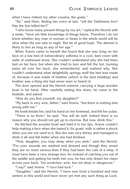when I have milked my other cousins, the goats."

"Sir," said Hwin, finding her voice at last, "will the Tarkheena live? Has the lion killed her?"

"I who know many present things by my art," replied the Hermit with a smile, "have yet little knowledge of things future. Therefore I do not know whether any man or woman or beast in the whole world will be alive when the sun sets to-night. But be of good hope. The damsel is likely to live as long as any of her age."

When Aravis came to herself she found that she was lying on her face on a low bed of extraordinary softness in a cool, bare room with walls of undressed stone. She couldn't understand why she had been laid on her face; but when she tried to turn and felt the hot, burning pains all over her back, she remembered, and realised why. She couldn't understand what delightfully springy stuff the bed was made of, because it was made of heather (which is the best bedding) and heather was a thing she had never seen or heard of.

The door opened and the Hermit entered, carrying a large wooden bowl in his hand. After carefully setting this down, he came to the bedside, and asked:

"How do you find yourself, my daughter?"

"My back is very sore, father," said Aravis, "but there is nothing else wrong with me."

He knelt beside her, laid his hand on her forehead, and felt her pulse.

"There is no fever," he said. "You will do well. Indeed there is no reason why you should not get up to-morrow. But now, drink this."

He fetched the wooden bowl and held it to her lips. Aravis couldn't help making a face when she tasted it, for goats' milk is rather a shock when you are not used to it. But she was very thirsty and managed to drink it all and felt better when she had finished.

"Now, daughter, you may sleep when you wish," said the Hermit. "For your wounds are washed and dressed and though they smart they are no more serious than if they had been the cuts of a whip. It must have been a very strange lion; for instead of catching you out of the saddle and getting his teeth into you, he has only drawn his claws across your back. Ten scratches: sore, but not deep or dangerous."

"I say!" said Aravis. "I *have* had luck."

"Daughter," said the Hermit, "I have now lived a hundred and nine winters in this world and have never yet met any such thing as Luck.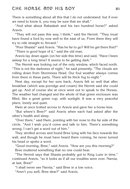There is something about all this that I do not understand: but if ever we need to know it, you may be sure that we shall."

"And what about Rabadash and his two hundred horse?" asked Aravis.

"They will not pass this way, I think," said the Hermit. "They must have found a ford by now well to the east of us. From there they will try to ride straight to Anvard."

"Poor Shasta!" said Aravis. "Has he far to go? Will he get there first?" "There is good hope of it," said the old man.

Aravis lay down again (on her side this time) and said, "Have I been asleep for a long time? It seems to be getting dark."

The Hermit was looking out of the only window, which faced north. "This is not the darkness of night," he said presently. "The clouds are rolling down from Stormness Head. Our foul weather always comes from there in these parts. There will be thick fog to-night."

Next day, except for her sore back, Aravis felt so well that after breakfast (which was porridge and cream) the Hermit said she could get up. And of course she at once went out to speak to the Horses. The weather had changed and the whole of that green enclosure was filled, like a great green cup, with sunlight. It was a very peaceful place, lonely and quiet.

Hwin at once trotted across to Aravis and gave her a horse-kiss.

"But where's Bree?" said Aravis when each had asked after the other's health and sleep.

"Over there," said Hwin, pointing with her nose to the far side of the circle. "And I wish you'd come and talk to him. There's something wrong, I can't get a word out of him."

They strolled across and found Bree lying with his face towards the wall, and though he must have heard them coming, he never turned his head or spoke a word.

"Good morning, Bree," said Aravis. "How are you this morning?" Bree muttered something that no one could hear.

"The Hermit says that Shasta probably got to King Lune in time," continued Aravis, "so it looks as if all our troubles were over. Narnia, at last, Bree!"

"I shall never see Narnia," said Bree in a low voice.

"Aren't you well, Bree dear?" said Aravis.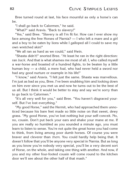Bree turned round at last, his face mournful as only a horse's can be.

"I shall go back to Calormen," he said.

"What?" said Aravis. "Back to slavery!"

"Yes," said Bree. "Slavery is all I'm fit for. How can I ever show my face among the free Horses of Narnia? — I who left a mare and a girl and a boy to be eaten by lions while I galloped all I could to save my own wretched skin!"

"We all ran as hard as we could," said Hwin.

"Shasta didn't!" snorted Bree. "At least he ran in the right direction: ran *back*. And that is what shames me most of all. I, who called myself a war-horse and boasted of a hundred fights, to be beaten by a little human boy — a child, a mere foal, who had never held a sword nor had any good nurture or example in his life!"

"I know," said Aravis. "I felt just the same. Shasta was marvellous. I'm just as bad as you, Bree. I've been snubbing him and looking down on him ever since you met us and now he turns out to be the best of us all. But I think it would be better to stay and say we're sorry than to go back to Calormen."

"It's all very well for you," said Bree. "You haven't disgraced yourself. But I've lost everything."

"My good Horse," said the Hermit, who had approached them unnoticed because his bare feet made so little noise on that sweet, dewy grass. "My good Horse, you've lost nothing but your self-conceit. No, no, cousin. Don't put back your ears and shake your mane at me. If you are really so humbled as you sounded a minute ago, you must learn to listen to sense. You're not quite the great horse you had come to think, from living among poor dumb horses. Of course you were braver and cleverer than *them*. You could hardly help being that. It doesn't follow that you'll be anyone very special in Narnia. But as long as you know you're nobody very special, you'll be a very decent sort of Horse, on the whole, and taking one thing with another. And now, if you and my other four-footed cousin will come round to the kitchen door we'll see about the other half of that mash."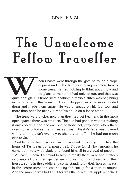#### Chapter XI

### The Unwelcome Fellow Traveller



The trees were thicker now than they had yet been and in the more open spaces there was bracken. The sun had gone in without making it any cooler. It had become one of those hot, grey days when there seem to be twice as many flies as usual. Shasta's face was covered with them; he didn't even try to shake them off — he had too much else to do.

Suddenly he heard a horn — not a great throbbing horn like the horns of Tashbaan but a merry call, *Ti-ro-to-to-ho*! Next moment he came out into a wide glade and found himself in a crowd of people.

At least, it looked a crowd to him. In reality there were about fifteen or twenty of them, all gentlemen in green hunting dress, with their horses; some in the saddle and some standing by their horses' heads. In the centre someone was holding the stirrup for a man to mount. And the man he was holding it for was the jolliest, fat, apple-cheeked,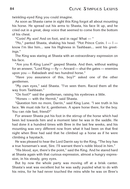twinkling-eyed King you could imagine.

As soon as Shasta came in sight this King forgot all about mounting his horse. He spread out his arms to Shasta, his face lit up, and he cried out in a great, deep voice that seemed to come from the bottom of his chest.

"Corin! My son! And on foot, and in rags! What — "

"No," panted Shasta, shaking his head. "Not Prince Corin.  $I - I - I$ know I'm like him... saw his Highness in Tashbaan... sent his greetings."

The King was staring at Shasta with an extraordinary expression on his face.

"Are you K-King Lune?" gasped Shasta. And then, without waiting for an answer, "Lord King — fly — Anvard — shut the gates — enemies upon you — Rabadash and two hundred horse."

"Have you assurance of this, boy?" asked one of the other gentlemen.

"My own eyes," said Shasta. "I've seen them. Raced them all the way from Tashbaan."

"On foot?" said the gentleman, raising his eyebrows a little.

"Horses — with the Hermit," said Shasta.

"Question him no more, Darrin," said King Lune. "I see truth in his face. We must ride for it, gentlemen. A spare horse there, for the boy. You can ride fast, friend?"

For answer Shasta put his foot in the stirrup of the horse which had been led towards him and a moment later he was in the saddle. He had done it a hundred times with Bree in the last few weeks, and his mounting was very different now from what it had been on that first night when Bree had said that he climbed up a horse as if he were climbing a haystack.

He was pleased to hear the Lord Darrin say to the King, "The boy has a true horseman's seat, Sire. I'll warrant there's noble blood in him."

"His blood, aye, there's the point," said the King. And he stared hard at Shasta again with that curious expression, almost a hungry expression, in his steady, grey eyes.

But by now the whole party was moving off at a brisk canter. Shasta's seat was excellent but he was sadly puzzled what to do with his reins, for he had never touched the reins while he was on Bree's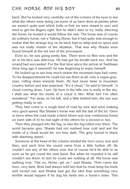back. But he looked very carefully out of the corners of his eyes to see what the others were doing (as some of us have done at parties when we weren't quite sure which knife or fork we were meant to use) and tried to get his fingers right. But he didn't dare to try really directing the horse; he trusted it would follow the rest. The horse was of course an ordinary horse, not a Talking Horse; but it had quite wits enough to realise that the strange boy on its back had no whip and no spurs and was not really master of the situation. That was why Shasta soon found himself at the tail end of the procession.

Even so, he was going pretty fast. There were no flies now and the air in his face was delicious. He had got his breath back too. And his errand had succeeded. For the first time since the arrival at Tashbaan (how long ago it seemed!) he was beginning to enjoy himself.

He looked up to see how much nearer the mountain tops had come. To his disappointment he could not see them at all: only a vague greyness, rolling down towards them. He had never been in mountain country before and was surprised. "It's a cloud," he said to himself, "a cloud coming down. I see. Up here in the hills one is really in the sky. I shall see what the inside of a cloud is like. What fun! I've often wondered." Far away on his left, and a little behind him, the sun was getting ready to set.

They had come to a rough kind of road by now and were making very good speed. But Shasta's horse was still the last of the lot. Once or twice when the road made a bend (there was now continuous forest on each side of it) he lost sight of the others for a second or two.

Then they plunged into the fog, or else the fog rolled over them. The world became grey. Shasta had not realised how cold and wet the inside of a cloud would be; nor how dark. The grey turned to black with alarming speed.

Someone at the head of the column winded the horn every now and then, and each time the sound came from a little further off. He couldn't see any of the others now, but of course he'd be able to as soon as he got round the next bend. But when he rounded it he still couldn't see them. In fact he could see nothing at all. His horse was walking now. "Get on, Horse, get on," said Shasta. Then came the horn, very faint. Bree had always told him that he must keep his heels well turned out, and Shasta had got the idea that something very terrible would happen if he dug his heels into a horse's sides. This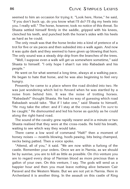seemed to him an occasion for trying it. "Look here, Horse," he said, "if you don't buck up, do you know what I'll do? I'll dig my heels into you. I really will." The horse, however, took no notice of this threat. So Shasta settled himself firmly in the saddle, gripped with his knees, clenched his teeth, and punched both the horse's sides with his heels as hard as he could.

The only result was that the horse broke into a kind of pretence of a trot for five or six paces and then subsided into a walk again. And now it was quite dark and they seemed to have given up blowing that horn. The only sound was a steady drip-drip from the branches of the trees.

"Well, I suppose even a walk will get us somewhere sometime," said Shasta to himself. "I only hope I shan't run into Rabadash and his people."

He went on for what seemed a long time, always at a walking pace. He began to hate that horse, and he was also beginning to feel very hungry.

Presently he came to a place where the road divided into two. He was just wondering which led to Anvard when he was startled by a noise from behind him. It was the noise of trotting horses. "Rabadash!" thought Shasta. He had no way of guessing which road Rabadash would take. "But if I take one," said Shasta to himself, "He *may* take the other: and if I stay at the cross-roads I'm *sure* to be caught." He dismounted and led his horse as quickly as he could along the right-hand road.

The sound of the cavalry grew rapidly nearer and in a minute or two Shasta realised that they were at the cross-roads. He held his breath, waiting to see which way they would take.

There came a low word of command "Halt!" then a moment of horsey noises — nostrils blowing, hoofs pawing, bits being champed, necks being patted. Then a voice spoke.

"Attend, all of you," it said. "We are now within a furlong of the castle. Remember your orders. Once we are in Narnia, as we should be by sunrise, you are to kill as little as possible. On *this* venture you are to regard every drop of Narnian blood as more precious than a gallon of your own. On this venture, I say. The gods will send us a happier hour and then you must leave nothing alive between Cair Paravel and the Western Waste. But we are not yet in Narnia. Here in Archenland it is another thing. In the assault on this castle of King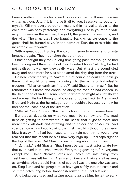Lune's, nothing matters but speed. Show your mettle. It must be mine within an hour. And if it is, I give it all to you. I reserve no booty for myself. Kill me every barbarian male within its walls, down to the child that was born yesterday, and everything else is yours to divide as you please — the women, the gold, the jewels, the weapons, and the wine. The man that I see hanging back when we come to the gates shall be burned alive. In the name of Tash the irresistible, the inexorable — forward!"

With a great cloppitty-clop the column began to move, and Shasta breathed again. They had taken the other road.

Shasta thought they took a long time going past, for though he had been talking and thinking about "two hundred horse" all day, he had not realised how many they really were. But at last the sound died away and once more he was alone amid the drip-drip from the trees.

He now knew the way to Anvard but of course he could not now go there: that would only mean running into the arms of Rabadash's troopers. "What on earth am I to do?" said Shasta to himself. But he remounted his horse and continued along the road he had chosen, in the faint hope of finding some cottage where he might ask for shelter and a meal. He had thought, of course, of going back to Aravis and Bree and Hwin at the hermitage, but he couldn't because by now he had not the least idea of the direction.

"After all," said Shasta, "this road is bound to get to somewhere."

But that all depends on what you mean by somewhere. The road kept on getting to somewhere in the sense that it got to more and more trees, all dark and dripping and to colder and colder air. And strange, icy winds kept blowing the mist past him though they never blew it away. If he had been used to mountain country he would have realised that this meant he was now very high up — perhaps right at the top of the pass. But Shasta knew nothing about mountains.

"I *do* think," said Shasta, "that I must be the most unfortunate boy that ever lived in the whole world. Everything goes right for everyone except me. Those Narnian lords and ladies got safe away from Tashbaan; I was left behind. Aravis and Bree and Hwin are all as snug as anything with that old Hermit: of course I was the one who was sent on. King Lune and his people must have got safely into the castle and shut the gates long before Rabadash arrived, but I get left out."

And being very tired and having nothing inside him, he felt so sorry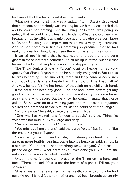for himself that the tears rolled down his cheeks.

What put a stop to all this was a sudden fright. Shasta discovered that someone or somebody was walking beside him. It was pitch dark and he could see nothing. And the Thing (or Person) was going so quietly that he could hardly hear any footfalls. What he could hear was breathing. His invisible companion seemed to breathe on a very large scale, and Shasta got the impression that it was a very large creature. And he had come to notice this breathing so gradually that he had really no idea how long it had been there. It was a horrible shock.

It darted into his mind that he had heard long ago that there were giants in these Northern countries. He bit his lip in terror. But now that he really had something to cry about, he stopped crying.

The Thing (unless it was a Person) went on beside him so very quietly that Shasta began to hope he had only imagined it. But just as he was becoming quite sure of it, there suddenly came a deep, rich sigh out of the darkness beside him. That couldn't be imagination! Anyway, he had felt the hot breath of that sigh on his chilly left hand.

If the horse had been any good  $-$  or if he had known how to get any good out of the horse — he would have risked everything on a break away and a wild gallop. But he knew he couldn't make that horse gallop. So he went on at a walking pace and the unseen companion walked and breathed beside him. At last he could bear it no longer.

"Who *are* you?" he said, scarcely above a whisper.

"One who has waited long for you to speak," said the Thing. Its voice was not loud, but very large and deep.

"Are you — are you a giant?" asked Shasta.

"You might call me a giant," said the Large Voice. "But I am not like the creatures you call giants."

"I can't see you at all," said Shasta, after staring very hard. Then (for an even more terrible idea had come into his head) he said, almost in a scream, "You're not — not something *dead*, are you? Oh please please do go away. What harm have I ever done you? Oh, I am the unluckiest person in the whole world?"

Once more he felt the warm breath of the Thing on his hand and face. "There," it said, "that is not the breath of a ghost. Tell me your sorrows."

Shasta was a little reassured by the breath: so he told how he had never known his real father or mother and had been brought up sternly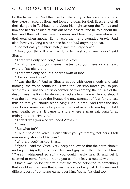by the fisherman. And then he told the story of his escape and how they were chased by lions and forced to swim for their lives; and of all their dangers in Tashbaan and about his night among the Tombs and how the beasts howled at him out of the desert. And he told about the heat and thirst of their desert journey and how they were almost at their goal when another lion chased them and wounded Aravis. And also, how very long it was since he had had anything to eat.

"I do not call you unfortunate," said the Large Voice.

"Don't you think it was bad luck to meet so many lions?" said Shasta.

"There was only one lion," said the Voice.

"What on earth do you mean? I've just told you there were at least two the first night, and — "

"There was only one: but he was swift of foot."

"How do you know?"

"*I* was the lion." And as Shasta gaped with open mouth and said nothing, the Voice continued. "I was the lion who forced you to join with Aravis. I was the cat who comforted you among the houses of the dead. I was the lion who drove the jackals from you while you slept. I was the lion who gave the Horses the new strength of fear for the last mile so that you should reach King Lune in time. And I was the lion you do not remember who pushed the boat in which you lay, a child near death, so that it came to shore where a man sat, wakeful at midnight, to receive you."

"Then it was you who wounded Aravis?"

"It was I."

"But what for?"

"Child," said the Voice, "I am telling you your story, not hers. I tell no-one any story but his own."

"Who are you?" asked Shasta.

"Myself," said the Voice, very deep and low so that the earth shook: and again "Myself," loud and clear and gay: and then the third time "Myself," whispered so softly you could hardly hear it, and yet it seemed to come from all round you as if the leaves rustled with it.

Shasta was no longer afraid that the Voice belonged to something that would eat him, nor that it was the voice of a ghost. But a new and different sort of trembling came over him. Yet he felt glad too.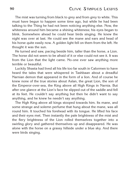The mist was turning from black to grey and from grey to white. This must have begun to happen some time ago, but while he had been talking to the Thing he had not been noticing anything else. Now, the whiteness around him became a shining whiteness; his eyes began to blink. Somewhere ahead he could hear birds singing. He knew the night was over at last. He could see the mane and ears and head of his horse quite easily now. A golden light fell on them from the left. He thought it was the sun.

He turned and saw, pacing beside him, taller than the horse, a Lion. The horse did not seem to be afraid of it or else could not see it. It was from the Lion that the light came. No-one ever saw anything more terrible or beautiful.

Luckily Shasta had lived all his life too far south in Calormen to have heard the tales that were whispered in Tashbaan about a dreadful Narnian demon that appeared in the form of a lion. And of course he knew none of the true stories about Aslan, the great Lion, the son of the Emperor-over-sea, the King above all High Kings in Narnia. But after one glance at the Lion's face he slipped out of the saddle and fell at its feet. He couldn't say anything but then he didn't want to say anything, and he knew he needn't say anything.

The High King above all kings stooped towards him. Its mane, and some strange and solemn perfume that hung about the mane, was all round him. It touched his forehead with its tongue. He lifted his face and their eyes met. Then instantly the pale brightness of the mist and the fiery brightness of the Lion rolled themselves together into a swirling glory and gathered themselves up and disappeared. He was alone with the horse on a grassy hillside under a blue sky. And there were birds singing.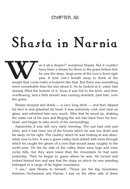#### Chapter XII

### Shasta in Narnia

as it all a dream?" wondered Shasta. But it couldn't<br>have been a dream for there in the grass before him<br>he saw the deep, large print of the Lion's front right<br>paw. It took one's breath away to think of the<br>weight that cou have been a dream for there in the grass before him he saw the deep, large print of the Lion's front right paw. It took one's breath away to think of the

weight that could make a footprint like that. But there was something more remarkable than the size about it. As he looked at it, water had already filled the bottom of it. Soon it was full to the brim, and then overflowing, and a little stream was running downhill, past him, over the grass.

Shasta stooped and drank  $-$  a very long drink  $-$  and then dipped his face in and splashed his head. It was extremely cold, and clear as glass, and refreshed him very much. After that he stood up, shaking the water out of his ears and flinging the wet hair back from his forehead, and began to take stock of his surroundings.

Apparently it was still very early morning. The sun had only just risen, and it had risen out of the forests which he saw low down and far away on his right. The country which he was looking at was absolutely new to him. It was a green valley-land dotted with trees through which he caught the gleam of a river that wound away roughly to the north-west. On the far side of the valley there were high and even rocky hills, but they were lower than the mountains he had seen yesterday. Then he began to guess where he was. He turned and looked behind him and saw that the slope on which he was standing belonged to a range of far higher mountains.

"I see," said Shasta to himself. "Those are the big mountains between Archenland and Narnia. I was on the other side of them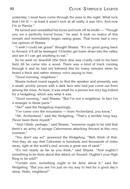yesterday. I must have come through the pass in the night. What luck that I hit it! — at least it wasn't luck at all really, it was *Him*. And now I'm in Narnia."

He turned and unsaddled his horse and took off its bridle — "Though you *are* a perfectly horrid horse," he said. It took no notice of this remark and immediately began eating grass. That horse had a very low opinion of Shasta.

"I wish I could eat grass!" thought Shasta. "It's no good going back to Anvard, it'll all be besieged. I'd better get lower down into the valley and see if I can get anything to eat."

So he went on downhill (the thick dew was cruelly cold to his bare feet) till he came into a wood. There was a kind of track running through it and he had not followed this for many minutes when he heard a thick and rather wheezy voice saying to him,

"Good morning, neighbour."

Shasta looked round eagerly to find the speaker and presently saw a small, prickly person with a dark face who had just come out from among the trees. At least, it was small for a person but very big indeed for a hedgehog, which was what it was.

"Good morning," said Shasta. "But I'm not a neighbour. In fact I'm a stranger in these parts."

"Ah?" said the Hedgehog inquiringly.

"I've come over the mountains — from Archenland, you know."

"Ah, Archenland," said the Hedgehog. "That's a terrible long way. Never been there myself."

"And I think, perhaps," said Shasta, "someone ought to be told that there's an army of savage Calormenes attacking Anvard at this very moment."

"You don't say so!" answered the Hedgehog. "Well, think of that. And they do say that Calormen is hundreds and thousands of miles away, right at the world's end, across a great sea of sand."

"It's not nearly as far as you think," said Shasta. "And oughtn't something to be done about this attack on Anvard. Oughtn't your High King to be told?"

"Certain sure, something ought to be done about it," said the Hedgehog. "But you see I'm just on my way to bed for a good day's sleep. Hullo, neighbour!"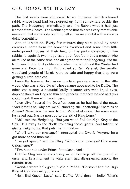The last words were addressed to an immense biscuit-coloured rabbit whose head had just popped up from somewhere beside the path. The Hedgehog immediately told the Rabbit what it had just learned from Shasta. The Rabbit agreed that this was very remarkable news and that somebody ought to tell someone about it with a view to doing something.

And so it went on. Every few minutes they were joined by other creatures, some from the branches overhead and some from little underground houses at their feet, till the party consisted of five rabbits, a squirrel, two magpies, a goat-foot faun, and a mouse, who all talked at the same time and all agreed with the Hedgehog. For the truth was that in that golden age when the Witch and the Winter had gone and Peter the High King ruled at Cair Paravel, the smaller woodland people of Narnia were so safe and happy that they were getting a little careless.

Presently, however, two more practical people arrived in the little wood. One was a Red Dwarf whose name appeared to be Duffle. The other was a stag, a beautiful lordly creature with wide liquid eyes, dappled flanks and legs so thin and graceful that they looked as if you could break them with two fingers.

"Lion alive!" roared the Dwarf as soon as he had heard the news. "And if that's so, why are we all standing still, chattering? Enemies at Anvard! News must be sent to Cair Paravel at once. The army must be called out. Narnia must go to the aid of King Lune."

"Ah!" said the Hedgehog. "But you won't find the High King at the Cair. He's away to the North trouncing those giants. And talking of giants, neighbours, that puts me in mind —

"Who'll take our message?" interrupted the Dwarf. "Anyone here got more speed than me?"

"I've got speed," said the Stag. "What's my message? How many Calormenes?"

"Two hundred: under Prince Rabadash. And — "

But the Stag was already away  $-$  all four legs off the ground at once, and in a moment its white stern had disappeared among the remoter trees.

"Wonder where he's going," said a Rabbit. "He won't find the High King at Cair Paravel, you know."

"He'll find Queen Lucy," said Duffle. "And then — hullo! What's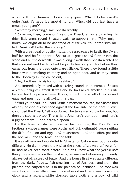wrong with the Human? It looks pretty green. Why, I do believe it's quite faint. Perhaps it's mortal hungry. When did you last have a meal, youngster?"

"Yesterday morning," said Shasta weakly.

"Come on, then, come on," said the Dwarf, at once throwing his thick little arms round Shasta's waist to support him. "Why, neighbours, we ought all to be ashamed of ourselves! You come with me, lad. Breakfast! better than talking."

With a great deal of bustle, muttering reproaches to itself, the Dwarf half led and half supported Shasta at a great speed further into the wood and a little downhill. It was a longer walk than Shasta wanted at that moment and his legs had begun to feel very shaky before they came out from the trees onto bare hillside. There they found a little house with a smoking chimney and an open door, and as they came to the doorway Duffle called out,

"Hey, brothers! A visitor for breakfast."

And immediately, mixed with a sizzling sound, there came to Shasta a simply delightful smell. It was one he had never smelled in his life before, but I hope you have. It was, in fact, the smell of bacon and eggs and mushrooms all frying in a pan.

"Mind your head, lad," said Duffle a moment too late, for Shasta had already bashed his forehead against the low lintel of the door. "Now," continued the Dwarf, "sit you down. The table's a bit low for you, but then the stool's low too. That's right. And here's porridge — and here's a jug of cream — and here's a spoon."

By the time Shasta had finished his porridge, the Dwarf's two brothers (whose names were Rogin and Bricklethumb) were putting the dish of bacon and eggs and mushrooms, and the coffee pot and the hot milk, and the toast, on the table.

It was all new and wonderful to Shasta for Calormene food is quite different. He didn't even know what the slices of brown stuff were, for he had never seen toast before. He didn't know what the yellow soft thing they smeared on the toast was, because in Calormen you nearly always get oil instead of butter. And the house itself was quite different from the dark, frowsty, fish-smelling hut of Arsheesh and from the pillared and carpeted halls in the palaces of Tashbaan. The roof was very low, and everything was made of wood and there was a cuckooclock and a red-and-white checked table-cloth and a bowl of wild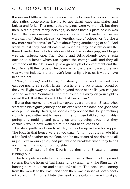flowers and little white curtains on the thick-paned windows. It was also rather troublesome having to use dwarf cups and plates and knives and forks. This meant that helpings were very small, but then there were a great many helpings, so that Shasta's plate or cup was being filled every moment, and every moment the Dwarfs themselves were saying, "Butter please," or "Another cup of coffee," or "I'd like a few more mushrooms," or "What about frying another egg or so?" And when at last they had all eaten as much as they possibly could the three Dwarfs drew lots for who would do the washing-up, and Rogin was the unlucky one. Then Duffle and Bricklethumb took Shasta outside to a bench which ran against the cottage wall, and they all stretched out their legs and gave a great sigh of contentment and the two Dwarfs lit their pipes. The dew was off the grass now and the sun was warm; indeed, if there hadn't been a light breeze, it would have been too hot.

"Now, Stranger," said Duffle, "I'll show you the lie of the land. You can see nearly all South Narnia from here, and we're rather proud of the view. Right away on your left, beyond those near hills, you can just see the Western Mountains. And that round hill away on your right is called the Hill of the Stone Table. Just beyond — "

But at that moment he was interrupted by a snore from Shasta who, what with his night's journey and his excellent breakfast, had gone fast asleep. The kindly Dwarfs, as soon as they noticed this, began making signs to each other not to wake him, and indeed did so much whispering and nodding and getting up and tiptoeing away that they certainly would have waked him if he had been less tired.

He slept pretty well nearly all day but woke up in time for supper. The beds in that house were all too small for him but they made him a fine bed of heather on the floor, and he never stirred nor dreamed all night. Next morning they had just finished breakfast when they heard a shrill, exciting sound from outside.

"Trumpets!" said all the Dwarfs, as they and Shasta all came running out.

The trumpets sounded again: a new noise to Shasta, not huge and solemn like the horns of Tashbaan nor gay and merry like King Lune's hunting horn, but clear and sharp and valiant. The noise was coming from the woods to the East, and soon there was a noise of horse-hoofs mixed with it. A moment later the head of the column came into sight.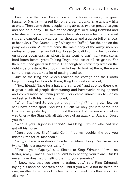First came the Lord Peridan on a bay horse carrying the great banner of Narnia — -a red lion on a green ground. Shasta knew him at once. Then came three people riding abreast, two on great chargers and one on a pony. The two on the chargers were King Edmund and a fair-haired lady with a very merry face who wore a helmet and mail shirt and carried a bow across her shoulder and a quiver full of arrows at her side. ("The Queen Lucy," whispered Duffle.) But the one on the pony was Corin. After that came the main body of the army: men on ordinary horses, men on Talking Horses (who didn't mind being ridden on proper occasions, as when Narnia went to war), centaurs, stern, hard-bitten bears, great Talking Dogs, and last of all six giants. For there are good giants in Narnia. But though he knew they were on the right side Shasta at first could hardly bear to look at them; there are some things that take a lot of getting used to.

Just as the King and Queen reached the cottage and the Dwarfs began making low bows to them, King Edmund called out,

"Now, friends! Time for a halt and a morsel!" and at once there was a great bustle of people dismounting and haversacks being opened and conversation beginning when Corin came running up to Shasta and seized both his hands and cried,

"What! *You* here! So you got through all right? I am glad. Now we shall have some sport. And isn't it luck! We only got into harbour at Cair Paravel yesterday morning and the very first person who met us was Chervy the Stag with all this news of an attack on Anvard. Don't you think —

"Who is your Highness's friend?" said King Edmund who had just got off his horse.

"Don't you see, Sire?" said Corin. "It's my double: the boy you mistook me for at Tashbaan."

"Why, so he is your double," exclaimed Queen Lucy. "As like as two twins. This is a marvellous thing."

"Please, your Majesty," said Shasta to King Edmund, "I was no traitor, really I wasn't. And I couldn't help hearing your plans. But I'd never have dreamed of telling them to your enemies."

"I know now that you were no traitor, boy," said King Edmund, laying his hand on Shasta's head. "But if you would not be taken for one, another time try not to hear what's meant for other ears. But all's well."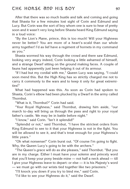After that there was so much bustle and talk and coming and going that Shasta for a few minutes lost sight of Corin and Edmund and Lucy. But Corin was the sort of boy whom one is sure to hear of pretty soon and it wasn't very long before Shasta heard King Edmund saying in a loud voice:

"By the Lion's Mane, prince, this is too much! Will your Highness never be better? You are more of a heart's-scald than our whole army together! I'd as lief have a regiment of hornets in my command as you."

Shasta wormed his way through the crowd and there saw Edmund, looking very angry indeed, Corin looking a little ashamed of himself, and a strange Dwarf sitting on the ground making faces. A couple of fauns had apparently just been helping it out of its armour.

"If I had but my cordial with me," Queen Lucy was saying, "I could soon mend this. But the High King has so strictly charged me not to carry it commonly to the wars and to keep it only for great extremities!"

What had happened was this. As soon as Corin had spoken to Shasta, Corin's elbow had been plucked by a Dwarf in the army called Thornbut.

"What is it, Thornbut?" Corin had said.

"Your Royal Highness," said Thornbut, drawing him aside, "our march to-day will bring us through the pass and right to your royal father's castle. We may be in battle before night."

"I know," said Corin. "Isn't it splendid!"

"Splendid or not," said Thornbut, "I have the strictest orders from King Edmund to see to it that your Highness is not in the fight. You will be allowed to see it, and that's treat enough for your Highness's little years."

"Oh what nonsense!" Corin burst out. "Of course I'm going to fight. Why, the Queen Lucy's going to be with the archers."

"The Queen's grace will do as she pleases," said Thornbut. "But you are in my charge. Either I must have your solemn and princely word that you'll keep your pony beside mine — not half a neck ahead — till I give your Highness leave to depart: or else — it is his Majesty's word — we must go with our wrists tied together like two prisoners."

"I'll knock you down if you try to bind me," said Corin.

"I'd like to see your Highness do it," said the Dwarf.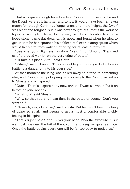That was quite enough for a boy like Corin and in a second he and the Dwarf were at it hammer and tongs. It would have been an even match for, though Corin had longer arms and more height, the Dwarf was older and tougher. But it was never fought out (that's the worst of fights on a rough hillside) for by very bad luck Thornbut trod on a loose stone, came flat down on his nose, and found when he tried to get up that he had sprained his ankle: a real excruciating sprain which would keep him from walking or riding for at least a fortnight.

"See what your Highness has done," said King Edmund. "Deprived us of a proved warrior on the very edge of battle."

"I'll take his place, Sire," said Corin.

"Pshaw," said Edmund. "No-one doubts your courage. But a boy in battle is a danger only to his own side."

At that moment the King was called away to attend to something else, and Corin, after apologising handsomely to the Dwarf, rushed up to Shasta and whispered,

"Quick. There's a spare pony now, and the Dwarf's armour. Put it on before anyone notices."

"What for?" said Shasta.

"Why, so that you and I can fight in the battle of course! Don't you want to?"

"Oh — ah, yes, of course," said Shasta. But he hadn't been thinking of doing so at all, and began to get a most uncomfortable prickly feeling in his spine.

"That's right," said Corin. "Over your head. Now the sword-belt. But we must ride near the tail of the column and keep as quiet as mice. Once the battle begins every one will be far too busy to notice us."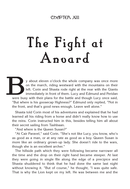#### Chapter XIII

# The Fight at Anvard

y about eleven o'clock the whole company was once more on the march, riding westward with the mountains on their left. Corin and Shasta rode right at the rear with the Giants immediately in front of them. Lucy and Edmund a on the march, riding westward with the mountains on their left. Corin and Shasta rode right at the rear with the Giants immediately in front of them. Lucy and Edmund and Peridan "But where is his goosecap Highness?" Edmund only replied, "Not in the front, and that's good news enough. Leave well alone."

Shasta told Corin most of his adventures and explained that he had learned all his riding from a horse and didn't really know how to use the reins. Corin instructed him in this, besides telling him all about their secret sailing from Tashbaan.

"And where is the Queen Susan?"

"At Cair Paravel," said Corin. "She's not like Lucy, you know, who's as good as a man, or at any rate as good as a boy. Queen Susan is more like an ordinary grown-up lady. She doesn't ride to the wars, though she is an excellent archer."

The hillside path which they were following became narrower all the time and the drop on their right hand became steeper. At last they were going in single file along the edge of a precipice and Shasta shuddered to think that he had done the same last night without knowing it. "But of course," he thought, "I was quite safe. That is why the Lion kept on my left. He was between me and the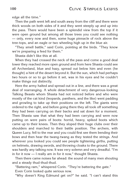edge all the time."

Then the path went left and south away from the cliff and there were thick woods on both sides of it and they went steeply up and up into the pass. There would have been a splendid view from the top if it were open ground but among all those trees you could see nothing — only, every now and then, some huge pinnacle of rock above the tree-tops, and an eagle or two wheeling high up in the blue air.

"They smell battle," said Corin, pointing at the birds. "They know we're preparing a feed for them."

Shasta didn't like this at all.

When they had crossed the neck of the pass and come a good deal lower they reached more open ground and from here Shasta could see all Archenland, blue and hazy, spread out below him and even (he thought) a hint of the desert beyond it. But the sun, which had perhaps two hours or so to go before it set, was in his eyes and he couldn't make things out distinctly.

Here the army halted and spread out in a line, and there was a great deal of rearranging. A whole detachment of very dangerous-looking Talking Beasts whom Shasta had not noticed before and who were mostly of the cat kind (leopards, panthers, and the like) went padding and growling to take up their positions on the left. The giants were ordered to the right, and before going there they all took off something they had been carrying on their backs and sat down for a moment. Then Shasta saw that what they had been carrying and were now putting on were pairs of boots: horrid, heavy, spiked boots which came up to their knees. Then they sloped their huge clubs over their shoulders and marched to their battle position. The archers, with Queen Lucy, fell to the rear and you could first see them bending their bows and then hear the twang-twang as they tested the strings. And wherever you looked you could see people tightening girths, putting on helmets, drawing swords, and throwing cloaks to the ground. There was hardly any talking now. It was very solemn and very dreadful. "I'm in for it now — I really am in for it now," thought Shasta.

Then there came noises far ahead: the sound of many men shouting and a steady thud-thud-thud.

"Battering ram," whispered Corin. "They're battering the gate."

Even Corin looked quite serious now.

"Why doesn't King Edmund get on?" he said. "I can't stand this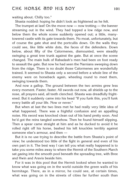waiting about. Chilly too."

Shasta nodded: hoping he didn't look as frightened as he felt.

The trumpet at last! On the move now — now trotting — the banner streaming out in the wind. They had topped a low ridge now, and below them the whole scene suddenly opened out; a little, manytowered castle with its gate towards them. No moat, unfortunately, but of course the gate shut and the portcullis down. On the walls they could see, like little white dots, the faces of the defenders. Down below, about fifty of the Calormenes, dismounted, were steadily swinging a great tree trunk against the gate. But at once the scene changed. The main bulk of Rabadash's men had been on foot ready to assault the gate. But now he had seen the Narnians sweeping down from the ridge. There is no doubt those Calormenes are wonderfully trained. It seemed to Shasta only a second before a whole line of the enemy were on horseback again, wheeling round to meet them, swinging towards them.

And now a gallop. The ground between the two armies grew less every moment. Faster, faster. All swords out now, all shields up to the nose, all prayers said, all teeth clenched. Shasta was dreadfully frightened. But it suddenly came into his head "If you funk this, you'll funk every battle all your life. Now or never."

But when at last the two lines met he had really very little idea of what happened. There was a frightful confusion and an appalling noise. His sword was knocked clean out of his hand pretty soon. And he'd got the reins tangled somehow. Then he found himself slipping. Then a spear came straight at him and as he ducked to avoid it he rolled right off his horse, bashed his left knuckles terribly against someone else's armour, and then —

But it is no use trying to describe the battle from Shasta's point of view; he understood too little of the fight in general and even of his own part in it. The best way I can tell you what really happened is to take you some miles away to where the Hermit of the Southern March sat gazing into the smooth pool beneath the spreading tree, with Bree and Hwin and Aravis beside him.

For it was in this pool that the Hermit looked when he wanted to know what was going on in the world outside the green walls of his hermitage. There, as in a mirror, he could see, at certain times, what was going on in the streets of cities far further south than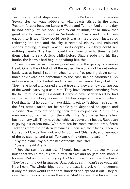Tashbaan, or what ships were putting into Redhaven in the remote Seven Isles, or what robbers or wild beasts stirred in the great Western forests between Lantern Waste and Telmar. And all this day he had hardly left his pool, even to eat or drink, for he knew that great events were on foot in Archenland. Aravis and the Horses gazed into it too. They could see it was a magic pool: instead of reflecting the tree and the sky it revealed cloudy and coloured shapes moving, always moving, in its depths. But they could see nothing clearly. The Hermit could and from time to time he told them what he saw. A little while before Shasta rode into his first battle, the Hermit had begun speaking like this:

"I see one — two — three eagles wheeling in the gap by Stormness Head. One is the oldest of all the eagles. He would not be out unless battle was at hand. I see him wheel to and fro, peering down sometimes at Anvard and sometimes to the east, behind Stormness. Ah — I see now what Rabadash and his men have been so busy at all day. They have felled and lopped a great tree and they are now coming out of the woods carrying it as a ram. They have learned something from the failure of last night's assault. He would have been wiser if he had set his men to making ladders: but it takes longer and he is impatient. Fool that he is! he ought to have ridden back to Tashbaan as soon as the first attack failed, for his whole plan depended on speed and surprise. Now they are bringing their ram into position. King Lune's men are shooting hard from the walls. Five Calormenes have fallen: but not many will. They have their shields above their heads. Rabadash is giving his orders now. With him are his most trusted lords, fierce Tarkaans from the eastern provinces. I can see their faces. There is Corradin of Castle Tormunt, and Azrooh, and Chlamash, and Ilgamuth of the twisted lip, and a tall Tarkaan with a crimson beard — "

"By the Mane, my old master Anradin!" said Bree.

"S-s-sh," said Aravis.

"Now the ram has started. If I could hear as well as see, what a noise that would make! Stroke after stroke: and no gate can stand it for ever. But wait! Something up by Stormness has scared the birds. They're coming out in masses. And wait again… I can't see yet… ah! Now I can. The whole ridge, up on the east, is black with horsemen. If only the wind would catch that standard and spread it out. They're over the ridge now, whoever they are. Aha! I've seen the banner now.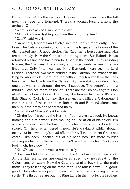Narnia, Narnia! It's the red lion. They're in full career down the hill now. I can see King Edmund. There's a woman behind among the archers. Oh! — "

"What is it?" asked Hwin breathlessly.

"All his Cats are dashing out from the left of the line."

"Cats?" said Aravis.

"Great cats, leopards and such," said the Hermit impatiently. "I see, I see. The Cats are coming round in a circle to get at the horses of the dismounted men. A good stroke. The Calormene horses are mad with terror already. Now the Cats are in among them. But Rabadash has reformed his line and has a hundred men in the saddle. They're riding to meet the Narnians. There's only a hundred yards between the two lines now. Only fifty. I can see King Edmund, I can see the Lord Peridan. There are two mere children in the Narnian line. What can the King be about to let them into the battle? Only ten yards — the lines have met. The Giants on the Narnian right are doing wonders... but one's down... shot through the eye, I suppose. The centre's all in a muddle. I can see more on the left. There are the two boys again. Lion alive! one is Prince Corin. The other, like him as two peas. It's your little Shasta. Corin is fighting like a man. He's killed a Calormene. I can see a bit of the centre now. Rabadash and Edmund almost met then, but the press has separated them — "

"What about Shasta?" said Aravis.

"Oh the fool!" groaned the Hermit. "Poor, brave little fool. He knows nothing about this work. He's making no use at all of his shield. His whole side's exposed. He hasn't the faintest idea what to do with his sword. Oh, he's remembered it now. He's waving it wildly about... nearly cut his own pony's head off, and he will in a moment if he's not careful. It's been knocked out of his hand now. It's mere murder sending a child into the battle; he can't live five minutes. Duck, you fool — oh, he's down."

"Killed?" asked three voices breathlessly.

"How can I tell?" said the Hermit. "The Cats have done their work. All the riderless horses are dead or escaped now: no retreat for the Calormenes on *them*. Now the Cats are turning back into the main battle. They're leaping on the rams-men. The ram is down. Oh, good! good! The gates are opening from the inside: there's going to be a sortie. The first three are out. It's King Lune in the middle: the brothers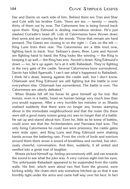Dar and Darrin on each side of him. Behind them are Tran and Shar and Cole with his brother Colin. There are ten — twenty — nearly thirty of them out by now. The Calormene line is being forced back upon them. King Edmund is dealing marvellous strokes. He's just slashed Corradin's head off. Lots of Calormenes have thrown down their arms and are running for the woods. Those that remain are hard pressed. The Giants are closing in on the right — Cats on the left — King Lune from their rear. The Calormenes are a little knot now, fighting back to back. Your Tarkaan's down, Bree. Lune and Azrooh are fighting hand to hand; the King looks like winning — the King is keeping it up well — the King has won. Azrooh's down. King Edmund's down — no, he's up again: he's at it with Rabadash. They're fighting in the very gate of the castle. Several Calormenes have surrendered. Darrin has killed Ilgamuth. I can't see what's happened to Rabadash. I think he's dead, leaning against the castle wall, but I don't know. Chlamash and King Edmund are still fighting but the battle is over everywhere else. Chlamash has surrendered. The battle is over. The Calormenes are utterly defeated."

When Shasta fell off his horse he gave himself up for lost. But horses, even in a battle, tread on human beings very much less than you would suppose. After a very horrible ten minutes or so Shasta realised suddenly that there were no longer any horses stamping about in the immediate neighbourhood and that the noise (for there were still a good many noises going on) was no longer that of a battle. He sat up and stared about him. Even he, little as he knew of battles, could soon see that the Archenlanders and Narnians had won. The only living Calormenes he could see were prisoners, the castle gates were wide open, and King Lune and King Edmund were shaking hands across the battering ram. From the circle of lords and warriors around them there arose a sound of breathless and excited, but obviously cheerful, conversation. And then, suddenly, it all united and swelled into a great roar of laughter.

Shasta picked himself up, feeling uncommonly stiff, and ran towards the sound to see what the joke was. A very curious sight met his eyes. The unfortunate Rabadash appeared to be suspended from the castle walls. His feet, which were about two feet from the ground, were kicking wildly. His chain-shirt was somehow hitched up so that it was horribly tight under the arms and came half way over his face. In fact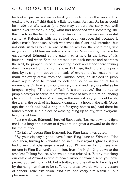he looked just as a man looks if you catch him in the very act of getting into a stiff shirt that is a little too small for him. As far as could be made out afterwards (and you may be sure the story was well talked over for many a day) what had happened was something like this. Early in the battle one of the Giants had made an unsuccessful stamp at Rabadash with his spiked boot: unsuccessful because it didn't crush Rabadash, which was what the Giant had intended, but not quite useless because one of the spikes tore the chain mail, just as you or I might tear an ordinary shirt. So Rabadash, by the time he encountered Edmund at the gate, had a hole in the back of his hauberk. And when Edmund pressed him back nearer and nearer to the wall, he jumped up on a mounting block and stood there raining down blows on Edmund from above. But then, finding that this position, by raising him above the heads of everyone else, made him a mark for every arrow from the Narnian bows, he decided to jump down again. And he meant to look and sound — no doubt for a moment he *did* look and sound — very grand and very dreadful as he jumped, crying, "The bolt of Tash falls from above." But he had to jump sideways because the crowd in front of him left him no landing place in that direction. And then, in the neatest way you could wish, the tear in the back of his hauberk caught on a hook in the wall. (Ages ago this hook had had a ring in it for tying horses to.) And there he found himself, like a piece of washing hung up to dry, with everyone laughing at him.

"Let me down, Edmund," howled Rabadash. "Let me down and fight me like a king and a man; or if you are too great a coward to do that, kill me at once."

"Certainly," began King Edmund, but King Lune interrupted.

"By your Majesty's good leave," said King Lune to Edmund. "Not so." Then, turning to Rabadash he said, "Your royal Highness, if you had given that challenge a week ago, I'll answer for it there was no-one in King Edmund's dominion, from the High King down to the smallest Talking Mouse, who would have refused it. But by attacking our castle of Anvard in time of peace without defiance sent, you have proved yourself no knight, but a traitor, and one rather to be whipped by the hangman than to be suffered to cross swords with any person of honour. Take him down, bind him, and carry him within till our pleasure is further known."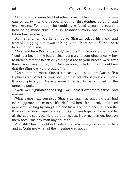Strong hands wrenched Rabadash's sword from him and he was carried away into the castle, shouting, threatening, cursing, and even crying. For though he could have faced torture he couldn't bear being made ridiculous. In Tashbaan every one had always taken him seriously.

At that moment Corin ran up to Shasta, seized his hand and started dragging him towards King Lune. "Here he is, Father, here he is," cried Corin.

"Aye, and here *thou* art, at last," said the King in a very gruff voice. "And hast been in the battle, clean contrary to your obedience. A boy to break a father's heart! At your age a rod to your breech were fitter than a sword in your fist, ha!" But everyone, including Corin, could see that the King was very proud of him.

"Chide him no more, Sire, if it please you," said Lord Darrin. "His Highness would not be your son if he did not inherit your conditions. It would grieve your Majesty more if he had to be reproved for the opposite fault."

"Well, well," grumbled the King. "We'll pass it over for this time. And  $now - "$ 

What came next surprised Shasta as much as anything that had ever happened to him in his life. He found himself suddenly embraced in a bear-like hug by King Lune and kissed on both cheeks. Then the King set him down again and said, "Stand here together, boys, and let all the court see you. Hold up your heads. Now, gentlemen, look on them both. Has any man any doubts?"

And still Shasta could not understand why everyone stared at him and at Corin nor what all the cheering was about.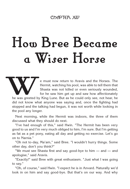### Chapter XIV

# How Bree Became a Wiser Horse



he was greeted by King Lune. But as he could only see, not hear, he did not know what anyone was saying and, once the fighting had stopped and the talking had begun, it was not worth while looking in the pool any longer.

Next morning, while the Hermit was indoors, the three of them discussed what they should do next.

"I've had enough of this," said Hwin. "The Hermit has been very good to us and I'm very much obliged to him, I'm sure. But I'm getting as fat as a pet pony, eating all day and getting no exercise. Let's go on to Narnia."

"Oh not to-day, Ma'am," said Bree. "I wouldn't hurry things. Some other day, don't you think?"

"We must see Shasta first and say good-bye to him — and — and apologise," said Aravis.

"Exactly!" said Bree with great enthusiasm. "Just what I was going to say."

"Oh, of course," said Hwin. "I expect he is in Anvard. Naturally we'd look in on him and say good-bye. But that's on our way. And why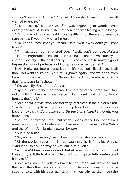shouldn't we start at once? After all, I thought it was Narnia we all wanted to get to?"

"I suppose so," said Aravis. She was beginning to wonder what exactly she would do when she got there and was feeling a little lonely.

"Of course, of course," said Bree hastily. "But there's no need to rush things, if you know what I mean."

"No, I don't know what you mean," said Hwin. "Why don't you want to go?"

"M-m-m, broo-hoo," muttered Bree. "Well, don't you see, Ma'am — it's an important occasion — returning to one's own country entering society — the best society — it is so essential to make a good impression — not perhaps looking quite ourselves, yet, eh?"

Hwin broke out into a horse-laugh. "It's your tail, Bree! I see it all now. You want to wait till your tail's grown again! And we don't even know if tails are worn long in Narnia. Really, Bree, you're as vain as that Tarkheena in Tashbaan!"

"You *are* silly, Bree," said Aravis.

"By the Lion's Mane, Tarkheena, I'm nothing of the sort," said Bree indignantly. "I have a proper respect for myself and for my fellow horses, that's all."

"Bree," said Aravis, who was not very interested in the cut of his tail, "I've been wanting to ask you something for a long time. Why do you keep on swearing *By the Lion* and *By the Lion's Mane*? I thought you hated lions."

"So I do," answered Bree. "But when I speak of the Lion of course I mean Aslan, the great deliverer of Narnia who drove away the Witch and the Winter. All Narnians swear by *him*."

"But is he a lion?"

"No, no, of course not," said Bree in a rather shocked voice.

"All the stories about him in Tashbaan say he is," replied Aravis. "And if he isn't a lion why do you call him a lion?"

"Well you'd hardly understand that at your age," said Bree. "And I was only a little foal when I left so I don't quite fully understand it myself."

(Bree was standing with his back to the green wall while he said this, and the other two were facing him. He was talking in rather a superior tone with his eyes half shut; that was why he didn't see the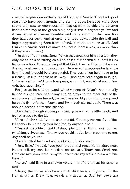changed expression in the faces of Hwin and Aravis. They had good reason to have open mouths and staring eyes; because while Bree spoke they saw an enormous lion leap up from outside and balance itself on the top of the green wall; only it was a brighter yellow and it was bigger and more beautiful and more alarming than any lion they had ever seen. And at once it jumped down inside the wall and began approaching Bree from behind. It made no noise at all. And Hwin and Aravis couldn't make any noise themselves, no more than if they were frozen.)

"No doubt," continued Bree, "when they speak of him as a Lion they only mean he's as strong as a lion or (to our enemies, of course) as fierce as a lion. Or something of that kind. Even a little girl like you, Aravis, must see that it would be quite absurd to suppose he is a *real* lion. Indeed it would be disrespectful. If he was a lion he'd have to be a Beast just like the rest of us. Why!" (and here Bree began to laugh) "If he was a lion he'd have four paws, and a tail, and Whiskers!… Aie, ooh, hoo-hoo! Help!"

For just as he said the word *Whiskers* one of Aslan's had actually tickled his ear. Bree shot away like an arrow to the other side of the enclosure and there turned; the wall was too high for him to jump and he could fly no further. Aravis and Hwin both started back. There was about a second of intense silence.

Then Hwin, though shaking all over, gave a strange little neigh, and trotted across to the Lion.

"Please," she said, "you're so beautiful. You may eat me if you like. I'd sooner be eaten by you than fed by anyone else."

"Dearest daughter," said Aslan, planting a lion's kiss on her twitching, velvet nose, "I knew you would not be long in coming to me. Joy shall be yours."

Then he lifted his head and spoke in a louder voice.

"Now, Bree," he said, "you poor, proud, frightened Horse, draw near. Nearer still, my son. Do not dare not to dare. Touch me. Smell me. Here are my paws, here is my tail, these are my whiskers. I am a true Beast."

"Aslan," said Bree in a shaken voice, "I'm afraid I must be rather a fool."

"Happy the Horse who knows that while he is still young. Or the Human either. Draw near, Aravis my daughter. See! My paws are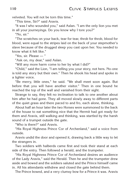velveted. You will not be torn this time."

"This time, Sir?" said Aravis.

"It was I who wounded you," said Aslan. "I am the only lion you met in all your journeyings. Do you know why I tore you?"

"No, sir."

"The scratches on your back, tear for tear, throb for throb, blood for blood, were equal to the stripes laid on the back of your stepmother's slave because of the drugged sleep you cast upon her. You needed to know what it felt like."

"Yes, sir. Please — "

"Ask on, my dear," said Aslan.

"Will any more harm come to her by what I did?"

"Child," said the Lion, "I am telling you your story, not hers. No-one is told any story but their own." Then he shook his head and spoke in a lighter voice.

"Be merry, little ones," he said. "We shall meet soon again. But before that you will have another visitor." Then in one bound he reached the top of the wall and vanished from their sight.

Strange to say, they felt no inclination to talk to one another about him after he had gone. They all moved slowly away to different parts of the quiet grass and there paced to and fro, each alone, thinking.

About half an hour later the two Horses were summoned to the back of the house to eat something nice that the Hermit had got ready for them and Aravis, still walking and thinking, was startled by the harsh sound of a trumpet outside the gate.

"Who is there?" said Aravis.

"His Royal Highness Prince Cor of Archenland," said a voice from outside.

Aravis undid the door and opened it, drawing back a little way to let the strangers in.

Two soldiers with halberds came first and took their stand at each side of the entry. Then followed a herald, and the trumpeter.

"His Royal Highness Prince Cor of Archenland desires an audience of the Lady Aravis," said the Herald. Then he and the trumpeter drew aside and bowed and the soldiers saluted and the Prince himself came in. All his attendants withdrew and closed the gate behind them.

The Prince bowed, and a very clumsy bow for a Prince it was. Aravis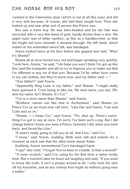curtsied in the Calormene style (which is not at all like ours) and did it very well because, of course, she had been taught how. Then she looked up and saw what sort of person this Prince was.

She saw a mere boy. He was bare-headed and his fair hair was encircled with a very thin band of gold, hardly thicker than a wire. His upper tunic was of white cambric, as fine as a handkerchief, so that the bright red tunic beneath it showed through. His left hand, which rested on his enamelled sword hilt, was bandaged.

Aravis looked twice at his face before she gasped and said, "Why! It's Shasta!"

Shasta all at once turned very red and began speaking very quickly. "Look here, Aravis," he said, "I do hope you won't think I'm got up like this (and the trumpeter and all) to try to impress you or make out that I'm different or any rot of that sort. Because I'd far rather have come in my old clothes, but they're burnt now, and my father said — "

"Your father?" said Aravis.

"Apparently King Lune is my father," said Shasta. "I might really have guessed it. Corin being so like me. We were twins, you see. Oh, and my name isn't Shasta, it's Cor."

"Cor is a nicer name than Shasta," said Aravis.

"Brothers' names run like that in Archenland," said Shasta (or Prince Cor as we must now call him). "Like Dar and Darrin, Cole and Colin and so on."

"Shasta — I mean Cor," said Aravis. "No, shut up. There's something I've got to say at once. I'm sorry I've been such a pig. But I did change before I knew you were a Prince, honestly I did: when you went back, and faced the Lion."

"It wasn't really going to kill you at all, that Lion," said Cor.

"I know," said Aravis, nodding. Both were still and solemn for a moment as each saw that the other knew about Aslan.

Suddenly Aravis remembered Cor's bandaged hand.

"I say!" she cried, "I forgot! You've been in a battle. Is that a wound?"

"A mere scratch," said Cor, using for the first time a rather lordly tone. But a moment later he burst out laughing and said, "If you want to know the truth, it isn't a proper wound at all. I only took the skin off my knuckles, just as any clumsy fool might do without going near a battle."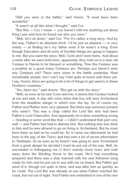"Still you were in the battle," said Aravis. "It must have been wonderful."

"It wasn't at all like what I thought," said Cor.

"But Sha — Cor, I mean — you haven't told me anything yet about King Lune and how he found out who you were."

"Well, let's sit down," said Cor. "For it's rather a long story. And by the way, Father's an absolute brick. I'd be just as pleased — or very nearly — at finding he's my father even if he wasn't a king. Even though Education and all sorts of horrible things are going to happen to me. But you want the story. Well, Corin and I were twins. And about a week after we were both born, apparently, they took us to a wise old Centaur in Narnia to be blessed or something. Now this Centaur was a prophet as a good many Centaurs are. Perhaps you haven't seen any Centaurs yet? There were some in the battle yesterday. Most remarkable people, but I can't say I feel quite at home with them yet. I say, Aravis, there are going to be a lot of things to get used to in these Northern countries."

"Yes, there are," said Aravis. "But get on with the story."

"Well, as soon as he saw Corin and me, it seems this Centaur looked at me and said, A day will come when that boy will save Archenland from the deadliest danger in which ever she lay. So of course my Father and Mother were very pleased. But there was someone present who wasn't. This was a chap called the Lord Bar who had been Father's Lord Chancellor. And apparently he'd done something wrong — bezzling or some word like that — I didn't understand that part very well — and Father had had to dismiss him. But nothing else was done to him and he was allowed to go on living in Archenland. But he must have been as bad as he could be, for it came out afterwards he had been in the pay of the Tisroc and had sent a lot of secret information to Tashbaan. So as soon as he heard I was going to save Archenland from a great danger he decided I must be put out of the way. Well, he succeeded in kidnapping me (I don't exactly know how) and rode away down the Winding Arrow to the coast. He'd had everything prepared and there was a ship manned with his own followers lying ready for him and he put out to sea with me on board. But Father got wind of it, though not quite in time, and was after him as quickly as he could. The Lord Bar was already at sea when Father reached the coast, but not out of sight. And Father was embarked in one of his own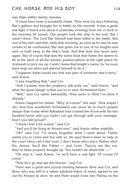war-ships within twenty minutes.

"It must have been a wonderful chase. They were six days following Bar's galleon and brought her to battle on the seventh. It was a great sea-fight (I heard a lot about it yesterday evening) from ten o'clock in the morning till sunset. Our people took the ship in the end. But I wasn't there. The Lord Bar himself had been killed in the battle. But one of his men said that, early that morning, as soon as he saw he was certain to be overhauled, Bar had given me to one of his knights and sent us both away in the ship's boat. And that boat was never seen again. But of course that was the same boat that Aslan (he seems to be at the back of all the stories) pushed ashore at the right place for Arsheesh to pick me up. I wish I knew that knight's name, for he must have kept me alive and starved himself to do it."

"I suppose Aslan would say that was part of someone else's story," said Aravis.

"I was forgetting that," said Cor.

"And I wonder how the prophecy will work out," said Aravis, "and what the great danger is that you're to save Archenland from."

"Well," said Cor rather awkwardly, "they seem to think I've done it already."

Aravis clapped her hands. "Why, of course!" she said. "How stupid I am. And how wonderful! Archenland can never be in much greater danger than it was when Rabadash had crossed the Arrow with his two hundred horse and you hadn't yet got through with your message. Don't you feel proud?"

"I think I feel a bit scared," said Cor.

"And you'll be living at Anvard now," said Aravis rather wistfully.

"Oh!" said Cor, "I'd nearly forgotten what I came about. Father wants you to come and live with us. He says there's been no lady in the court (they call it the court, I don't know why) since Mother died. Do, Aravis. You'll like Father — and Corin. They're not like me; they've been properly brought up. You needn't be afraid that — "

"Oh stop it," said Aravis, "or we'll have a real fight. Of course I'll come."

"Now let's go and see the Horses," said Cor.

There was a great and joyous meeting between Bree and Cor, and Bree, who was still in a rather subdued frame of mind, agreed to set out for Anvard at once: he and Hwin would cross into Narnia on the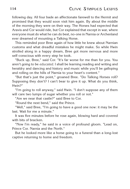following day. All four bade an affectionate farewell to the Hermit and promised that they would soon visit him again. By about the middle of the morning they were on their way. The Horses had expected that Aravis and Cor would ride, but Cor explained that except in war, where everyone must do what he can do best, no-one in Narnia or Archenland ever dreamed of mounting a Talking Horse.

This reminded poor Bree again of how little he knew about Narnian customs and what dreadful mistakes he might make. So while Hwin strolled along in a happy dream, Bree got more nervous and more self-conscious with every step he took.

"Buck up, Bree," said Cor. "It's far worse for me than for you. You aren't going to be *educated*. I shall be learning reading and writing and heraldry and dancing and history and music while you'll be galloping and rolling on the hills of Narnia to your heart's content."

"But that's just the point," groaned Bree. "Do Talking Horses roll? Supposing they don't? I can't bear to give it up. What do you think, Hwin?"

"I'm going to roll anyway," said Hwin. "I don't suppose any of them will care two lumps of sugar whether you roll or not."

"Are we near that castle?" said Bree to Cor.

"Round the next bend," said the Prince.

"Well," said Bree, "I'm going to have a good one now: it may be the last. Wait for me a minute."

It was five minutes before he rose again, blowing hard and covered with bits of bracken.

"Now I'm ready," he said in a voice of profound gloom. "Lead on, Prince Cor. Narnia and the North."

But he looked more like a horse going to a funeral than a long-lost captive returning to home and freedom.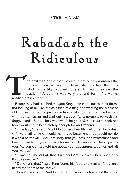#### Chapter XV

## Rabadash the Ridiculous

The next turn of the road brought them out from among the trees and there, across green lawns, sheltered from the north wind by the high wooded ridge at its back, they saw the castle of Anvard. It was very old and built of trees and there, across green lawns, sheltered from the north wind by the high wooded ridge at its back, they saw the castle of Anvard. It was very old and built of a warm, reddish-brown stone.

Before they had reached the gate King Lune came out to meet them, not looking at all like Aravis's idea of a king and wearing the oldest of old clothes; for he had just come from making a round of the kennels with his Huntsman and had only stopped for a moment to wash his doggy hands. But the bow with which he greeted Aravis as he took her hand would have been stately enough for an Emperor.

"Little lady," he said, "we bid you very heartily welcome. If my dear wife were still alive we could make you better cheer but could not do it with a better will. And I am sorry that you have had misfortunes and been driven from your father's house, which cannot but be a grief to you. My son Cor has told me about your adventures together and all your valour."

"It was he who did all that, Sir," said Aravis. "Why, he rushed at a lion to save me."

"Eh, what's that?" said King Lune, his face brightening. "I haven't heard that part of the story."

Then Aravis told it. And Cor, who had very much wanted the story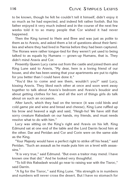to be known, though he felt he couldn't tell it himself, didn't enjoy it so much as he had expected, and indeed felt rather foolish. But his father enjoyed it very much indeed and in the course of the next few weeks told it to so many people that Cor wished it had never happened.

Then the King turned to Hwin and Bree and was just as polite to them as to Aravis, and asked them a lot of questions about their families and where they had lived in Narnia before they had been captured. The Horses were rather tongue-tied for they weren't yet used to being talked to as equals by Humans — grown-up Humans, that is. They didn't mind Aravis and Cor.

Presently Queen Lucy came out from the castle and joined them and King Lune said to Aravis, "My dear, here is a loving friend of our house, and she has been seeing that your apartments are put to rights for you better than I could have done it."

"You'd like to come and see them, wouldn't you?" said Lucy, kissing Aravis. They liked each other at once and soon went away together to talk about Aravis's bedroom and Aravis's boudoir and about getting clothes for her, and all the sort of things girls do talk about on such an occasion.

After lunch, which they had on the terrace (it was cold birds and cold game pie and wine and bread and cheese), King Lune ruffled up his brow and heaved a sigh and said, "Heigh-ho! We have still that sorry creature Rabadash on our hands, my friends, and must needs resolve what to do with him."

Lucy was sitting on the King's right and Aravis on his left. King Edmund sat at one end of the table and the Lord Darrin faced him at the other. Dar and Peridan and Cor and Corin were on the same side as the King.

"Your Majesty would have a perfect right to strike off his head," said Peridan. "Such an assault as he made puts him on a level with assassins."

"It is very true," said Edmund. "But even a traitor may mend. I have known one that did." And he looked very thoughtful.

"To kill this Rabadash would go near to raising war with the Tisroc," said Darrin.

"A fig for the Tisroc," said King Lune. "His strength is in numbers and numbers will never cross the desert. But I have no stomach for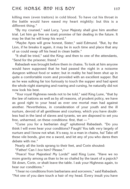killing men (even traitors) in cold blood. To have cut his throat in the battle would have eased my heart mightily: but this is a different thing."

"By my counsel," said Lucy, "your Majesty shall give him another trial. Let him go free on strait promise of fair dealing in the future. It may be that he will keep his word."

"Maybe Apes will grow honest, Sister," said Edmund. "But, by the Lion, if he breaks it again, it may be in such time and place that any of us could swap off his head in clean battle."

"It shall be tried," said the King: and then to one of the attendants, "Send for the prisoner, friend."

Rabadash was brought before them in chains. To look at him anyone would have supposed that he had passed the night in a noisome dungeon without food or water; but in reality he had been shut up in quite a comfortable room and provided with an excellent supper. But as he was sulking far too furiously to touch the supper and had spent the whole night stamping and roaring and cursing, he naturally did not now look his best.

"Your royal Highness needs not to be told," said King Lune, "that by the law of nations as well as by all reasons, of prudent policy, we have as good right to your head as ever one mortal man had against another. Nevertheless, in consideration of your youth and the ill nurture, devoid of all gentilesse and courtesy, which you have doubtless had in the land of slaves and tyrants, we are disposed to set you free, unharmed, on these conditions: first, that — "

"Curse you for a barbarian dog!" spluttered Rabadash. "Do you think I will even hear your conditions? Faugh! You talk very largely of nurture and I know not what. It's easy, to a man in chains, ha! Take off these vile bonds, give me a sword, and let any of you who dares then debate with me."

Nearly all the lords sprang to their feet, and Corin shouted:

"Father! Can I *box* him? Please."

"Peace! Your Majesties! My Lords!" said King Lune. "Have we no more gravity among us than to be so chafed by the taunt of a pajock? Sit down, Corin, or shalt leave the table. I ask your Highness again, to hear our conditions."

"I hear no conditions from barbarians and sorcerers," said Rabadash. "Not one of you dare touch a hair of my head. Every insult you have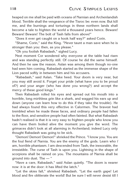heaped on me shall be paid with oceans of Narnian and Archenlandish blood. Terrible shall the vengeance of the Tisroc be: even now. But kill me, and the burnings and torturings in these northern lands shall become a tale to frighten the world a thousand years hence. Beware! Beware! Beware! The bolt of Tash falls from above!"

"Does it ever get caught on a hook half way?" asked Corin.

"Shame, Corin," said the King. "Never taunt a man save when he is stronger than you: then, as you please."

"Oh you foolish Rabadash," sighed Lucy.

Next moment Cor wondered why everyone at the table had risen and was standing perfectly still. Of course he did the same himself. And then he saw the reason. Aslan was among them though no-one had seen him coming. Rabadash started as the immense shape of the Lion paced softly in between him and his accusers.

"Rabadash," said Aslan. "Take heed. Your doom is very near, but you may still avoid it. Forget your pride (what have you to be proud of?) and your anger (who has done you wrong?) and accept the mercy of these good kings."

Then Rabadash rolled his eyes and spread out his mouth into a horrible, long mirthless grin like a shark, and wagged his ears up and down (anyone can learn how to do this if they take the trouble). He had always found this very effective in Calormen. The bravest had trembled when he made these faces, and ordinary people had fallen to the floor, and sensitive people had often fainted. But what Rabadash hadn't realised is that it is very easy to frighten people who know you can have them boiled alive the moment you give the word. The grimaces didn't look at all alarming in Archenland; indeed Lucy only thought Rabadash was going to be sick.

"Demon! Demon! Demon!" shrieked the Prince. "I know you. You are the foul fiend of Narnia. You are the enemy of the gods. Learn who *I*  am, horrible phantasm. I am descended from Tash, the inexorable, the irresistible. The curse of Tash is upon you. Lightning in the shape of scorpions shall be rained on you. The mountains of Narnia shall be ground into dust. The — "

"Have a care, Rabadash," said Aslan quietly. "The doom is nearer now: it is at the door: it has lifted the latch."

"Let the skies fall," shrieked Rabadash. "Let the earth gape! Let blood and fire obliterate the world! But be sure I will never desist till I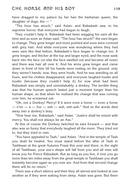have dragged to my palace by her hair the barbarian queen, the daughter of dogs, the — "

"The hour has struck," said Aslan: and Rabadash saw, to his supreme horror, that everyone had begun to laugh.

They couldn't help it. Rabadash had been wagging his ears all the time and as soon as Aslan said, "The hour has struck!" the ears began to change. They grew longer and more pointed and soon were covered with grey hair. And while everyone was wondering where they had seen ears like that before, Rabadash's face began to change too. It grew longer, and thicker at the top and larger eyed, and the nose sank back into the face (or else the face swelled out and became all nose) and there was hair all over it. And his arms grew longer and came down in front of him till his hands were resting on the ground: only they weren't hands, now, they were hoofs. And he was standing on all fours, and his clothes disappeared, and everyone laughed louder and louder (because they couldn't help it) for now what had been Rabadash was simply and unmistakably, a donkey. The terrible thing was that his human speech lasted just a moment longer than his human shape, so that when he realised the change that was coming over him, he screamed out:

"Oh, not a Donkey! Mercy! If it were even a horse — even a horse  $-$  e'en  $-$  a  $-$  hor  $-$  eeh  $-$  auh, eeh-auh." And so the words died away into a donkey's bray.

"Now hear me, Rabadash," said Aslan. "Justice shall be mixed with mercy. You shall not always be an Ass."

At this of course the Donkey twitched its ears forward — and that also was so funny that everybody laughed all the more. They tried not to, but they tried in vain.

"You have appealed to Tash," said Aslan. "And in the temple of Tash you shall be healed. You must stand before the altar of Tash in Tashbaan at the great Autumn Feast this year and there, in the sight of all Tashbaan, your ass's shape will fall from you and all men will know you for Prince Rabadash. But as long as you live, if ever you go more than ten miles away from the great temple in Tashbaan you shall instantly become again as you now are. And from that second change there will be no return."

There was a short silence and then they all stirred and looked at one another as if they were waking from sleep. Aslan was gone. But there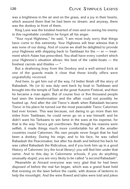was a brightness in the air and on the grass, and a joy in their hearts, which assured them that he had been no dream: and anyway, there was the donkey in front of them.

King Lune was the kindest-hearted of men and on seeing his enemy in this regrettable condition he forgot all his anger.

"Your royal Highness," he said, "I am most truly sorry that things have come to this extremity. Your Highness will bear witness that it was none of our doing. And of course we shall be delighted to provide your Highness with shipping back to Tashbaan for the — er — treatment which Aslan has prescribed. You shall have every comfort which your Highness's situation allows: the best of the cattle-boats — the freshest carrots and thistles — "

But a deafening bray from the Donkey and a well-aimed kick at one of the guards made it clear that these kindly offers were ungratefully received.

And here, to get him out of the way, I'd better finish off the story of Rabadash. He (or it) was duly sent back by boat to Tashbaan and brought into the temple of Tash at the great Autumn Festival, and then he became a man again. But of course four or five thousand people had seen the transformation and the affair could not possibly be hushed up. And after the old Tisroc's death when Rabadash became Tisroc in his place he turned out the most peaceable Tisroc Calormen had ever known. This was because, not daring to go more than ten miles from Tashbaan, he could never go on a war himself; and he didn't want his Tarkaans to win fame in the wars at his expense, for that is the way Tisrocs get overthrown. But though his reasons were selfish, it made things much more comfortable for all the smaller countries round Calormen. His own people never forgot that he had been a donkey. During his reign, and to his face, he was called Rabadash the Peacemaker, but after his death and behind his back he was called Rabadash the Ridiculous, and if you look him up in a good History of Calormen (try the local library) you will find him under that name. And to this day in Calormene schools, if you do anything unusually stupid, you are very likely to be called "a second Rabadash".

Meanwhile at Anvard everyone was very glad that he had been disposed of before the real fun began, which was a grand feast held that evening on the lawn before the castle, with dozens of lanterns to help the moonlight. And the wine flowed and tales were told and jokes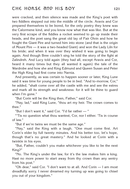were cracked, and then silence was made and the King's poet with two fiddlers stepped out into the middle of the circle. Aravis and Cor prepared themselves to be bored, for the only poetry they knew was the Calormene kind, and you know now what that was like. But at the very first scrape of the fiddles a rocket seemed to go up inside their heads, and the poet sang the great old lay of Fair Olvin and how he fought the Giant Pire and turned him into stone (and that is the origin of Mount Pire — it was a two-headed Giant) and won the Lady Liln for his bride; and when it was over they wished it was going to begin again. And though Bree couldn't sing he told the story of the fight at Zalindreh. And Lucy told again (they had all, except Aravis and Cor, heard it many times but they all wanted it again) the tale of the Wardrobe and how she and King Edmund and Queen Susan and Peter the High King had first come into Narnia.

And presently, as was certain to happen sooner or later, King Lune said it was time for young people to be in bed. "And to-morrow, Cor," he added, "shalt come over all the castle with me and see the estres and mark all its strength and weakness: for it will be thine to guard when I'm gone."

"But Corin will be the King then, Father," said Cor.

"Nay, lad," said King Lune, "thou art my heir. The crown comes to thee."

"But I don't want it," said Cor. "I'd far rather — "

"'Tis no question what thou wantest, Cor, nor I either. 'Tis in course of law."

"But if we're twins we must be the same age."

"Nay," said the King with a laugh. "One must come first. Art Corin's elder by full twenty minutes. And his better too, let's hope, though that's no great mastery." And he looked at Corin with a twinkle in his eyes.

"But, Father, couldn't you make whichever you like to be the next King?"

"No. The King's under the law, for it's the law makes him a king. Hast no more power to start away from thy crown than any sentry from his post."

"Oh dear," said Cor. "I don't want to at all. And Corin — I am most dreadfully sorry. I never dreamed my turning up was going to chisel you out of your kingdom."